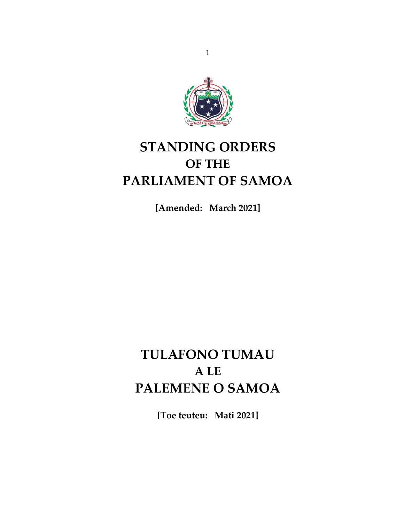

# **STANDING ORDERS OF THE PARLIAMENT OF SAMOA**

**[Amended: March 2021]**

# **TULAFONO TUMAU A LE PALEMENE O SAMOA**

**[Toe teuteu: Mati 2021]**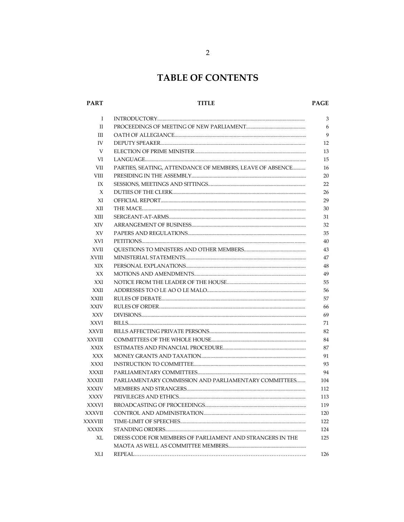# **TABLE OF CONTENTS**

#### **PART**

#### **TITLE**

#### PAGE

| Ι             |                                                           |
|---------------|-----------------------------------------------------------|
| $\mathbf{I}$  |                                                           |
| Ш             |                                                           |
| IV            |                                                           |
| V             |                                                           |
| VI            |                                                           |
| VII           | PARTIES, SEATING, ATTENDANCE OF MEMBERS, LEAVE OF ABSENCE |
| VIII          |                                                           |
| IX            |                                                           |
| X             |                                                           |
| XI            |                                                           |
| XII           |                                                           |
| XIII          |                                                           |
| <b>XIV</b>    |                                                           |
| XV            |                                                           |
| XVI           |                                                           |
| <b>XVII</b>   |                                                           |
| <b>XVIII</b>  |                                                           |
| XIX           |                                                           |
| XX            |                                                           |
| XXI           |                                                           |
| <b>XXII</b>   |                                                           |
| <b>XXIII</b>  |                                                           |
| <b>XXIV</b>   |                                                           |
| <b>XXV</b>    |                                                           |
| <b>XXVI</b>   |                                                           |
| <b>XXVII</b>  |                                                           |
| <b>XXVIII</b> |                                                           |
| <b>XXIX</b>   |                                                           |
| XXX           |                                                           |
| <b>XXXI</b>   |                                                           |
| <b>XXXII</b>  |                                                           |
| <b>XXXIII</b> | PARLIAMENTARY COMMISSION AND PARLIAMENTARY COMMITTEES     |
| <b>XXXIV</b>  |                                                           |
| <b>XXXV</b>   |                                                           |
| <b>XXXVI</b>  |                                                           |
| <b>XXXVII</b> |                                                           |
| XXXVIII       |                                                           |
| <b>XXXIX</b>  |                                                           |
| XL            | DRESS CODE FOR MEMBERS OF PARLIAMENT AND STRANGERS IN THE |
|               |                                                           |
| XLI           |                                                           |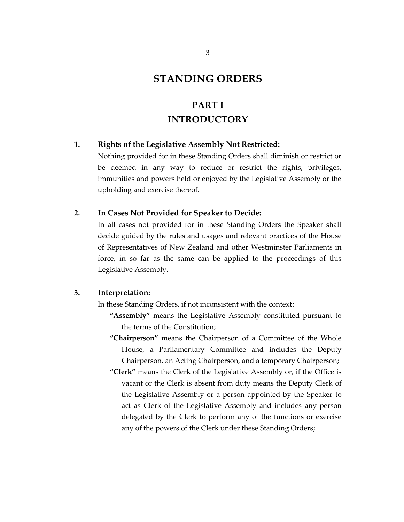### **STANDING ORDERS**

# **PART I INTRODUCTORY**

#### **1. Rights of the Legislative Assembly Not Restricted:**

Nothing provided for in these Standing Orders shall diminish or restrict or be deemed in any way to reduce or restrict the rights, privileges, immunities and powers held or enjoyed by the Legislative Assembly or the upholding and exercise thereof.

#### **2. In Cases Not Provided for Speaker to Decide:**

In all cases not provided for in these Standing Orders the Speaker shall decide guided by the rules and usages and relevant practices of the House of Representatives of New Zealand and other Westminster Parliaments in force, in so far as the same can be applied to the proceedings of this Legislative Assembly.

#### **3. Interpretation:**

In these Standing Orders, if not inconsistent with the context:

- **"Assembly"** means the Legislative Assembly constituted pursuant to the terms of the Constitution;
- **"Chairperson"** means the Chairperson of a Committee of the Whole House, a Parliamentary Committee and includes the Deputy Chairperson, an Acting Chairperson, and a temporary Chairperson;
- **"Clerk"** means the Clerk of the Legislative Assembly or, if the Office is vacant or the Clerk is absent from duty means the Deputy Clerk of the Legislative Assembly or a person appointed by the Speaker to act as Clerk of the Legislative Assembly and includes any person delegated by the Clerk to perform any of the functions or exercise any of the powers of the Clerk under these Standing Orders;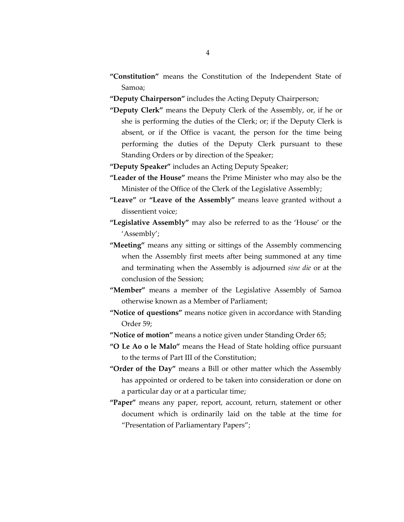- **"Constitution"** means the Constitution of the Independent State of Samoa;
- **"Deputy Chairperson"** includes the Acting Deputy Chairperson;
- **"Deputy Clerk"** means the Deputy Clerk of the Assembly, or, if he or she is performing the duties of the Clerk; or; if the Deputy Clerk is absent, or if the Office is vacant, the person for the time being performing the duties of the Deputy Clerk pursuant to these Standing Orders or by direction of the Speaker;
- **"Deputy Speaker"** includes an Acting Deputy Speaker;
- **"Leader of the House"** means the Prime Minister who may also be the Minister of the Office of the Clerk of the Legislative Assembly;
- **"Leave"** or **"Leave of the Assembly"** means leave granted without a dissentient voice;
- **"Legislative Assembly"** may also be referred to as the 'House' or the 'Assembly';
- **"Meeting"** means any sitting or sittings of the Assembly commencing when the Assembly first meets after being summoned at any time and terminating when the Assembly is adjourned *sine die* or at the conclusion of the Session;
- **"Member"** means a member of the Legislative Assembly of Samoa otherwise known as a Member of Parliament;
- **"Notice of questions"** means notice given in accordance with Standing Order 59;
- **"Notice of motion"** means a notice given under Standing Order 65;
- **"O Le Ao o le Malo"** means the Head of State holding office pursuant to the terms of Part III of the Constitution;
- **"Order of the Day"** means a Bill or other matter which the Assembly has appointed or ordered to be taken into consideration or done on a particular day or at a particular time;
- **"Paper"** means any paper, report, account, return, statement or other document which is ordinarily laid on the table at the time for "Presentation of Parliamentary Papers";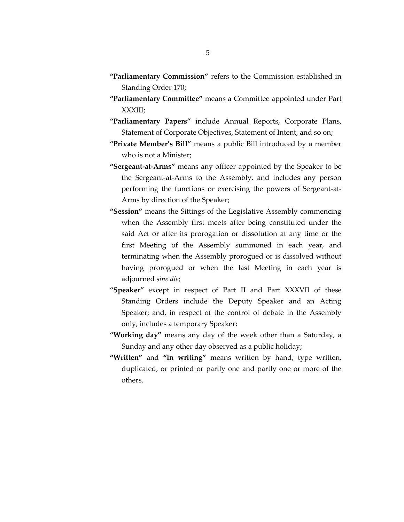- **"Parliamentary Commission"** refers to the Commission established in Standing Order 170;
- **"Parliamentary Committee"** means a Committee appointed under Part XXXIII;
- **"Parliamentary Papers"** include Annual Reports, Corporate Plans, Statement of Corporate Objectives, Statement of Intent, and so on;
- **"Private Member's Bill"** means a public Bill introduced by a member who is not a Minister;
- **"Sergeant-at-Arms"** means any officer appointed by the Speaker to be the Sergeant-at-Arms to the Assembly, and includes any person performing the functions or exercising the powers of Sergeant-at-Arms by direction of the Speaker;
- **"Session"** means the Sittings of the Legislative Assembly commencing when the Assembly first meets after being constituted under the said Act or after its prorogation or dissolution at any time or the first Meeting of the Assembly summoned in each year, and terminating when the Assembly prorogued or is dissolved without having prorogued or when the last Meeting in each year is adjourned *sine die*;
- **"Speaker"** except in respect of Part II and Part XXXVII of these Standing Orders include the Deputy Speaker and an Acting Speaker; and, in respect of the control of debate in the Assembly only, includes a temporary Speaker;
- **"Working day"** means any day of the week other than a Saturday, a Sunday and any other day observed as a public holiday;
- **"Written"** and **"in writing"** means written by hand, type written, duplicated, or printed or partly one and partly one or more of the others.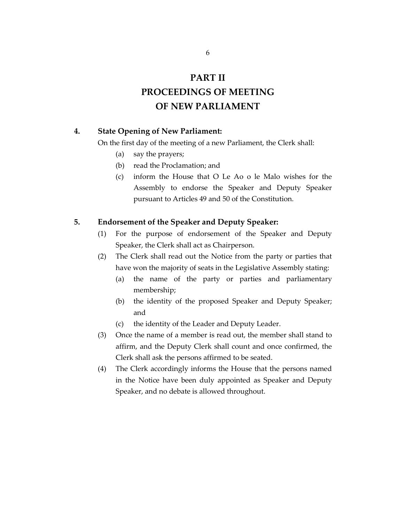### **PART II**

### **PROCEEDINGS OF MEETING OF NEW PARLIAMENT**

#### **4. State Opening of New Parliament:**

On the first day of the meeting of a new Parliament, the Clerk shall:

- (a) say the prayers;
- (b) read the Proclamation; and
- (c) inform the House that O Le Ao o le Malo wishes for the Assembly to endorse the Speaker and Deputy Speaker pursuant to Articles 49 and 50 of the Constitution.

#### **5. Endorsement of the Speaker and Deputy Speaker:**

- (1) For the purpose of endorsement of the Speaker and Deputy Speaker, the Clerk shall act as Chairperson.
- (2) The Clerk shall read out the Notice from the party or parties that have won the majority of seats in the Legislative Assembly stating:
	- (a) the name of the party or parties and parliamentary membership;
	- (b) the identity of the proposed Speaker and Deputy Speaker; and
	- (c) the identity of the Leader and Deputy Leader.
- (3) Once the name of a member is read out, the member shall stand to affirm, and the Deputy Clerk shall count and once confirmed, the Clerk shall ask the persons affirmed to be seated.
- (4) The Clerk accordingly informs the House that the persons named in the Notice have been duly appointed as Speaker and Deputy Speaker, and no debate is allowed throughout.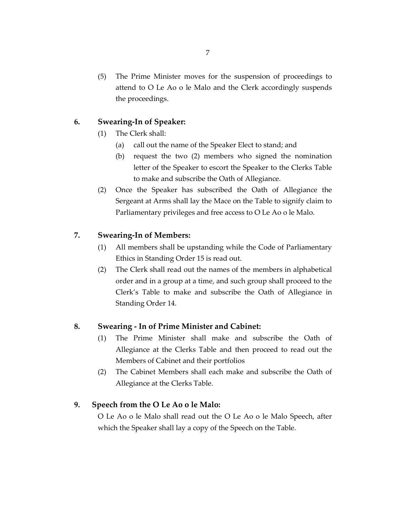(5) The Prime Minister moves for the suspension of proceedings to attend to O Le Ao o le Malo and the Clerk accordingly suspends the proceedings.

### **6. Swearing-In of Speaker:**

- (1) The Clerk shall:
	- (a) call out the name of the Speaker Elect to stand; and
	- (b) request the two (2) members who signed the nomination letter of the Speaker to escort the Speaker to the Clerks Table to make and subscribe the Oath of Allegiance.
- (2) Once the Speaker has subscribed the Oath of Allegiance the Sergeant at Arms shall lay the Mace on the Table to signify claim to Parliamentary privileges and free access to O Le Ao o le Malo.

### **7. Swearing-In of Members:**

- (1) All members shall be upstanding while the Code of Parliamentary Ethics in Standing Order 15 is read out.
- (2) The Clerk shall read out the names of the members in alphabetical order and in a group at a time, and such group shall proceed to the Clerk's Table to make and subscribe the Oath of Allegiance in Standing Order 14.

#### **8. Swearing - In of Prime Minister and Cabinet:**

- (1) The Prime Minister shall make and subscribe the Oath of Allegiance at the Clerks Table and then proceed to read out the Members of Cabinet and their portfolios
- (2) The Cabinet Members shall each make and subscribe the Oath of Allegiance at the Clerks Table.

#### **9. Speech from the O Le Ao o le Malo:**

O Le Ao o le Malo shall read out the O Le Ao o le Malo Speech, after which the Speaker shall lay a copy of the Speech on the Table.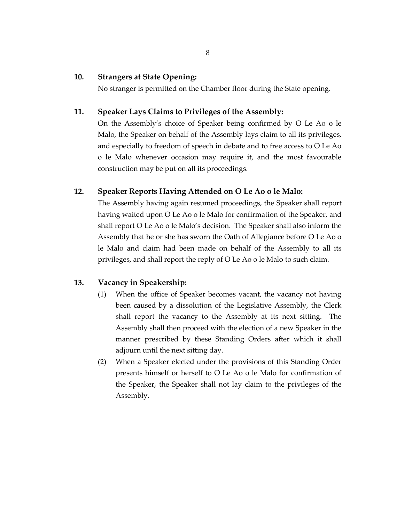#### **10. Strangers at State Opening:**

No stranger is permitted on the Chamber floor during the State opening.

#### **11. Speaker Lays Claims to Privileges of the Assembly:**

On the Assembly's choice of Speaker being confirmed by O Le Ao o le Malo, the Speaker on behalf of the Assembly lays claim to all its privileges, and especially to freedom of speech in debate and to free access to O Le Ao o le Malo whenever occasion may require it, and the most favourable construction may be put on all its proceedings.

#### **12. Speaker Reports Having Attended on O Le Ao o le Malo:**

The Assembly having again resumed proceedings, the Speaker shall report having waited upon O Le Ao o le Malo for confirmation of the Speaker, and shall report O Le Ao o le Malo's decision. The Speaker shall also inform the Assembly that he or she has sworn the Oath of Allegiance before O Le Ao o le Malo and claim had been made on behalf of the Assembly to all its privileges, and shall report the reply of O Le Ao o le Malo to such claim.

#### **13. Vacancy in Speakership:**

- (1) When the office of Speaker becomes vacant, the vacancy not having been caused by a dissolution of the Legislative Assembly, the Clerk shall report the vacancy to the Assembly at its next sitting. The Assembly shall then proceed with the election of a new Speaker in the manner prescribed by these Standing Orders after which it shall adjourn until the next sitting day.
- (2) When a Speaker elected under the provisions of this Standing Order presents himself or herself to O Le Ao o le Malo for confirmation of the Speaker, the Speaker shall not lay claim to the privileges of the Assembly.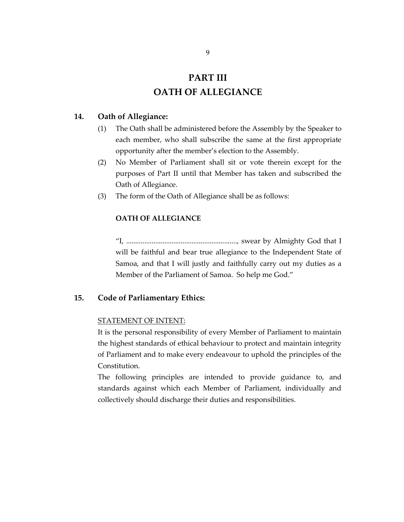### **PART III OATH OF ALLEGIANCE**

#### **14. Oath of Allegiance:**

- (1) The Oath shall be administered before the Assembly by the Speaker to each member, who shall subscribe the same at the first appropriate opportunity after the member's election to the Assembly.
- (2) No Member of Parliament shall sit or vote therein except for the purposes of Part II until that Member has taken and subscribed the Oath of Allegiance.
- (3) The form of the Oath of Allegiance shall be as follows:

#### **OATH OF ALLEGIANCE**

"I, ............................................................., swear by Almighty God that I will be faithful and bear true allegiance to the Independent State of Samoa, and that I will justly and faithfully carry out my duties as a Member of the Parliament of Samoa. So help me God."

#### **15. Code of Parliamentary Ethics:**

#### STATEMENT OF INTENT:

It is the personal responsibility of every Member of Parliament to maintain the highest standards of ethical behaviour to protect and maintain integrity of Parliament and to make every endeavour to uphold the principles of the Constitution.

The following principles are intended to provide guidance to, and standards against which each Member of Parliament, individually and collectively should discharge their duties and responsibilities.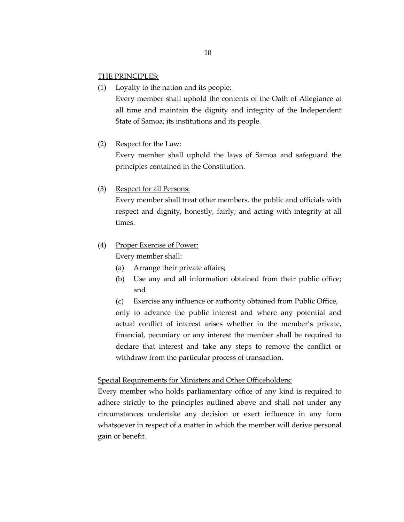#### THE PRINCIPLES:

(1) Loyalty to the nation and its people:

Every member shall uphold the contents of the Oath of Allegiance at all time and maintain the dignity and integrity of the Independent State of Samoa; its institutions and its people.

#### (2) Respect for the Law:

Every member shall uphold the laws of Samoa and safeguard the principles contained in the Constitution.

#### (3) Respect for all Persons:

Every member shall treat other members, the public and officials with respect and dignity, honestly, fairly; and acting with integrity at all times.

#### (4) Proper Exercise of Power:

Every member shall:

- (a) Arrange their private affairs;
- (b) Use any and all information obtained from their public office; and

(c) Exercise any influence or authority obtained from Public Office, only to advance the public interest and where any potential and

actual conflict of interest arises whether in the member's private, financial, pecuniary or any interest the member shall be required to declare that interest and take any steps to remove the conflict or withdraw from the particular process of transaction.

#### Special Requirements for Ministers and Other Officeholders:

Every member who holds parliamentary office of any kind is required to adhere strictly to the principles outlined above and shall not under any circumstances undertake any decision or exert influence in any form whatsoever in respect of a matter in which the member will derive personal gain or benefit.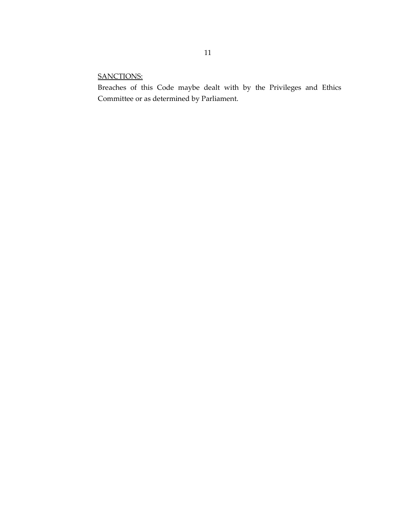### SANCTIONS:

Breaches of this Code maybe dealt with by the Privileges and Ethics Committee or as determined by Parliament.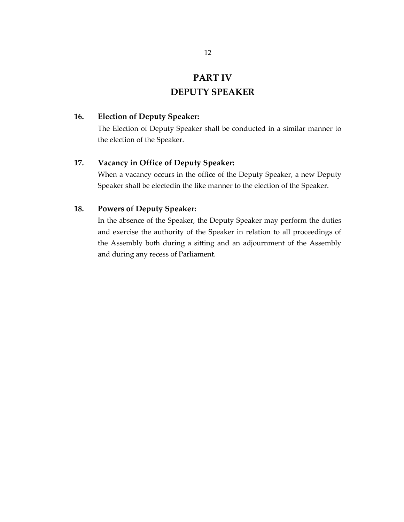### **PART IV**

### **DEPUTY SPEAKER**

#### **16. Election of Deputy Speaker:**

The Election of Deputy Speaker shall be conducted in a similar manner to the election of the Speaker.

#### **17. Vacancy in Office of Deputy Speaker:**

When a vacancy occurs in the office of the Deputy Speaker, a new Deputy Speaker shall be electedin the like manner to the election of the Speaker.

#### **18. Powers of Deputy Speaker:**

In the absence of the Speaker, the Deputy Speaker may perform the duties and exercise the authority of the Speaker in relation to all proceedings of the Assembly both during a sitting and an adjournment of the Assembly and during any recess of Parliament.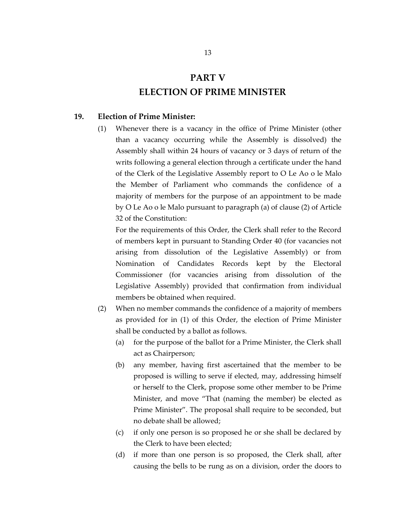## **PART V ELECTION OF PRIME MINISTER**

#### **19. Election of Prime Minister:**

(1) Whenever there is a vacancy in the office of Prime Minister (other than a vacancy occurring while the Assembly is dissolved) the Assembly shall within 24 hours of vacancy or 3 days of return of the writs following a general election through a certificate under the hand of the Clerk of the Legislative Assembly report to O Le Ao o le Malo the Member of Parliament who commands the confidence of a majority of members for the purpose of an appointment to be made by O Le Ao o le Malo pursuant to paragraph (a) of clause (2) of Article 32 of the Constitution:

For the requirements of this Order, the Clerk shall refer to the Record of members kept in pursuant to Standing Order 40 (for vacancies not arising from dissolution of the Legislative Assembly) or from Nomination of Candidates Records kept by the Electoral Commissioner (for vacancies arising from dissolution of the Legislative Assembly) provided that confirmation from individual members be obtained when required.

- (2) When no member commands the confidence of a majority of members as provided for in (1) of this Order, the election of Prime Minister shall be conducted by a ballot as follows.
	- (a) for the purpose of the ballot for a Prime Minister, the Clerk shall act as Chairperson;
	- (b) any member, having first ascertained that the member to be proposed is willing to serve if elected, may, addressing himself or herself to the Clerk, propose some other member to be Prime Minister, and move "That (naming the member) be elected as Prime Minister". The proposal shall require to be seconded, but no debate shall be allowed;
	- (c) if only one person is so proposed he or she shall be declared by the Clerk to have been elected;
	- (d) if more than one person is so proposed, the Clerk shall, after causing the bells to be rung as on a division, order the doors to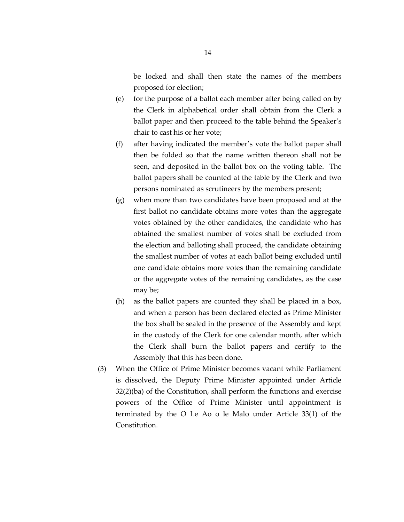be locked and shall then state the names of the members proposed for election;

- (e) for the purpose of a ballot each member after being called on by the Clerk in alphabetical order shall obtain from the Clerk a ballot paper and then proceed to the table behind the Speaker's chair to cast his or her vote;
- (f) after having indicated the member's vote the ballot paper shall then be folded so that the name written thereon shall not be seen, and deposited in the ballot box on the voting table. The ballot papers shall be counted at the table by the Clerk and two persons nominated as scrutineers by the members present;
- (g) when more than two candidates have been proposed and at the first ballot no candidate obtains more votes than the aggregate votes obtained by the other candidates, the candidate who has obtained the smallest number of votes shall be excluded from the election and balloting shall proceed, the candidate obtaining the smallest number of votes at each ballot being excluded until one candidate obtains more votes than the remaining candidate or the aggregate votes of the remaining candidates, as the case may be;
- (h) as the ballot papers are counted they shall be placed in a box, and when a person has been declared elected as Prime Minister the box shall be sealed in the presence of the Assembly and kept in the custody of the Clerk for one calendar month, after which the Clerk shall burn the ballot papers and certify to the Assembly that this has been done.
- (3) When the Office of Prime Minister becomes vacant while Parliament is dissolved, the Deputy Prime Minister appointed under Article 32(2)(ba) of the Constitution, shall perform the functions and exercise powers of the Office of Prime Minister until appointment is terminated by the O Le Ao o le Malo under Article 33(1) of the Constitution.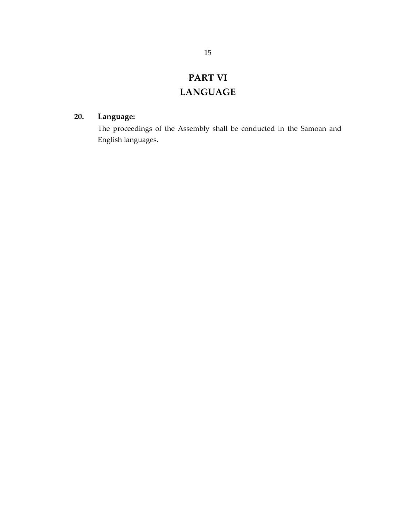# **PART VI LANGUAGE**

### **20. Language:**

The proceedings of the Assembly shall be conducted in the Samoan and English languages.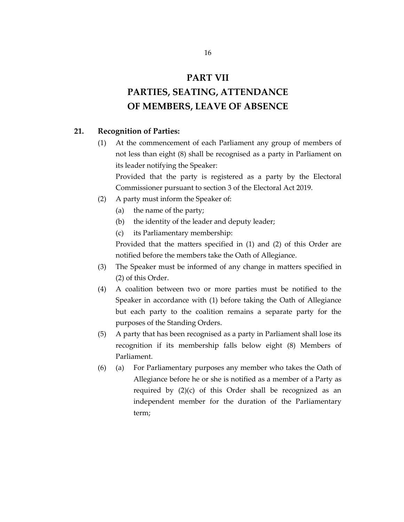### **PART VII**

# **PARTIES, SEATING, ATTENDANCE OF MEMBERS, LEAVE OF ABSENCE**

#### **21. Recognition of Parties:**

(1) At the commencement of each Parliament any group of members of not less than eight (8) shall be recognised as a party in Parliament on its leader notifying the Speaker:

Provided that the party is registered as a party by the Electoral Commissioner pursuant to section 3 of the Electoral Act 2019.

- (2) A party must inform the Speaker of:
	- (a) the name of the party;
	- (b) the identity of the leader and deputy leader;
	- (c) its Parliamentary membership:

Provided that the matters specified in (1) and (2) of this Order are notified before the members take the Oath of Allegiance.

- (3) The Speaker must be informed of any change in matters specified in (2) of this Order.
- (4) A coalition between two or more parties must be notified to the Speaker in accordance with (1) before taking the Oath of Allegiance but each party to the coalition remains a separate party for the purposes of the Standing Orders.
- (5) A party that has been recognised as a party in Parliament shall lose its recognition if its membership falls below eight (8) Members of Parliament.
- (6) (a) For Parliamentary purposes any member who takes the Oath of Allegiance before he or she is notified as a member of a Party as required by  $(2)(c)$  of this Order shall be recognized as an independent member for the duration of the Parliamentary term;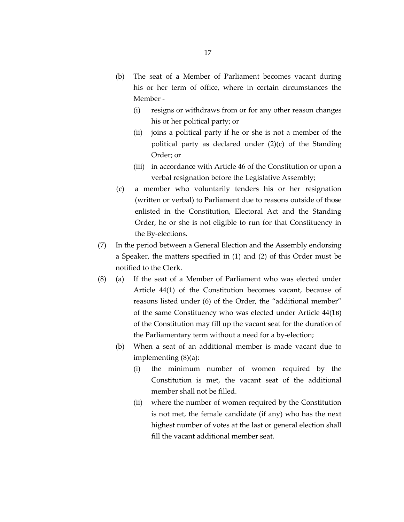- (b) The seat of a Member of Parliament becomes vacant during his or her term of office, where in certain circumstances the Member -
	- (i) resigns or withdraws from or for any other reason changes his or her political party; or
	- (ii) joins a political party if he or she is not a member of the political party as declared under (2)(c) of the Standing Order; or
	- (iii) in accordance with Article 46 of the Constitution or upon a verbal resignation before the Legislative Assembly;
- (c) a member who voluntarily tenders his or her resignation (written or verbal) to Parliament due to reasons outside of those enlisted in the Constitution, Electoral Act and the Standing Order, he or she is not eligible to run for that Constituency in the By-elections.
- (7) In the period between a General Election and the Assembly endorsing a Speaker, the matters specified in (1) and (2) of this Order must be notified to the Clerk.
- (8) (a) If the seat of a Member of Parliament who was elected under Article 44(1) of the Constitution becomes vacant, because of reasons listed under (6) of the Order, the "additional member" of the same Constituency who was elected under Article 44(1B) of the Constitution may fill up the vacant seat for the duration of the Parliamentary term without a need for a by-election;
	- (b) When a seat of an additional member is made vacant due to implementing (8)(a):
		- (i) the minimum number of women required by the Constitution is met, the vacant seat of the additional member shall not be filled.
		- (ii) where the number of women required by the Constitution is not met, the female candidate (if any) who has the next highest number of votes at the last or general election shall fill the vacant additional member seat.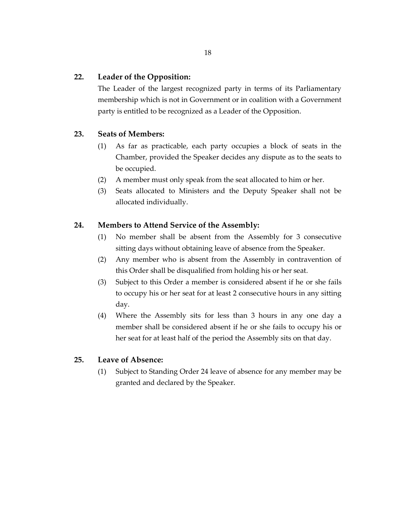#### **22. Leader of the Opposition:**

The Leader of the largest recognized party in terms of its Parliamentary membership which is not in Government or in coalition with a Government party is entitled to be recognized as a Leader of the Opposition.

#### **23. Seats of Members:**

- (1) As far as practicable, each party occupies a block of seats in the Chamber, provided the Speaker decides any dispute as to the seats to be occupied.
- (2) A member must only speak from the seat allocated to him or her.
- (3) Seats allocated to Ministers and the Deputy Speaker shall not be allocated individually.

#### **24. Members to Attend Service of the Assembly:**

- (1) No member shall be absent from the Assembly for 3 consecutive sitting days without obtaining leave of absence from the Speaker.
- (2) Any member who is absent from the Assembly in contravention of this Order shall be disqualified from holding his or her seat.
- (3) Subject to this Order a member is considered absent if he or she fails to occupy his or her seat for at least 2 consecutive hours in any sitting day.
- (4) Where the Assembly sits for less than 3 hours in any one day a member shall be considered absent if he or she fails to occupy his or her seat for at least half of the period the Assembly sits on that day.

#### **25. Leave of Absence:**

(1) Subject to Standing Order 24 leave of absence for any member may be granted and declared by the Speaker.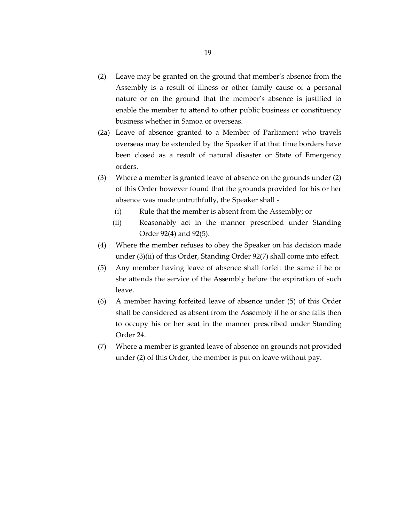- (2) Leave may be granted on the ground that member's absence from the Assembly is a result of illness or other family cause of a personal nature or on the ground that the member's absence is justified to enable the member to attend to other public business or constituency business whether in Samoa or overseas.
- (2a) Leave of absence granted to a Member of Parliament who travels overseas may be extended by the Speaker if at that time borders have been closed as a result of natural disaster or State of Emergency orders.
- (3) Where a member is granted leave of absence on the grounds under (2) of this Order however found that the grounds provided for his or her absence was made untruthfully, the Speaker shall -
	- (i) Rule that the member is absent from the Assembly; or
	- (ii) Reasonably act in the manner prescribed under Standing Order 92(4) and 92(5).
- (4) Where the member refuses to obey the Speaker on his decision made under (3)(ii) of this Order, Standing Order 92(7) shall come into effect.
- (5) Any member having leave of absence shall forfeit the same if he or she attends the service of the Assembly before the expiration of such leave.
- (6) A member having forfeited leave of absence under (5) of this Order shall be considered as absent from the Assembly if he or she fails then to occupy his or her seat in the manner prescribed under Standing Order 24.
- (7) Where a member is granted leave of absence on grounds not provided under (2) of this Order, the member is put on leave without pay.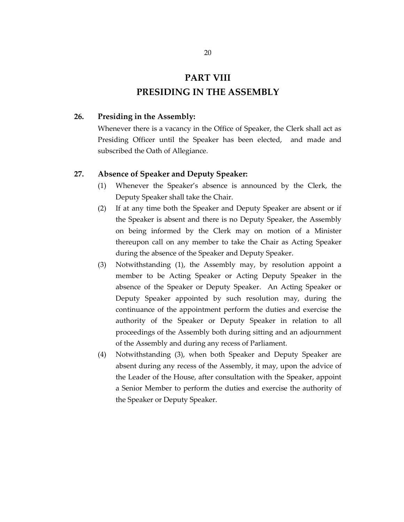# **PART VIII PRESIDING IN THE ASSEMBLY**

#### **26. Presiding in the Assembly:**

Whenever there is a vacancy in the Office of Speaker, the Clerk shall act as Presiding Officer until the Speaker has been elected, and made and subscribed the Oath of Allegiance.

#### **27. Absence of Speaker and Deputy Speaker:**

- (1) Whenever the Speaker's absence is announced by the Clerk, the Deputy Speaker shall take the Chair.
- (2) If at any time both the Speaker and Deputy Speaker are absent or if the Speaker is absent and there is no Deputy Speaker, the Assembly on being informed by the Clerk may on motion of a Minister thereupon call on any member to take the Chair as Acting Speaker during the absence of the Speaker and Deputy Speaker.
- (3) Notwithstanding (1), the Assembly may, by resolution appoint a member to be Acting Speaker or Acting Deputy Speaker in the absence of the Speaker or Deputy Speaker. An Acting Speaker or Deputy Speaker appointed by such resolution may, during the continuance of the appointment perform the duties and exercise the authority of the Speaker or Deputy Speaker in relation to all proceedings of the Assembly both during sitting and an adjournment of the Assembly and during any recess of Parliament.
- (4) Notwithstanding (3), when both Speaker and Deputy Speaker are absent during any recess of the Assembly, it may, upon the advice of the Leader of the House, after consultation with the Speaker, appoint a Senior Member to perform the duties and exercise the authority of the Speaker or Deputy Speaker.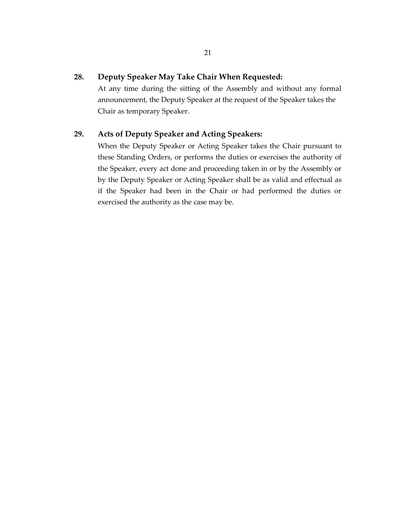#### **28. Deputy Speaker May Take Chair When Requested:**

At any time during the sitting of the Assembly and without any formal announcement, the Deputy Speaker at the request of the Speaker takes the Chair as temporary Speaker.

#### **29. Acts of Deputy Speaker and Acting Speakers:**

When the Deputy Speaker or Acting Speaker takes the Chair pursuant to these Standing Orders, or performs the duties or exercises the authority of the Speaker, every act done and proceeding taken in or by the Assembly or by the Deputy Speaker or Acting Speaker shall be as valid and effectual as if the Speaker had been in the Chair or had performed the duties or exercised the authority as the case may be.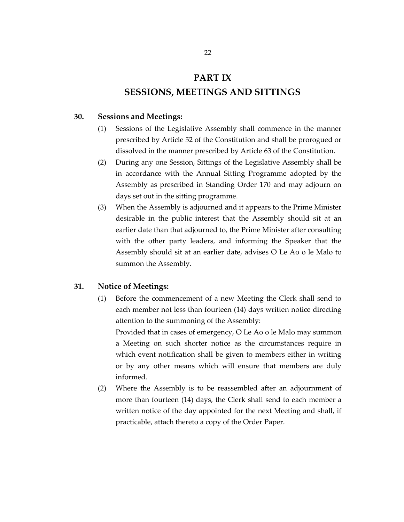# **PART IX SESSIONS, MEETINGS AND SITTINGS**

#### **30. Sessions and Meetings:**

- (1) Sessions of the Legislative Assembly shall commence in the manner prescribed by Article 52 of the Constitution and shall be prorogued or dissolved in the manner prescribed by Article 63 of the Constitution.
- (2) During any one Session, Sittings of the Legislative Assembly shall be in accordance with the Annual Sitting Programme adopted by the Assembly as prescribed in Standing Order 170 and may adjourn on days set out in the sitting programme.
- (3) When the Assembly is adjourned and it appears to the Prime Minister desirable in the public interest that the Assembly should sit at an earlier date than that adjourned to, the Prime Minister after consulting with the other party leaders, and informing the Speaker that the Assembly should sit at an earlier date, advises O Le Ao o le Malo to summon the Assembly.

#### **31. Notice of Meetings:**

(1) Before the commencement of a new Meeting the Clerk shall send to each member not less than fourteen (14) days written notice directing attention to the summoning of the Assembly:

Provided that in cases of emergency, O Le Ao o le Malo may summon a Meeting on such shorter notice as the circumstances require in which event notification shall be given to members either in writing or by any other means which will ensure that members are duly informed.

(2) Where the Assembly is to be reassembled after an adjournment of more than fourteen (14) days, the Clerk shall send to each member a written notice of the day appointed for the next Meeting and shall, if practicable, attach thereto a copy of the Order Paper.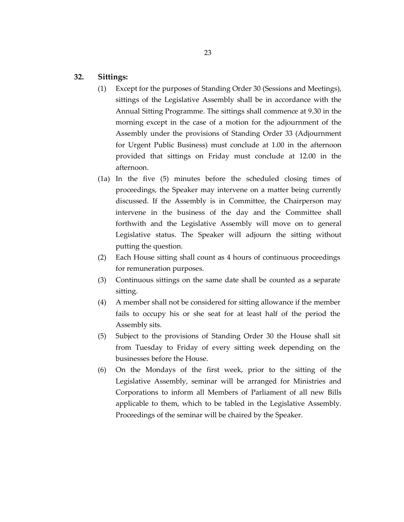#### **32. Sittings:**

- (1) Except for the purposes of Standing Order 30 (Sessions and Meetings), sittings of the Legislative Assembly shall be in accordance with the Annual Sitting Programme. The sittings shall commence at 9.30 in the morning except in the case of a motion for the adjournment of the Assembly under the provisions of Standing Order 33 (Adjournment for Urgent Public Business) must conclude at 1.00 in the afternoon provided that sittings on Friday must conclude at 12.00 in the afternoon.
- (1a) In the five (5) minutes before the scheduled closing times of proceedings, the Speaker may intervene on a matter being currently discussed. If the Assembly is in Committee, the Chairperson may intervene in the business of the day and the Committee shall forthwith and the Legislative Assembly will move on to general Legislative status. The Speaker will adjourn the sitting without putting the question.
- (2) Each House sitting shall count as 4 hours of continuous proceedings for remuneration purposes.
- (3) Continuous sittings on the same date shall be counted as a separate sitting.
- (4) A member shall not be considered for sitting allowance if the member fails to occupy his or she seat for at least half of the period the Assembly sits.
- (5) Subject to the provisions of Standing Order 30 the House shall sit from Tuesday to Friday of every sitting week depending on the businesses before the House.
- (6) On the Mondays of the first week, prior to the sitting of the Legislative Assembly, seminar will be arranged for Ministries and Corporations to inform all Members of Parliament of all new Bills applicable to them, which to be tabled in the Legislative Assembly. Proceedings of the seminar will be chaired by the Speaker.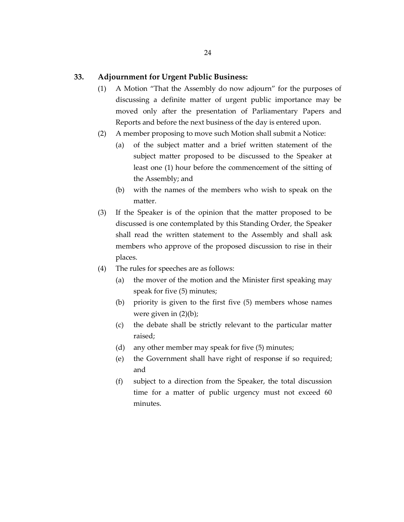#### **33. Adjournment for Urgent Public Business:**

- (1) A Motion "That the Assembly do now adjourn" for the purposes of discussing a definite matter of urgent public importance may be moved only after the presentation of Parliamentary Papers and Reports and before the next business of the day is entered upon.
- (2) A member proposing to move such Motion shall submit a Notice:
	- (a) of the subject matter and a brief written statement of the subject matter proposed to be discussed to the Speaker at least one (1) hour before the commencement of the sitting of the Assembly; and
	- (b) with the names of the members who wish to speak on the matter.
- (3) If the Speaker is of the opinion that the matter proposed to be discussed is one contemplated by this Standing Order, the Speaker shall read the written statement to the Assembly and shall ask members who approve of the proposed discussion to rise in their places.
- (4) The rules for speeches are as follows:
	- (a) the mover of the motion and the Minister first speaking may speak for five (5) minutes;
	- (b) priority is given to the first five (5) members whose names were given in (2)(b);
	- (c) the debate shall be strictly relevant to the particular matter raised;
	- (d) any other member may speak for five (5) minutes;
	- (e) the Government shall have right of response if so required; and
	- (f) subject to a direction from the Speaker, the total discussion time for a matter of public urgency must not exceed 60 minutes.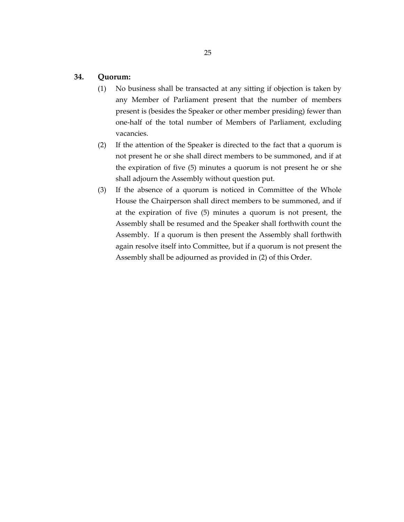#### **34. Quorum:**

- (1) No business shall be transacted at any sitting if objection is taken by any Member of Parliament present that the number of members present is (besides the Speaker or other member presiding) fewer than one-half of the total number of Members of Parliament, excluding vacancies.
- (2) If the attention of the Speaker is directed to the fact that a quorum is not present he or she shall direct members to be summoned, and if at the expiration of five (5) minutes a quorum is not present he or she shall adjourn the Assembly without question put.
- (3) If the absence of a quorum is noticed in Committee of the Whole House the Chairperson shall direct members to be summoned, and if at the expiration of five (5) minutes a quorum is not present, the Assembly shall be resumed and the Speaker shall forthwith count the Assembly. If a quorum is then present the Assembly shall forthwith again resolve itself into Committee, but if a quorum is not present the Assembly shall be adjourned as provided in (2) of this Order.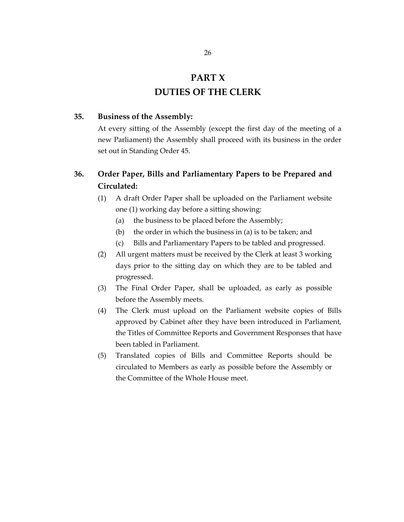# **PART X DUTIES OF THE CLERK**

#### **35. Business of the Assembly:**

At every sitting of the Assembly (except the first day of the meeting of a new Parliament) the Assembly shall proceed with its business in the order set out in Standing Order 45.

### **36. Order Paper, Bills and Parliamentary Papers to be Prepared and Circulated:**

- (1) A draft Order Paper shall be uploaded on the Parliament website one (1) working day before a sitting showing:
	- (a) the business to be placed before the Assembly;
	- (b) the order in which the business in (a) is to be taken; and
	- (c) Bills and Parliamentary Papers to be tabled and progressed.
- (2) All urgent matters must be received by the Clerk at least 3 working days prior to the sitting day on which they are to be tabled and progressed.
- (3) The Final Order Paper, shall be uploaded, as early as possible before the Assembly meets.
- (4) The Clerk must upload on the Parliament website copies of Bills approved by Cabinet after they have been introduced in Parliament, the Titles of Committee Reports and Government Responses that have been tabled in Parliament.
- (5) Translated copies of Bills and Committee Reports should be circulated to Members as early as possible before the Assembly or the Committee of the Whole House meet.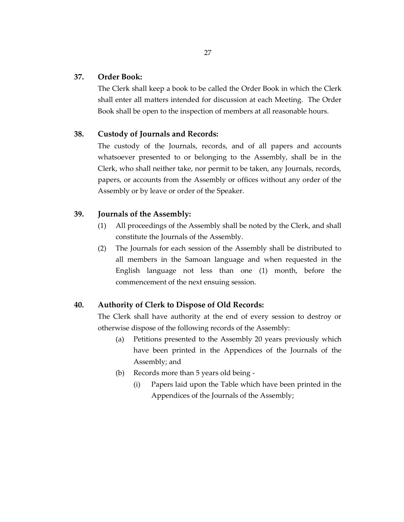#### **37. Order Book:**

The Clerk shall keep a book to be called the Order Book in which the Clerk shall enter all matters intended for discussion at each Meeting. The Order Book shall be open to the inspection of members at all reasonable hours.

#### **38. Custody of Journals and Records:**

The custody of the Journals, records, and of all papers and accounts whatsoever presented to or belonging to the Assembly, shall be in the Clerk, who shall neither take, nor permit to be taken, any Journals, records, papers, or accounts from the Assembly or offices without any order of the Assembly or by leave or order of the Speaker.

#### **39. Journals of the Assembly:**

- (1) All proceedings of the Assembly shall be noted by the Clerk, and shall constitute the Journals of the Assembly.
- (2) The Journals for each session of the Assembly shall be distributed to all members in the Samoan language and when requested in the English language not less than one (1) month, before the commencement of the next ensuing session.

#### **40. Authority of Clerk to Dispose of Old Records:**

The Clerk shall have authority at the end of every session to destroy or otherwise dispose of the following records of the Assembly:

- (a) Petitions presented to the Assembly 20 years previously which have been printed in the Appendices of the Journals of the Assembly; and
- (b) Records more than 5 years old being
	- (i) Papers laid upon the Table which have been printed in the Appendices of the Journals of the Assembly;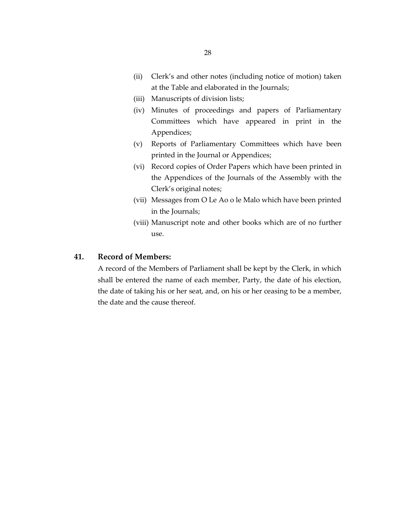- (ii) Clerk's and other notes (including notice of motion) taken at the Table and elaborated in the Journals;
- (iii) Manuscripts of division lists;
- (iv) Minutes of proceedings and papers of Parliamentary Committees which have appeared in print in the Appendices;
- (v) Reports of Parliamentary Committees which have been printed in the Journal or Appendices;
- (vi) Record copies of Order Papers which have been printed in the Appendices of the Journals of the Assembly with the Clerk's original notes;
- (vii) Messages from O Le Ao o le Malo which have been printed in the Journals;
- (viii) Manuscript note and other books which are of no further use.

#### **41. Record of Members:**

A record of the Members of Parliament shall be kept by the Clerk, in which shall be entered the name of each member, Party, the date of his election, the date of taking his or her seat, and, on his or her ceasing to be a member, the date and the cause thereof.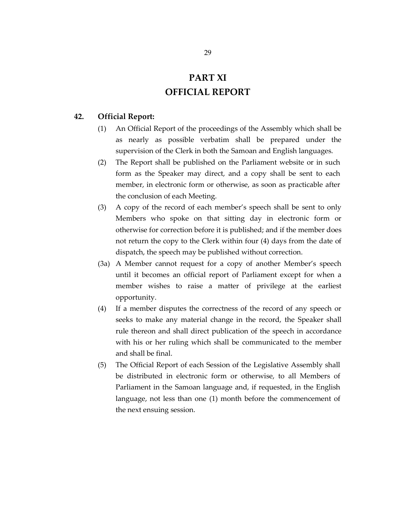### **PART XI OFFICIAL REPORT**

#### **42. Official Report:**

- (1) An Official Report of the proceedings of the Assembly which shall be as nearly as possible verbatim shall be prepared under the supervision of the Clerk in both the Samoan and English languages.
- (2) The Report shall be published on the Parliament website or in such form as the Speaker may direct, and a copy shall be sent to each member, in electronic form or otherwise, as soon as practicable after the conclusion of each Meeting.
- (3) A copy of the record of each member's speech shall be sent to only Members who spoke on that sitting day in electronic form or otherwise for correction before it is published; and if the member does not return the copy to the Clerk within four (4) days from the date of dispatch, the speech may be published without correction.
- (3a) A Member cannot request for a copy of another Member's speech until it becomes an official report of Parliament except for when a member wishes to raise a matter of privilege at the earliest opportunity.
- (4) If a member disputes the correctness of the record of any speech or seeks to make any material change in the record, the Speaker shall rule thereon and shall direct publication of the speech in accordance with his or her ruling which shall be communicated to the member and shall be final.
- (5) The Official Report of each Session of the Legislative Assembly shall be distributed in electronic form or otherwise, to all Members of Parliament in the Samoan language and, if requested, in the English language, not less than one (1) month before the commencement of the next ensuing session.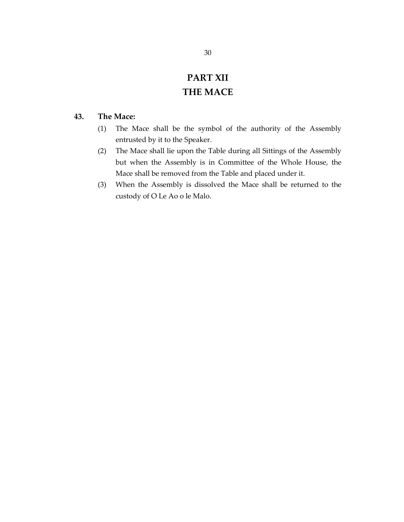# **PART XII THE MACE**

#### **43. The Mace:**

- (1) The Mace shall be the symbol of the authority of the Assembly entrusted by it to the Speaker.
- (2) The Mace shall lie upon the Table during all Sittings of the Assembly but when the Assembly is in Committee of the Whole House, the Mace shall be removed from the Table and placed under it.
- (3) When the Assembly is dissolved the Mace shall be returned to the custody of O Le Ao o le Malo.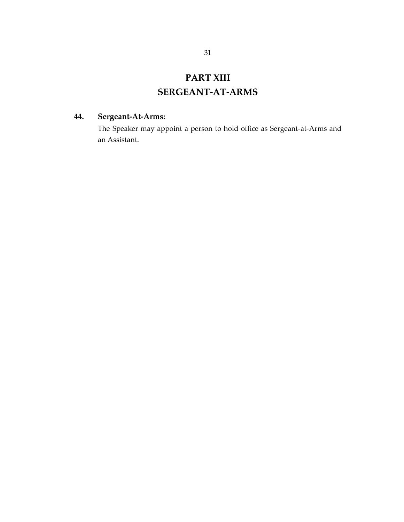### **PART XIII**

### **SERGEANT-AT-ARMS**

### **44. Sergeant-At-Arms:**

The Speaker may appoint a person to hold office as Sergeant-at-Arms and an Assistant.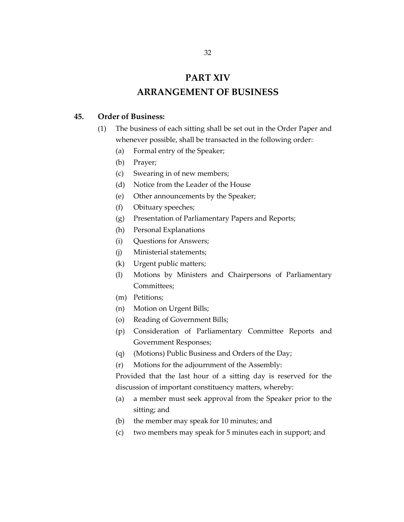### **PART XIV ARRANGEMENT OF BUSINESS**

#### **45. Order of Business:**

- (1) The business of each sitting shall be set out in the Order Paper and whenever possible, shall be transacted in the following order:
	- (a) Formal entry of the Speaker;
	- (b) Prayer;
	- (c) Swearing in of new members;
	- (d) Notice from the Leader of the House
	- (e) Other announcements by the Speaker;
	- (f) Obituary speeches;
	- (g) Presentation of Parliamentary Papers and Reports;
	- (h) Personal Explanations
	- (i) Questions for Answers;
	- (j) Ministerial statements;
	- (k) Urgent public matters;
	- (l) Motions by Ministers and Chairpersons of Parliamentary Committees;
	- (m) Petitions;
	- (n) Motion on Urgent Bills;
	- (o) Reading of Government Bills;
	- (p) Consideration of Parliamentary Committee Reports and Government Responses;
	- (q) (Motions) Public Business and Orders of the Day;
	- (r) Motions for the adjournment of the Assembly:

Provided that the last hour of a sitting day is reserved for the discussion of important constituency matters, whereby:

- (a) a member must seek approval from the Speaker prior to the sitting; and
- (b) the member may speak for 10 minutes; and
- (c) two members may speak for 5 minutes each in support; and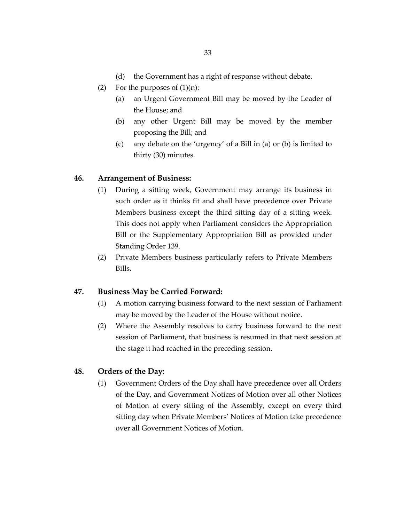- (d) the Government has a right of response without debate.
- (2) For the purposes of  $(1)(n)$ :
	- (a) an Urgent Government Bill may be moved by the Leader of the House; and
	- (b) any other Urgent Bill may be moved by the member proposing the Bill; and
	- (c) any debate on the 'urgency' of a Bill in (a) or (b) is limited to thirty (30) minutes.

#### **46. Arrangement of Business:**

- (1) During a sitting week, Government may arrange its business in such order as it thinks fit and shall have precedence over Private Members business except the third sitting day of a sitting week. This does not apply when Parliament considers the Appropriation Bill or the Supplementary Appropriation Bill as provided under Standing Order 139.
- (2) Private Members business particularly refers to Private Members Bills.

#### **47. Business May be Carried Forward:**

- (1) A motion carrying business forward to the next session of Parliament may be moved by the Leader of the House without notice.
- (2) Where the Assembly resolves to carry business forward to the next session of Parliament, that business is resumed in that next session at the stage it had reached in the preceding session.

#### **48. Orders of the Day:**

(1) Government Orders of the Day shall have precedence over all Orders of the Day, and Government Notices of Motion over all other Notices of Motion at every sitting of the Assembly, except on every third sitting day when Private Members' Notices of Motion take precedence over all Government Notices of Motion.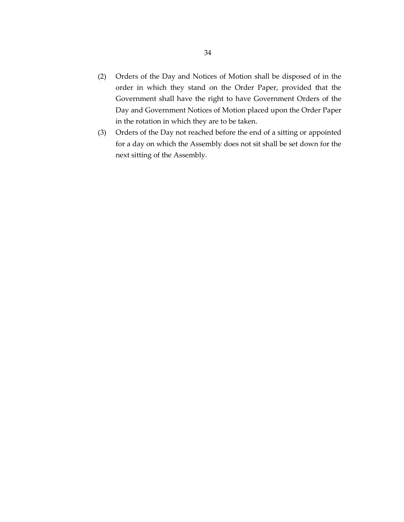- (2) Orders of the Day and Notices of Motion shall be disposed of in the order in which they stand on the Order Paper, provided that the Government shall have the right to have Government Orders of the Day and Government Notices of Motion placed upon the Order Paper in the rotation in which they are to be taken.
- (3) Orders of the Day not reached before the end of a sitting or appointed for a day on which the Assembly does not sit shall be set down for the next sitting of the Assembly.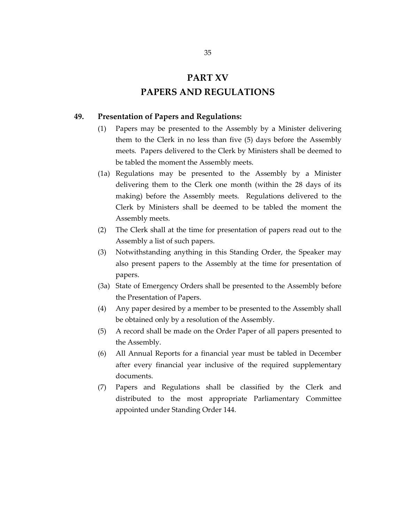# **PART XV PAPERS AND REGULATIONS**

#### **49. Presentation of Papers and Regulations:**

- (1) Papers may be presented to the Assembly by a Minister delivering them to the Clerk in no less than five (5) days before the Assembly meets. Papers delivered to the Clerk by Ministers shall be deemed to be tabled the moment the Assembly meets.
- (1a) Regulations may be presented to the Assembly by a Minister delivering them to the Clerk one month (within the 28 days of its making) before the Assembly meets. Regulations delivered to the Clerk by Ministers shall be deemed to be tabled the moment the Assembly meets.
- (2) The Clerk shall at the time for presentation of papers read out to the Assembly a list of such papers.
- (3) Notwithstanding anything in this Standing Order, the Speaker may also present papers to the Assembly at the time for presentation of papers.
- (3a) State of Emergency Orders shall be presented to the Assembly before the Presentation of Papers.
- (4) Any paper desired by a member to be presented to the Assembly shall be obtained only by a resolution of the Assembly.
- (5) A record shall be made on the Order Paper of all papers presented to the Assembly.
- (6) All Annual Reports for a financial year must be tabled in December after every financial year inclusive of the required supplementary documents.
- (7) Papers and Regulations shall be classified by the Clerk and distributed to the most appropriate Parliamentary Committee appointed under Standing Order 144.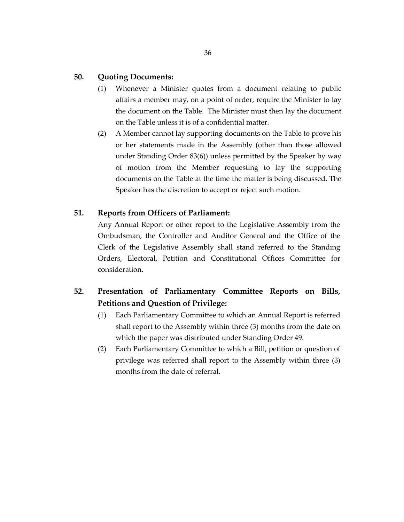#### **50. Quoting Documents:**

- (1) Whenever a Minister quotes from a document relating to public affairs a member may, on a point of order, require the Minister to lay the document on the Table. The Minister must then lay the document on the Table unless it is of a confidential matter.
- (2) A Member cannot lay supporting documents on the Table to prove his or her statements made in the Assembly (other than those allowed under Standing Order 83(6)) unless permitted by the Speaker by way of motion from the Member requesting to lay the supporting documents on the Table at the time the matter is being discussed. The Speaker has the discretion to accept or reject such motion.

#### **51. Reports from Officers of Parliament:**

Any Annual Report or other report to the Legislative Assembly from the Ombudsman, the Controller and Auditor General and the Office of the Clerk of the Legislative Assembly shall stand referred to the Standing Orders, Electoral, Petition and Constitutional Offices Committee for consideration.

### **52. Presentation of Parliamentary Committee Reports on Bills, Petitions and Question of Privilege:**

- (1) Each Parliamentary Committee to which an Annual Report is referred shall report to the Assembly within three (3) months from the date on which the paper was distributed under Standing Order 49.
- (2) Each Parliamentary Committee to which a Bill, petition or question of privilege was referred shall report to the Assembly within three (3) months from the date of referral.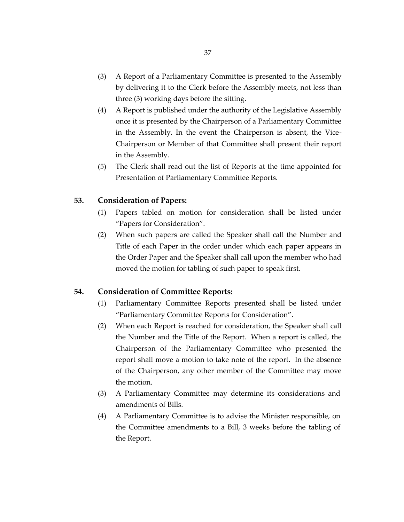- (3) A Report of a Parliamentary Committee is presented to the Assembly by delivering it to the Clerk before the Assembly meets, not less than three (3) working days before the sitting.
- (4) A Report is published under the authority of the Legislative Assembly once it is presented by the Chairperson of a Parliamentary Committee in the Assembly. In the event the Chairperson is absent, the Vice-Chairperson or Member of that Committee shall present their report in the Assembly.
- (5) The Clerk shall read out the list of Reports at the time appointed for Presentation of Parliamentary Committee Reports.

#### **53. Consideration of Papers:**

- (1) Papers tabled on motion for consideration shall be listed under "Papers for Consideration".
- (2) When such papers are called the Speaker shall call the Number and Title of each Paper in the order under which each paper appears in the Order Paper and the Speaker shall call upon the member who had moved the motion for tabling of such paper to speak first.

#### **54. Consideration of Committee Reports:**

- (1) Parliamentary Committee Reports presented shall be listed under "Parliamentary Committee Reports for Consideration".
- (2) When each Report is reached for consideration, the Speaker shall call the Number and the Title of the Report. When a report is called, the Chairperson of the Parliamentary Committee who presented the report shall move a motion to take note of the report. In the absence of the Chairperson, any other member of the Committee may move the motion.
- (3) A Parliamentary Committee may determine its considerations and amendments of Bills.
- (4) A Parliamentary Committee is to advise the Minister responsible, on the Committee amendments to a Bill, 3 weeks before the tabling of the Report.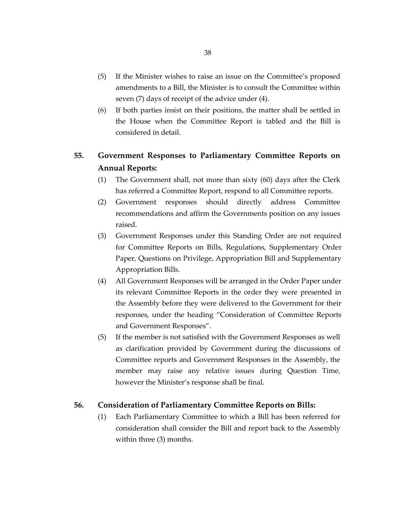- (5) If the Minister wishes to raise an issue on the Committee's proposed amendments to a Bill, the Minister is to consult the Committee within seven (7) days of receipt of the advice under (4).
- (6) If both parties insist on their positions, the matter shall be settled in the House when the Committee Report is tabled and the Bill is considered in detail.

# **55. Government Responses to Parliamentary Committee Reports on Annual Reports:**

- (1) The Government shall, not more than sixty (60) days after the Clerk has referred a Committee Report, respond to all Committee reports.
- (2) Government responses should directly address Committee recommendations and affirm the Governments position on any issues raised.
- (3) Government Responses under this Standing Order are not required for Committee Reports on Bills, Regulations, Supplementary Order Paper, Questions on Privilege, Appropriation Bill and Supplementary Appropriation Bills.
- (4) All Government Responses will be arranged in the Order Paper under its relevant Committee Reports in the order they were presented in the Assembly before they were delivered to the Government for their responses, under the heading "Consideration of Committee Reports and Government Responses".
- (5) If the member is not satisfied with the Government Responses as well as clarification provided by Government during the discussions of Committee reports and Government Responses in the Assembly, the member may raise any relative issues during Question Time, however the Minister's response shall be final.

#### **56. Consideration of Parliamentary Committee Reports on Bills:**

(1) Each Parliamentary Committee to which a Bill has been referred for consideration shall consider the Bill and report back to the Assembly within three (3) months.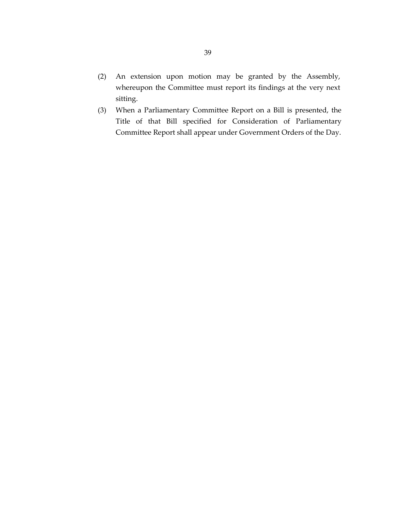- (2) An extension upon motion may be granted by the Assembly, whereupon the Committee must report its findings at the very next sitting.
- (3) When a Parliamentary Committee Report on a Bill is presented, the Title of that Bill specified for Consideration of Parliamentary Committee Report shall appear under Government Orders of the Day.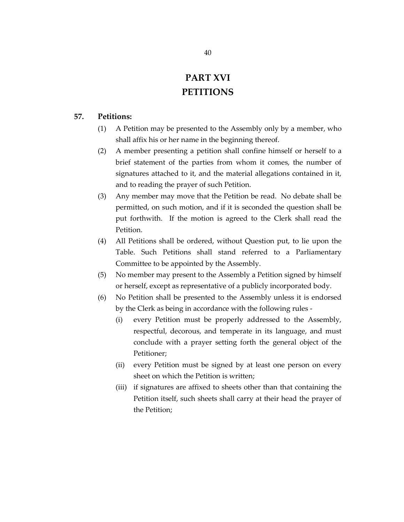# **PART XVI PETITIONS**

## **57. Petitions:**

- (1) A Petition may be presented to the Assembly only by a member, who shall affix his or her name in the beginning thereof.
- (2) A member presenting a petition shall confine himself or herself to a brief statement of the parties from whom it comes, the number of signatures attached to it, and the material allegations contained in it, and to reading the prayer of such Petition.
- (3) Any member may move that the Petition be read. No debate shall be permitted, on such motion, and if it is seconded the question shall be put forthwith. If the motion is agreed to the Clerk shall read the Petition.
- (4) All Petitions shall be ordered, without Question put, to lie upon the Table. Such Petitions shall stand referred to a Parliamentary Committee to be appointed by the Assembly.
- (5) No member may present to the Assembly a Petition signed by himself or herself, except as representative of a publicly incorporated body.
- (6) No Petition shall be presented to the Assembly unless it is endorsed by the Clerk as being in accordance with the following rules -
	- (i) every Petition must be properly addressed to the Assembly, respectful, decorous, and temperate in its language, and must conclude with a prayer setting forth the general object of the Petitioner;
	- (ii) every Petition must be signed by at least one person on every sheet on which the Petition is written;
	- (iii) if signatures are affixed to sheets other than that containing the Petition itself, such sheets shall carry at their head the prayer of the Petition;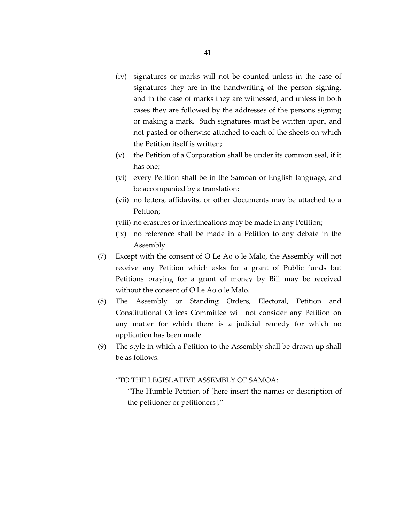- (iv) signatures or marks will not be counted unless in the case of signatures they are in the handwriting of the person signing, and in the case of marks they are witnessed, and unless in both cases they are followed by the addresses of the persons signing or making a mark. Such signatures must be written upon, and not pasted or otherwise attached to each of the sheets on which the Petition itself is written;
- (v) the Petition of a Corporation shall be under its common seal, if it has one;
- (vi) every Petition shall be in the Samoan or English language, and be accompanied by a translation;
- (vii) no letters, affidavits, or other documents may be attached to a Petition;
- (viii) no erasures or interlineations may be made in any Petition;
- (ix) no reference shall be made in a Petition to any debate in the Assembly.
- (7) Except with the consent of O Le Ao o le Malo, the Assembly will not receive any Petition which asks for a grant of Public funds but Petitions praying for a grant of money by Bill may be received without the consent of O Le Ao o le Malo.
- (8) The Assembly or Standing Orders, Electoral, Petition and Constitutional Offices Committee will not consider any Petition on any matter for which there is a judicial remedy for which no application has been made.
- (9) The style in which a Petition to the Assembly shall be drawn up shall be as follows:

"TO THE LEGISLATIVE ASSEMBLY OF SAMOA:

"The Humble Petition of [here insert the names or description of the petitioner or petitioners]."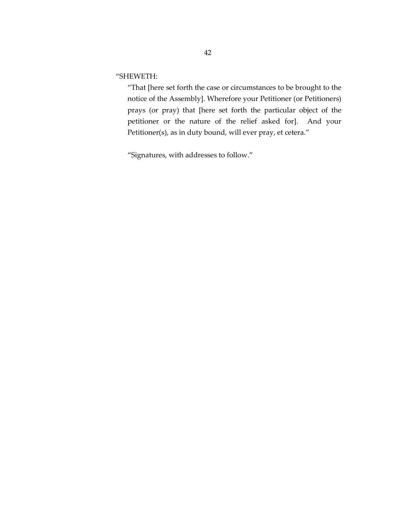"SHEWETH:

"That [here set forth the case or circumstances to be brought to the notice of the Assembly]. Wherefore your Petitioner (or Petitioners) prays (or pray) that [here set forth the particular object of the petitioner or the nature of the relief asked for]. And your Petitioner(s), as in duty bound, will ever pray, et cetera."

"Signatures, with addresses to follow."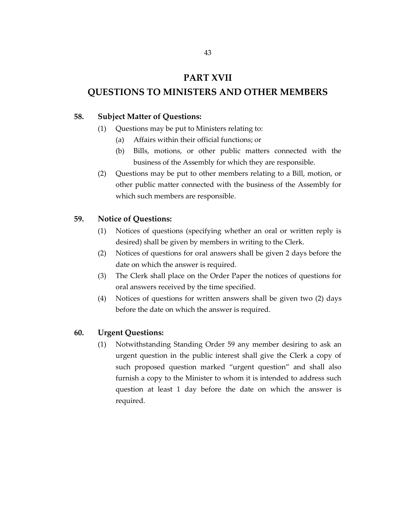# **PART XVII**

# **QUESTIONS TO MINISTERS AND OTHER MEMBERS**

#### **58. Subject Matter of Questions:**

- (1) Questions may be put to Ministers relating to:
	- (a) Affairs within their official functions; or
	- (b) Bills, motions, or other public matters connected with the business of the Assembly for which they are responsible.
- (2) Questions may be put to other members relating to a Bill, motion, or other public matter connected with the business of the Assembly for which such members are responsible.

# **59. Notice of Questions:**

- (1) Notices of questions (specifying whether an oral or written reply is desired) shall be given by members in writing to the Clerk.
- (2) Notices of questions for oral answers shall be given 2 days before the date on which the answer is required.
- (3) The Clerk shall place on the Order Paper the notices of questions for oral answers received by the time specified.
- (4) Notices of questions for written answers shall be given two (2) days before the date on which the answer is required.

#### **60. Urgent Questions:**

(1) Notwithstanding Standing Order 59 any member desiring to ask an urgent question in the public interest shall give the Clerk a copy of such proposed question marked "urgent question" and shall also furnish a copy to the Minister to whom it is intended to address such question at least 1 day before the date on which the answer is required.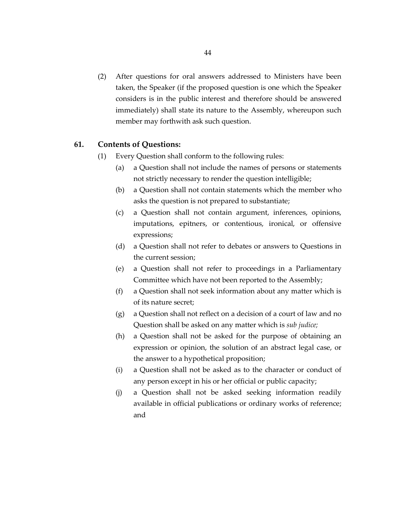(2) After questions for oral answers addressed to Ministers have been taken, the Speaker (if the proposed question is one which the Speaker considers is in the public interest and therefore should be answered immediately) shall state its nature to the Assembly, whereupon such member may forthwith ask such question.

#### **61. Contents of Questions:**

- (1) Every Question shall conform to the following rules:
	- (a) a Question shall not include the names of persons or statements not strictly necessary to render the question intelligible;
	- (b) a Question shall not contain statements which the member who asks the question is not prepared to substantiate;
	- (c) a Question shall not contain argument, inferences, opinions, imputations, epitners, or contentious, ironical, or offensive expressions;
	- (d) a Question shall not refer to debates or answers to Questions in the current session;
	- (e) a Question shall not refer to proceedings in a Parliamentary Committee which have not been reported to the Assembly;
	- (f) a Question shall not seek information about any matter which is of its nature secret;
	- (g) a Question shall not reflect on a decision of a court of law and no Question shall be asked on any matter which is *sub judice;*
	- (h) a Question shall not be asked for the purpose of obtaining an expression or opinion, the solution of an abstract legal case, or the answer to a hypothetical proposition;
	- (i) a Question shall not be asked as to the character or conduct of any person except in his or her official or public capacity;
	- (j) a Question shall not be asked seeking information readily available in official publications or ordinary works of reference; and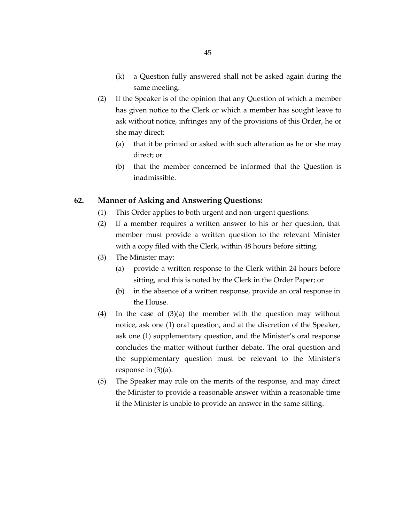- (k) a Question fully answered shall not be asked again during the same meeting.
- (2) If the Speaker is of the opinion that any Question of which a member has given notice to the Clerk or which a member has sought leave to ask without notice, infringes any of the provisions of this Order, he or she may direct:
	- (a) that it be printed or asked with such alteration as he or she may direct; or
	- (b) that the member concerned be informed that the Question is inadmissible.

# **62. Manner of Asking and Answering Questions:**

- (1) This Order applies to both urgent and non-urgent questions.
- (2) If a member requires a written answer to his or her question, that member must provide a written question to the relevant Minister with a copy filed with the Clerk, within 48 hours before sitting.
- (3) The Minister may:
	- (a) provide a written response to the Clerk within 24 hours before sitting, and this is noted by the Clerk in the Order Paper; or
	- (b) in the absence of a written response, provide an oral response in the House.
- (4) In the case of (3)(a) the member with the question may without notice, ask one (1) oral question, and at the discretion of the Speaker, ask one (1) supplementary question, and the Minister's oral response concludes the matter without further debate. The oral question and the supplementary question must be relevant to the Minister's response in (3)(a).
- (5) The Speaker may rule on the merits of the response, and may direct the Minister to provide a reasonable answer within a reasonable time if the Minister is unable to provide an answer in the same sitting.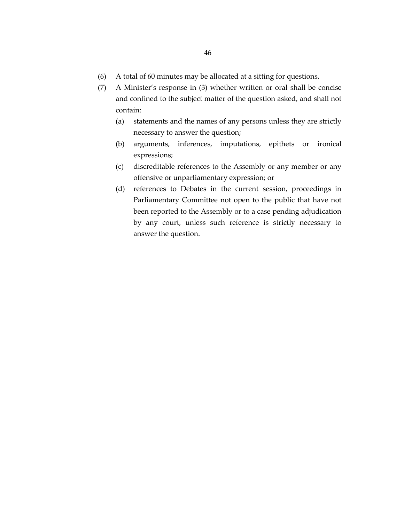- (6) A total of 60 minutes may be allocated at a sitting for questions.
- (7) A Minister's response in (3) whether written or oral shall be concise and confined to the subject matter of the question asked, and shall not contain:
	- (a) statements and the names of any persons unless they are strictly necessary to answer the question;
	- (b) arguments, inferences, imputations, epithets or ironical expressions;
	- (c) discreditable references to the Assembly or any member or any offensive or unparliamentary expression; or
	- (d) references to Debates in the current session, proceedings in Parliamentary Committee not open to the public that have not been reported to the Assembly or to a case pending adjudication by any court, unless such reference is strictly necessary to answer the question.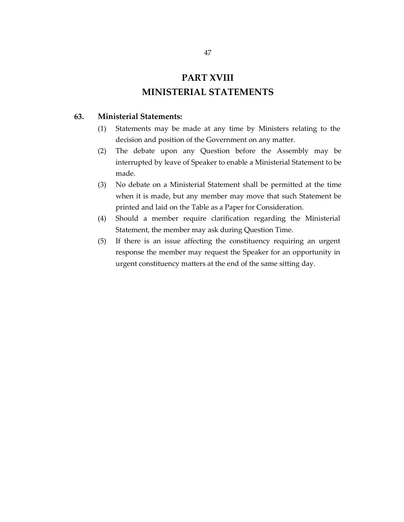# **PART XVIII MINISTERIAL STATEMENTS**

# **63. Ministerial Statements:**

- (1) Statements may be made at any time by Ministers relating to the decision and position of the Government on any matter.
- (2) The debate upon any Question before the Assembly may be interrupted by leave of Speaker to enable a Ministerial Statement to be made.
- (3) No debate on a Ministerial Statement shall be permitted at the time when it is made, but any member may move that such Statement be printed and laid on the Table as a Paper for Consideration.
- (4) Should a member require clarification regarding the Ministerial Statement, the member may ask during Question Time.
- (5) If there is an issue affecting the constituency requiring an urgent response the member may request the Speaker for an opportunity in urgent constituency matters at the end of the same sitting day.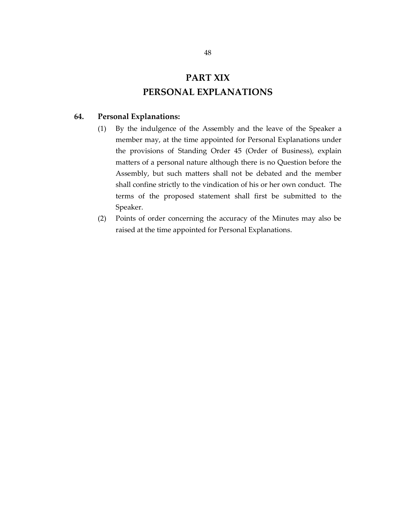# **PART XIX PERSONAL EXPLANATIONS**

# **64. Personal Explanations:**

- (1) By the indulgence of the Assembly and the leave of the Speaker a member may, at the time appointed for Personal Explanations under the provisions of Standing Order 45 (Order of Business), explain matters of a personal nature although there is no Question before the Assembly, but such matters shall not be debated and the member shall confine strictly to the vindication of his or her own conduct. The terms of the proposed statement shall first be submitted to the Speaker.
- (2) Points of order concerning the accuracy of the Minutes may also be raised at the time appointed for Personal Explanations.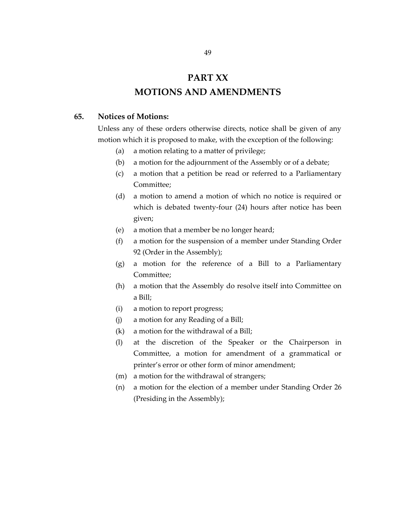# **PART XX MOTIONS AND AMENDMENTS**

## **65. Notices of Motions:**

Unless any of these orders otherwise directs, notice shall be given of any motion which it is proposed to make, with the exception of the following:

- (a) a motion relating to a matter of privilege;
- (b) a motion for the adjournment of the Assembly or of a debate;
- (c) a motion that a petition be read or referred to a Parliamentary Committee;
- (d) a motion to amend a motion of which no notice is required or which is debated twenty-four (24) hours after notice has been given;
- (e) a motion that a member be no longer heard;
- (f) a motion for the suspension of a member under Standing Order 92 (Order in the Assembly);
- (g) a motion for the reference of a Bill to a Parliamentary Committee;
- (h) a motion that the Assembly do resolve itself into Committee on a Bill;
- (i) a motion to report progress;
- (j) a motion for any Reading of a Bill;
- (k) a motion for the withdrawal of a Bill;
- (l) at the discretion of the Speaker or the Chairperson in Committee, a motion for amendment of a grammatical or printer's error or other form of minor amendment;
- (m) a motion for the withdrawal of strangers;
- (n) a motion for the election of a member under Standing Order 26 (Presiding in the Assembly);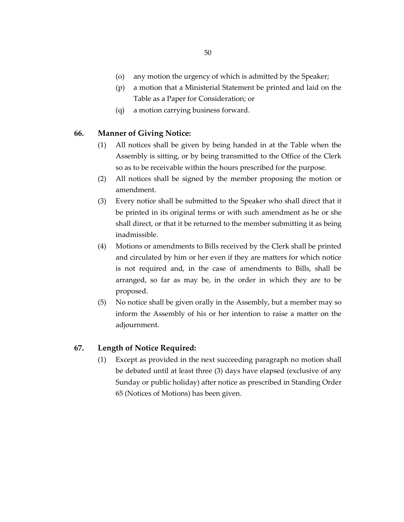- (o) any motion the urgency of which is admitted by the Speaker;
- (p) a motion that a Ministerial Statement be printed and laid on the Table as a Paper for Consideration; or
- (q) a motion carrying business forward.

## **66. Manner of Giving Notice:**

- (1) All notices shall be given by being handed in at the Table when the Assembly is sitting, or by being transmitted to the Office of the Clerk so as to be receivable within the hours prescribed for the purpose.
- (2) All notices shall be signed by the member proposing the motion or amendment.
- (3) Every notice shall be submitted to the Speaker who shall direct that it be printed in its original terms or with such amendment as he or she shall direct, or that it be returned to the member submitting it as being inadmissible.
- (4) Motions or amendments to Bills received by the Clerk shall be printed and circulated by him or her even if they are matters for which notice is not required and, in the case of amendments to Bills, shall be arranged, so far as may be, in the order in which they are to be proposed.
- (5) No notice shall be given orally in the Assembly, but a member may so inform the Assembly of his or her intention to raise a matter on the adjournment.

# **67. Length of Notice Required:**

(1) Except as provided in the next succeeding paragraph no motion shall be debated until at least three (3) days have elapsed (exclusive of any Sunday or public holiday) after notice as prescribed in Standing Order 65 (Notices of Motions) has been given.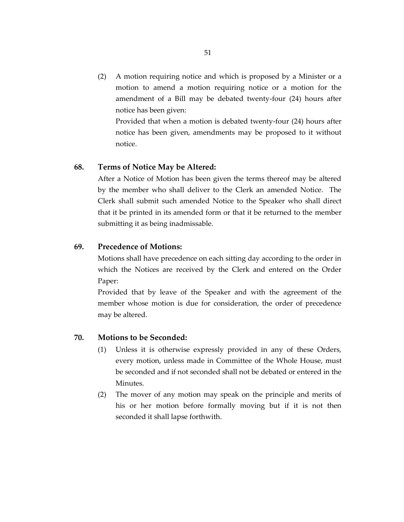(2) A motion requiring notice and which is proposed by a Minister or a motion to amend a motion requiring notice or a motion for the amendment of a Bill may be debated twenty-four (24) hours after notice has been given:

Provided that when a motion is debated twenty-four (24) hours after notice has been given, amendments may be proposed to it without notice.

## **68. Terms of Notice May be Altered:**

After a Notice of Motion has been given the terms thereof may be altered by the member who shall deliver to the Clerk an amended Notice. The Clerk shall submit such amended Notice to the Speaker who shall direct that it be printed in its amended form or that it be returned to the member submitting it as being inadmissable.

# **69. Precedence of Motions:**

Motions shall have precedence on each sitting day according to the order in which the Notices are received by the Clerk and entered on the Order Paper:

Provided that by leave of the Speaker and with the agreement of the member whose motion is due for consideration, the order of precedence may be altered.

# **70. Motions to be Seconded:**

- (1) Unless it is otherwise expressly provided in any of these Orders, every motion, unless made in Committee of the Whole House, must be seconded and if not seconded shall not be debated or entered in the Minutes.
- (2) The mover of any motion may speak on the principle and merits of his or her motion before formally moving but if it is not then seconded it shall lapse forthwith.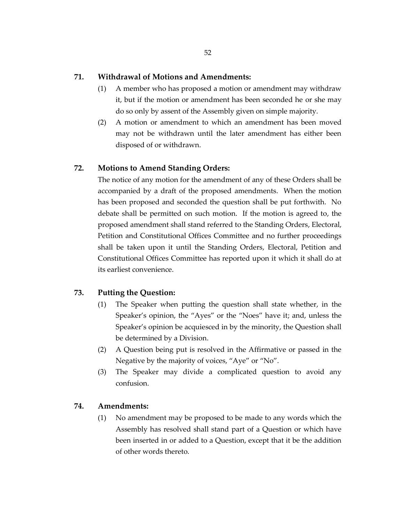## **71. Withdrawal of Motions and Amendments:**

- (1) A member who has proposed a motion or amendment may withdraw it, but if the motion or amendment has been seconded he or she may do so only by assent of the Assembly given on simple majority.
- (2) A motion or amendment to which an amendment has been moved may not be withdrawn until the later amendment has either been disposed of or withdrawn.

# **72. Motions to Amend Standing Orders:**

The notice of any motion for the amendment of any of these Orders shall be accompanied by a draft of the proposed amendments. When the motion has been proposed and seconded the question shall be put forthwith. No debate shall be permitted on such motion. If the motion is agreed to, the proposed amendment shall stand referred to the Standing Orders, Electoral, Petition and Constitutional Offices Committee and no further proceedings shall be taken upon it until the Standing Orders, Electoral, Petition and Constitutional Offices Committee has reported upon it which it shall do at its earliest convenience.

# **73. Putting the Question:**

- (1) The Speaker when putting the question shall state whether, in the Speaker's opinion, the "Ayes" or the "Noes" have it; and, unless the Speaker's opinion be acquiesced in by the minority, the Question shall be determined by a Division.
- (2) A Question being put is resolved in the Affirmative or passed in the Negative by the majority of voices, "Aye" or "No".
- (3) The Speaker may divide a complicated question to avoid any confusion.

# **74. Amendments:**

(1) No amendment may be proposed to be made to any words which the Assembly has resolved shall stand part of a Question or which have been inserted in or added to a Question, except that it be the addition of other words thereto.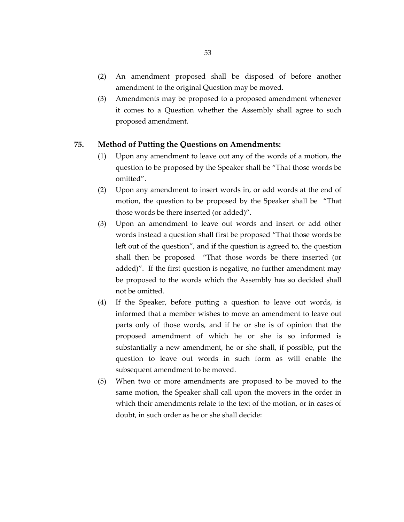- (2) An amendment proposed shall be disposed of before another amendment to the original Question may be moved.
- (3) Amendments may be proposed to a proposed amendment whenever it comes to a Question whether the Assembly shall agree to such proposed amendment.

## **75. Method of Putting the Questions on Amendments:**

- (1) Upon any amendment to leave out any of the words of a motion, the question to be proposed by the Speaker shall be "That those words be omitted".
- (2) Upon any amendment to insert words in, or add words at the end of motion, the question to be proposed by the Speaker shall be "That those words be there inserted (or added)".
- (3) Upon an amendment to leave out words and insert or add other words instead a question shall first be proposed "That those words be left out of the question", and if the question is agreed to, the question shall then be proposed "That those words be there inserted (or added)". If the first question is negative, no further amendment may be proposed to the words which the Assembly has so decided shall not be omitted.
- (4) If the Speaker, before putting a question to leave out words, is informed that a member wishes to move an amendment to leave out parts only of those words, and if he or she is of opinion that the proposed amendment of which he or she is so informed is substantially a new amendment, he or she shall, if possible, put the question to leave out words in such form as will enable the subsequent amendment to be moved.
- (5) When two or more amendments are proposed to be moved to the same motion, the Speaker shall call upon the movers in the order in which their amendments relate to the text of the motion, or in cases of doubt, in such order as he or she shall decide: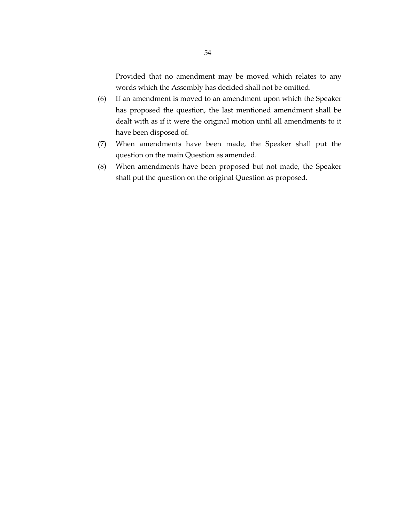Provided that no amendment may be moved which relates to any words which the Assembly has decided shall not be omitted.

- (6) If an amendment is moved to an amendment upon which the Speaker has proposed the question, the last mentioned amendment shall be dealt with as if it were the original motion until all amendments to it have been disposed of.
- (7) When amendments have been made, the Speaker shall put the question on the main Question as amended.
- (8) When amendments have been proposed but not made, the Speaker shall put the question on the original Question as proposed.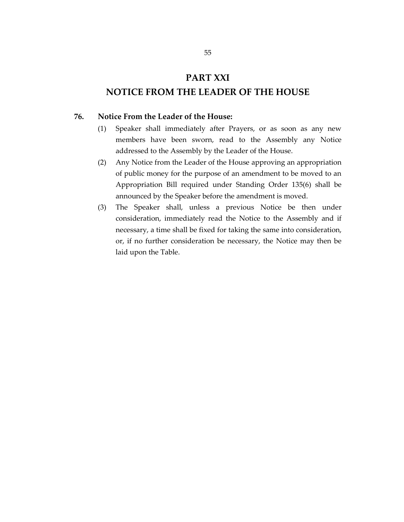# **PART XXI**

# **NOTICE FROM THE LEADER OF THE HOUSE**

## **76. Notice From the Leader of the House:**

- (1) Speaker shall immediately after Prayers, or as soon as any new members have been sworn, read to the Assembly any Notice addressed to the Assembly by the Leader of the House.
- (2) Any Notice from the Leader of the House approving an appropriation of public money for the purpose of an amendment to be moved to an Appropriation Bill required under Standing Order 135(6) shall be announced by the Speaker before the amendment is moved.
- (3) The Speaker shall, unless a previous Notice be then under consideration, immediately read the Notice to the Assembly and if necessary, a time shall be fixed for taking the same into consideration, or, if no further consideration be necessary, the Notice may then be laid upon the Table.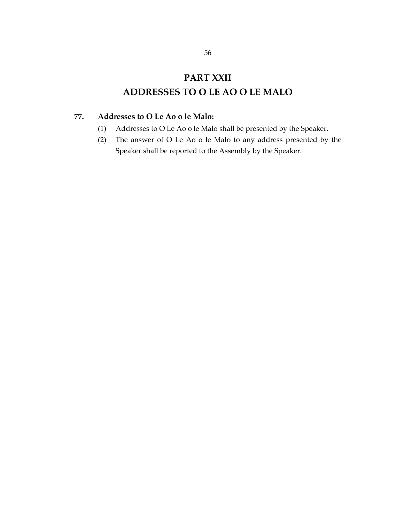# **PART XXII ADDRESSES TO O LE AO O LE MALO**

# **77. Addresses to O Le Ao o le Malo:**

- (1) Addresses to O Le Ao o le Malo shall be presented by the Speaker.
- (2) The answer of O Le Ao o le Malo to any address presented by the Speaker shall be reported to the Assembly by the Speaker.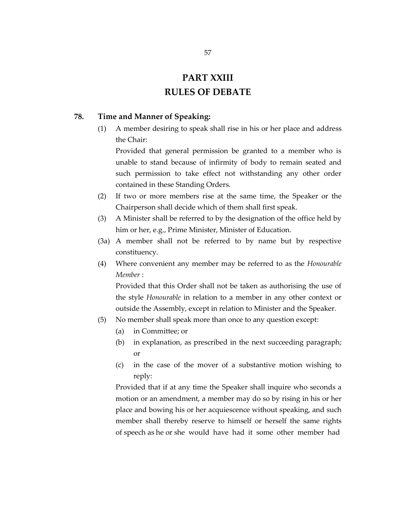# **PART XXIII RULES OF DEBATE**

# **78. Time and Manner of Speaking:**

(1) A member desiring to speak shall rise in his or her place and address the Chair:

Provided that general permission be granted to a member who is unable to stand because of infirmity of body to remain seated and such permission to take effect not withstanding any other order contained in these Standing Orders.

- (2) If two or more members rise at the same time, the Speaker or the Chairperson shall decide which of them shall first speak.
- (3) A Minister shall be referred to by the designation of the office held by him or her, e.g., Prime Minister, Minister of Education.
- (3a) A member shall not be referred to by name but by respective constituency.
- (4) Where convenient any member may be referred to as the *Honourable Member* :

Provided that this Order shall not be taken as authorising the use of the style *Honourable* in relation to a member in any other context or outside the Assembly, except in relation to Minister and the Speaker.

- (5) No member shall speak more than once to any question except:
	- (a) in Committee; or
	- (b) in explanation, as prescribed in the next succeeding paragraph; or
	- (c) in the case of the mover of a substantive motion wishing to reply:

Provided that if at any time the Speaker shall inquire who seconds a motion or an amendment, a member may do so by rising in his or her place and bowing his or her acquiescence without speaking, and such member shall thereby reserve to himself or herself the same rights of speech as he or she would have had it some other member had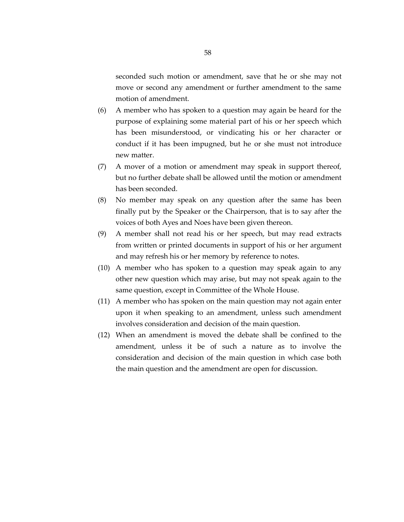seconded such motion or amendment, save that he or she may not move or second any amendment or further amendment to the same motion of amendment.

- (6) A member who has spoken to a question may again be heard for the purpose of explaining some material part of his or her speech which has been misunderstood, or vindicating his or her character or conduct if it has been impugned, but he or she must not introduce new matter.
- (7) A mover of a motion or amendment may speak in support thereof, but no further debate shall be allowed until the motion or amendment has been seconded.
- (8) No member may speak on any question after the same has been finally put by the Speaker or the Chairperson, that is to say after the voices of both Ayes and Noes have been given thereon.
- (9) A member shall not read his or her speech, but may read extracts from written or printed documents in support of his or her argument and may refresh his or her memory by reference to notes.
- (10) A member who has spoken to a question may speak again to any other new question which may arise, but may not speak again to the same question, except in Committee of the Whole House.
- (11) A member who has spoken on the main question may not again enter upon it when speaking to an amendment, unless such amendment involves consideration and decision of the main question.
- (12) When an amendment is moved the debate shall be confined to the amendment, unless it be of such a nature as to involve the consideration and decision of the main question in which case both the main question and the amendment are open for discussion.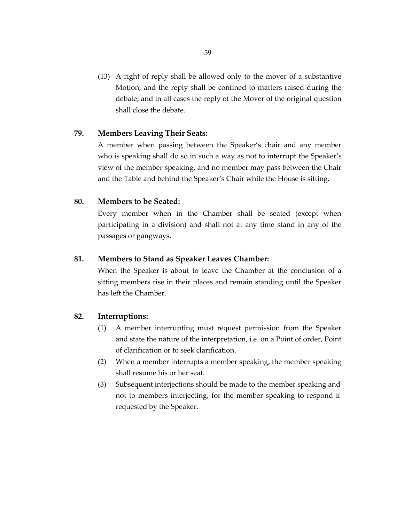(13) A right of reply shall be allowed only to the mover of a substantive Motion, and the reply shall be confined to matters raised during the debate; and in all cases the reply of the Mover of the original question shall close the debate.

## **79. Members Leaving Their Seats:**

A member when passing between the Speaker's chair and any member who is speaking shall do so in such a way as not to interrupt the Speaker's view of the member speaking, and no member may pass between the Chair and the Table and behind the Speaker's Chair while the House is sitting.

#### **80. Members to be Seated:**

Every member when in the Chamber shall be seated (except when participating in a division) and shall not at any time stand in any of the passages or gangways.

#### **81. Members to Stand as Speaker Leaves Chamber:**

When the Speaker is about to leave the Chamber at the conclusion of a sitting members rise in their places and remain standing until the Speaker has left the Chamber.

#### **82. Interruptions:**

- (1) A member interrupting must request permission from the Speaker and state the nature of the interpretation, i.e. on a Point of order, Point of clarification or to seek clarification.
- (2) When a member interrupts a member speaking, the member speaking shall resume his or her seat.
- (3) Subsequent interjections should be made to the member speaking and not to members interjecting, for the member speaking to respond if requested by the Speaker.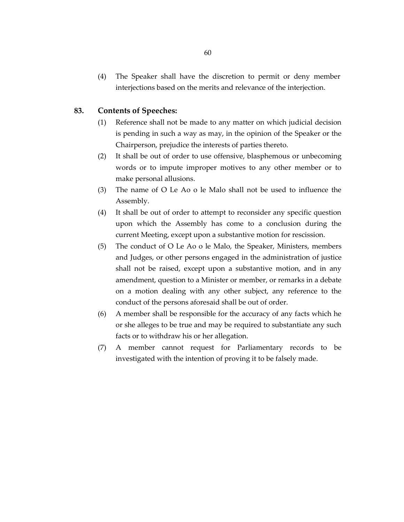(4) The Speaker shall have the discretion to permit or deny member interjections based on the merits and relevance of the interjection.

#### **83. Contents of Speeches:**

- (1) Reference shall not be made to any matter on which judicial decision is pending in such a way as may, in the opinion of the Speaker or the Chairperson, prejudice the interests of parties thereto.
- (2) It shall be out of order to use offensive, blasphemous or unbecoming words or to impute improper motives to any other member or to make personal allusions.
- (3) The name of O Le Ao o le Malo shall not be used to influence the Assembly.
- (4) It shall be out of order to attempt to reconsider any specific question upon which the Assembly has come to a conclusion during the current Meeting, except upon a substantive motion for rescission.
- (5) The conduct of O Le Ao o le Malo, the Speaker, Ministers, members and Judges, or other persons engaged in the administration of justice shall not be raised, except upon a substantive motion, and in any amendment, question to a Minister or member, or remarks in a debate on a motion dealing with any other subject, any reference to the conduct of the persons aforesaid shall be out of order.
- (6) A member shall be responsible for the accuracy of any facts which he or she alleges to be true and may be required to substantiate any such facts or to withdraw his or her allegation.
- (7) A member cannot request for Parliamentary records to be investigated with the intention of proving it to be falsely made.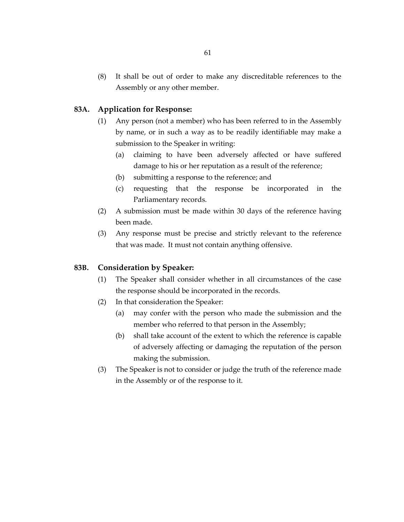(8) It shall be out of order to make any discreditable references to the Assembly or any other member.

## **83A. Application for Response:**

- (1) Any person (not a member) who has been referred to in the Assembly by name, or in such a way as to be readily identifiable may make a submission to the Speaker in writing:
	- (a) claiming to have been adversely affected or have suffered damage to his or her reputation as a result of the reference;
	- (b) submitting a response to the reference; and
	- (c) requesting that the response be incorporated in the Parliamentary records.
- (2) A submission must be made within 30 days of the reference having been made.
- (3) Any response must be precise and strictly relevant to the reference that was made. It must not contain anything offensive.

#### **83B. Consideration by Speaker:**

- (1) The Speaker shall consider whether in all circumstances of the case the response should be incorporated in the records.
- (2) In that consideration the Speaker:
	- (a) may confer with the person who made the submission and the member who referred to that person in the Assembly;
	- (b) shall take account of the extent to which the reference is capable of adversely affecting or damaging the reputation of the person making the submission.
- (3) The Speaker is not to consider or judge the truth of the reference made in the Assembly or of the response to it.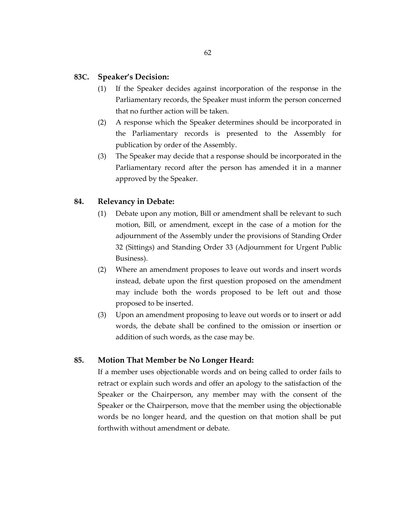#### **83C. Speaker's Decision:**

- (1) If the Speaker decides against incorporation of the response in the Parliamentary records, the Speaker must inform the person concerned that no further action will be taken.
- (2) A response which the Speaker determines should be incorporated in the Parliamentary records is presented to the Assembly for publication by order of the Assembly.
- (3) The Speaker may decide that a response should be incorporated in the Parliamentary record after the person has amended it in a manner approved by the Speaker.

# **84. Relevancy in Debate:**

- (1) Debate upon any motion, Bill or amendment shall be relevant to such motion, Bill, or amendment, except in the case of a motion for the adjournment of the Assembly under the provisions of Standing Order 32 (Sittings) and Standing Order 33 (Adjournment for Urgent Public Business).
- (2) Where an amendment proposes to leave out words and insert words instead, debate upon the first question proposed on the amendment may include both the words proposed to be left out and those proposed to be inserted.
- (3) Upon an amendment proposing to leave out words or to insert or add words, the debate shall be confined to the omission or insertion or addition of such words, as the case may be.

# **85. Motion That Member be No Longer Heard:**

If a member uses objectionable words and on being called to order fails to retract or explain such words and offer an apology to the satisfaction of the Speaker or the Chairperson, any member may with the consent of the Speaker or the Chairperson, move that the member using the objectionable words be no longer heard, and the question on that motion shall be put forthwith without amendment or debate.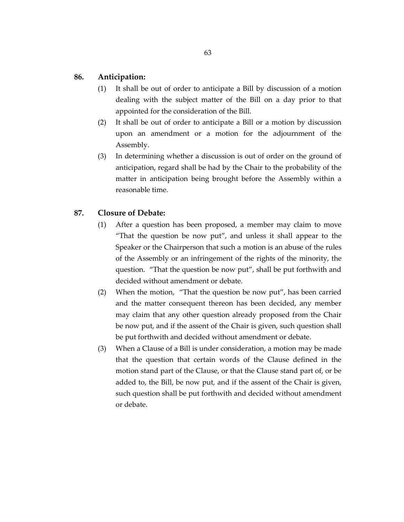## **86. Anticipation:**

- (1) It shall be out of order to anticipate a Bill by discussion of a motion dealing with the subject matter of the Bill on a day prior to that appointed for the consideration of the Bill.
- (2) It shall be out of order to anticipate a Bill or a motion by discussion upon an amendment or a motion for the adjournment of the Assembly.
- (3) In determining whether a discussion is out of order on the ground of anticipation, regard shall be had by the Chair to the probability of the matter in anticipation being brought before the Assembly within a reasonable time.

#### **87. Closure of Debate:**

- (1) After a question has been proposed, a member may claim to move "That the question be now put", and unless it shall appear to the Speaker or the Chairperson that such a motion is an abuse of the rules of the Assembly or an infringement of the rights of the minority, the question. "That the question be now put", shall be put forthwith and decided without amendment or debate.
- (2) When the motion, "That the question be now put", has been carried and the matter consequent thereon has been decided, any member may claim that any other question already proposed from the Chair be now put, and if the assent of the Chair is given, such question shall be put forthwith and decided without amendment or debate.
- (3) When a Clause of a Bill is under consideration, a motion may be made that the question that certain words of the Clause defined in the motion stand part of the Clause, or that the Clause stand part of, or be added to, the Bill, be now put, and if the assent of the Chair is given, such question shall be put forthwith and decided without amendment or debate.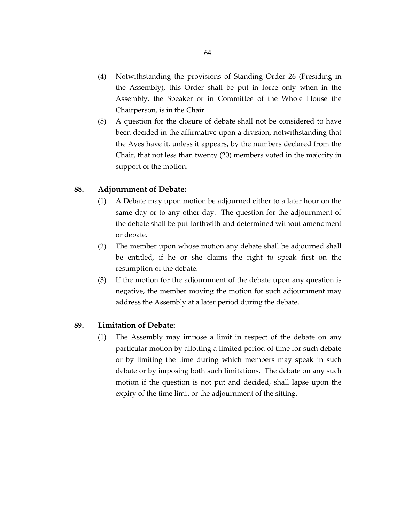- (4) Notwithstanding the provisions of Standing Order 26 (Presiding in the Assembly), this Order shall be put in force only when in the Assembly, the Speaker or in Committee of the Whole House the Chairperson, is in the Chair.
- (5) A question for the closure of debate shall not be considered to have been decided in the affirmative upon a division, notwithstanding that the Ayes have it, unless it appears, by the numbers declared from the Chair, that not less than twenty (20) members voted in the majority in support of the motion.

#### **88. Adjournment of Debate:**

- (1) A Debate may upon motion be adjourned either to a later hour on the same day or to any other day. The question for the adjournment of the debate shall be put forthwith and determined without amendment or debate.
- (2) The member upon whose motion any debate shall be adjourned shall be entitled, if he or she claims the right to speak first on the resumption of the debate.
- (3) If the motion for the adjournment of the debate upon any question is negative, the member moving the motion for such adjournment may address the Assembly at a later period during the debate.

#### **89. Limitation of Debate:**

(1) The Assembly may impose a limit in respect of the debate on any particular motion by allotting a limited period of time for such debate or by limiting the time during which members may speak in such debate or by imposing both such limitations. The debate on any such motion if the question is not put and decided, shall lapse upon the expiry of the time limit or the adjournment of the sitting.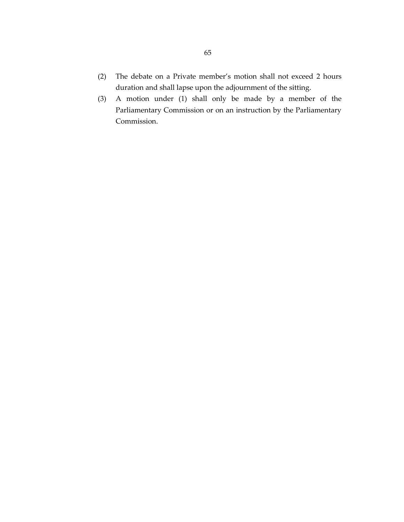- (2) The debate on a Private member's motion shall not exceed 2 hours duration and shall lapse upon the adjournment of the sitting.
- (3) A motion under (1) shall only be made by a member of the Parliamentary Commission or on an instruction by the Parliamentary Commission.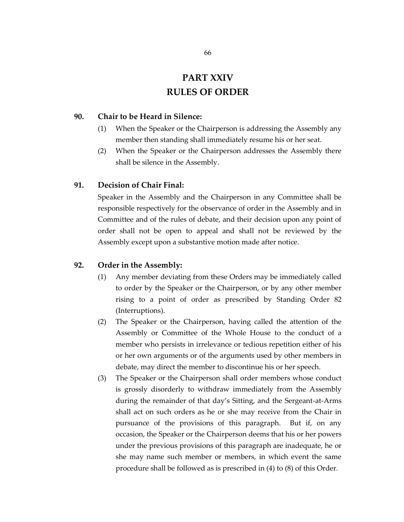# **PART XXIV RULES OF ORDER**

## **90. Chair to be Heard in Silence:**

- (1) When the Speaker or the Chairperson is addressing the Assembly any member then standing shall immediately resume his or her seat.
- (2) When the Speaker or the Chairperson addresses the Assembly there shall be silence in the Assembly.

#### **91. Decision of Chair Final:**

Speaker in the Assembly and the Chairperson in any Committee shall be responsible respectively for the observance of order in the Assembly and in Committee and of the rules of debate, and their decision upon any point of order shall not be open to appeal and shall not be reviewed by the Assembly except upon a substantive motion made after notice.

#### **92. Order in the Assembly:**

- (1) Any member deviating from these Orders may be immediately called to order by the Speaker or the Chairperson, or by any other member rising to a point of order as prescribed by Standing Order 82 (Interruptions).
- (2) The Speaker or the Chairperson, having called the attention of the Assembly or Committee of the Whole House to the conduct of a member who persists in irrelevance or tedious repetition either of his or her own arguments or of the arguments used by other members in debate, may direct the member to discontinue his or her speech.
- (3) The Speaker or the Chairperson shall order members whose conduct is grossly disorderly to withdraw immediately from the Assembly during the remainder of that day's Sitting, and the Sergeant-at-Arms shall act on such orders as he or she may receive from the Chair in pursuance of the provisions of this paragraph. But if, on any occasion, the Speaker or the Chairperson deems that his or her powers under the previous provisions of this paragraph are inadequate, he or she may name such member or members, in which event the same procedure shall be followed as is prescribed in (4) to (8) of this Order.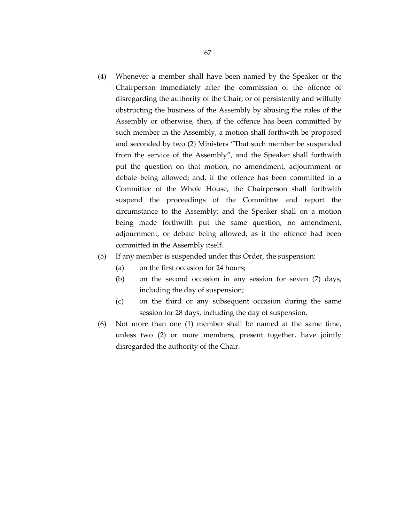(4) Whenever a member shall have been named by the Speaker or the Chairperson immediately after the commission of the offence of disregarding the authority of the Chair, or of persistently and wilfully obstructing the business of the Assembly by abusing the rules of the Assembly or otherwise, then, if the offence has been committed by such member in the Assembly, a motion shall forthwith be proposed and seconded by two (2) Ministers "That such member be suspended from the service of the Assembly", and the Speaker shall forthwith put the question on that motion, no amendment, adjournment or debate being allowed; and, if the offence has been committed in a Committee of the Whole House, the Chairperson shall forthwith suspend the proceedings of the Committee and report the circumstance to the Assembly; and the Speaker shall on a motion being made forthwith put the same question, no amendment, adjournment, or debate being allowed, as if the offence had been committed in the Assembly itself.

#### (5) If any member is suspended under this Order, the suspension:

- (a) on the first occasion for 24 hours;
- (b) on the second occasion in any session for seven (7) days, including the day of suspension;
- (c) on the third or any subsequent occasion during the same session for 28 days, including the day of suspension.
- (6) Not more than one (1) member shall be named at the same time, unless two (2) or more members, present together, have jointly disregarded the authority of the Chair.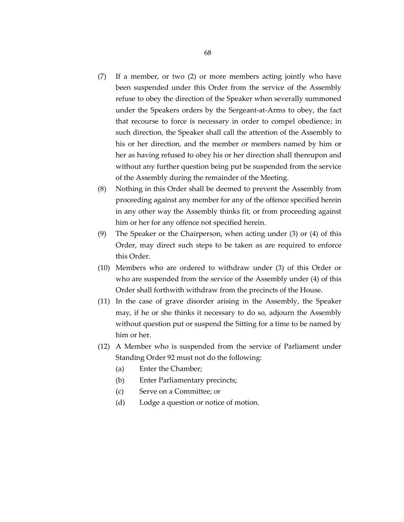- (7) If a member, or two (2) or more members acting jointly who have been suspended under this Order from the service of the Assembly refuse to obey the direction of the Speaker when severally summoned under the Speakers orders by the Sergeant-at-Arms to obey, the fact that recourse to force is necessary in order to compel obedience; in such direction, the Speaker shall call the attention of the Assembly to his or her direction, and the member or members named by him or her as having refused to obey his or her direction shall thereupon and without any further question being put be suspended from the service of the Assembly during the remainder of the Meeting.
- (8) Nothing in this Order shall be deemed to prevent the Assembly from proceeding against any member for any of the offence specified herein in any other way the Assembly thinks fit, or from proceeding against him or her for any offence not specified herein.
- (9) The Speaker or the Chairperson, when acting under (3) or (4) of this Order, may direct such steps to be taken as are required to enforce this Order.
- (10) Members who are ordered to withdraw under (3) of this Order or who are suspended from the service of the Assembly under (4) of this Order shall forthwith withdraw from the precincts of the House.
- (11) In the case of grave disorder arising in the Assembly, the Speaker may, if he or she thinks it necessary to do so, adjourn the Assembly without question put or suspend the Sitting for a time to be named by him or her.
- (12) A Member who is suspended from the service of Parliament under Standing Order 92 must not do the following:
	- (a) Enter the Chamber;
	- (b) Enter Parliamentary precincts;
	- (c) Serve on a Committee; or
	- (d) Lodge a question or notice of motion.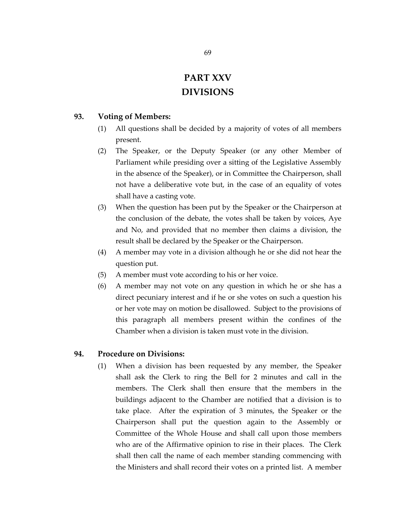# **PART XXV DIVISIONS**

# **93. Voting of Members:**

- (1) All questions shall be decided by a majority of votes of all members present.
- (2) The Speaker, or the Deputy Speaker (or any other Member of Parliament while presiding over a sitting of the Legislative Assembly in the absence of the Speaker), or in Committee the Chairperson, shall not have a deliberative vote but, in the case of an equality of votes shall have a casting vote.
- (3) When the question has been put by the Speaker or the Chairperson at the conclusion of the debate, the votes shall be taken by voices, Aye and No, and provided that no member then claims a division, the result shall be declared by the Speaker or the Chairperson.
- (4) A member may vote in a division although he or she did not hear the question put.
- (5) A member must vote according to his or her voice.
- (6) A member may not vote on any question in which he or she has a direct pecuniary interest and if he or she votes on such a question his or her vote may on motion be disallowed. Subject to the provisions of this paragraph all members present within the confines of the Chamber when a division is taken must vote in the division.

#### **94. Procedure on Divisions:**

(1) When a division has been requested by any member, the Speaker shall ask the Clerk to ring the Bell for 2 minutes and call in the members. The Clerk shall then ensure that the members in the buildings adjacent to the Chamber are notified that a division is to take place. After the expiration of 3 minutes, the Speaker or the Chairperson shall put the question again to the Assembly or Committee of the Whole House and shall call upon those members who are of the Affirmative opinion to rise in their places. The Clerk shall then call the name of each member standing commencing with the Ministers and shall record their votes on a printed list. A member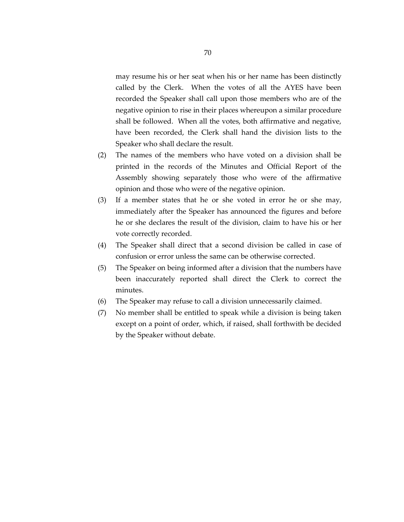may resume his or her seat when his or her name has been distinctly called by the Clerk. When the votes of all the AYES have been recorded the Speaker shall call upon those members who are of the negative opinion to rise in their places whereupon a similar procedure shall be followed. When all the votes, both affirmative and negative, have been recorded, the Clerk shall hand the division lists to the Speaker who shall declare the result.

- (2) The names of the members who have voted on a division shall be printed in the records of the Minutes and Official Report of the Assembly showing separately those who were of the affirmative opinion and those who were of the negative opinion.
- (3) If a member states that he or she voted in error he or she may, immediately after the Speaker has announced the figures and before he or she declares the result of the division, claim to have his or her vote correctly recorded.
- (4) The Speaker shall direct that a second division be called in case of confusion or error unless the same can be otherwise corrected.
- (5) The Speaker on being informed after a division that the numbers have been inaccurately reported shall direct the Clerk to correct the minutes.
- (6) The Speaker may refuse to call a division unnecessarily claimed.
- (7) No member shall be entitled to speak while a division is being taken except on a point of order, which, if raised, shall forthwith be decided by the Speaker without debate.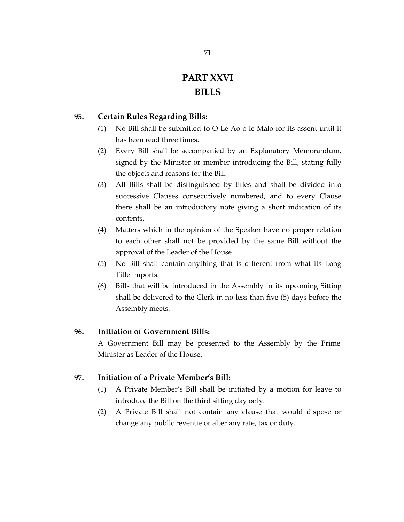# **PART XXVI BILLS**

# **95. Certain Rules Regarding Bills:**

- (1) No Bill shall be submitted to O Le Ao o le Malo for its assent until it has been read three times.
- (2) Every Bill shall be accompanied by an Explanatory Memorandum, signed by the Minister or member introducing the Bill, stating fully the objects and reasons for the Bill.
- (3) All Bills shall be distinguished by titles and shall be divided into successive Clauses consecutively numbered, and to every Clause there shall be an introductory note giving a short indication of its contents.
- (4) Matters which in the opinion of the Speaker have no proper relation to each other shall not be provided by the same Bill without the approval of the Leader of the House
- (5) No Bill shall contain anything that is different from what its Long Title imports.
- (6) Bills that will be introduced in the Assembly in its upcoming Sitting shall be delivered to the Clerk in no less than five (5) days before the Assembly meets.

# **96. Initiation of Government Bills:**

A Government Bill may be presented to the Assembly by the Prime Minister as Leader of the House.

# **97. Initiation of a Private Member's Bill:**

- (1) A Private Member's Bill shall be initiated by a motion for leave to introduce the Bill on the third sitting day only.
- (2) A Private Bill shall not contain any clause that would dispose or change any public revenue or alter any rate, tax or duty.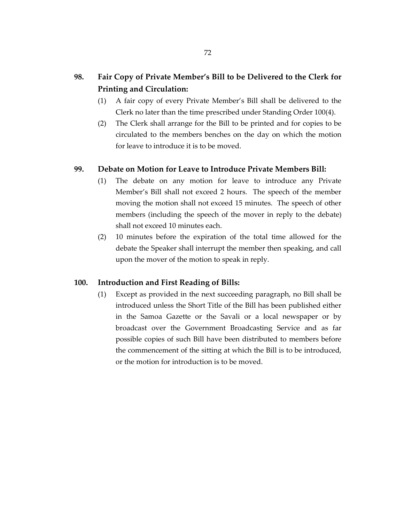# **98. Fair Copy of Private Member's Bill to be Delivered to the Clerk for Printing and Circulation:**

- (1) A fair copy of every Private Member's Bill shall be delivered to the Clerk no later than the time prescribed under Standing Order 100(4).
- (2) The Clerk shall arrange for the Bill to be printed and for copies to be circulated to the members benches on the day on which the motion for leave to introduce it is to be moved.

# **99. Debate on Motion for Leave to Introduce Private Members Bill:**

- (1) The debate on any motion for leave to introduce any Private Member's Bill shall not exceed 2 hours. The speech of the member moving the motion shall not exceed 15 minutes. The speech of other members (including the speech of the mover in reply to the debate) shall not exceed 10 minutes each.
- (2) 10 minutes before the expiration of the total time allowed for the debate the Speaker shall interrupt the member then speaking, and call upon the mover of the motion to speak in reply.

#### **100. Introduction and First Reading of Bills:**

(1) Except as provided in the next succeeding paragraph, no Bill shall be introduced unless the Short Title of the Bill has been published either in the Samoa Gazette or the Savali or a local newspaper or by broadcast over the Government Broadcasting Service and as far possible copies of such Bill have been distributed to members before the commencement of the sitting at which the Bill is to be introduced, or the motion for introduction is to be moved.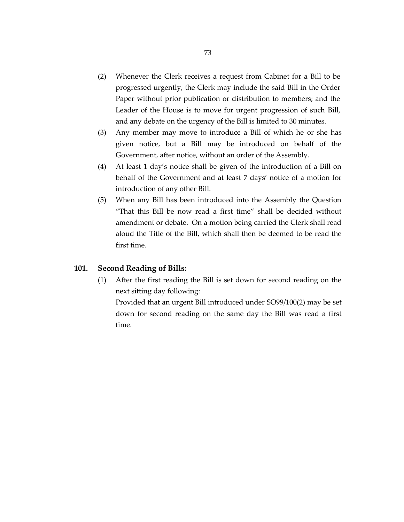- (2) Whenever the Clerk receives a request from Cabinet for a Bill to be progressed urgently, the Clerk may include the said Bill in the Order Paper without prior publication or distribution to members; and the Leader of the House is to move for urgent progression of such Bill, and any debate on the urgency of the Bill is limited to 30 minutes.
- (3) Any member may move to introduce a Bill of which he or she has given notice, but a Bill may be introduced on behalf of the Government, after notice, without an order of the Assembly.
- (4) At least 1 day's notice shall be given of the introduction of a Bill on behalf of the Government and at least 7 days' notice of a motion for introduction of any other Bill.
- (5) When any Bill has been introduced into the Assembly the Question "That this Bill be now read a first time" shall be decided without amendment or debate. On a motion being carried the Clerk shall read aloud the Title of the Bill, which shall then be deemed to be read the first time.

## **101. Second Reading of Bills:**

(1) After the first reading the Bill is set down for second reading on the next sitting day following:

Provided that an urgent Bill introduced under SO99/100(2) may be set down for second reading on the same day the Bill was read a first time.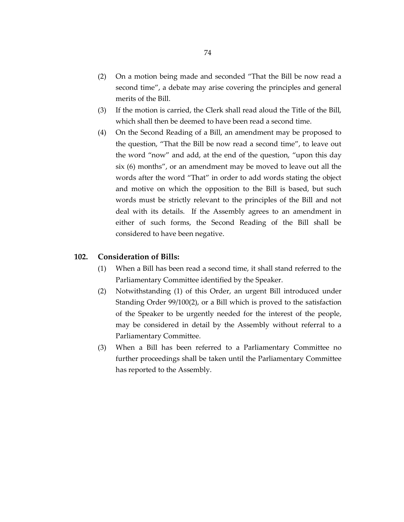- (2) On a motion being made and seconded "That the Bill be now read a second time", a debate may arise covering the principles and general merits of the Bill.
- (3) If the motion is carried, the Clerk shall read aloud the Title of the Bill, which shall then be deemed to have been read a second time.
- (4) On the Second Reading of a Bill, an amendment may be proposed to the question, "That the Bill be now read a second time", to leave out the word "now" and add, at the end of the question, "upon this day six (6) months", or an amendment may be moved to leave out all the words after the word "That" in order to add words stating the object and motive on which the opposition to the Bill is based, but such words must be strictly relevant to the principles of the Bill and not deal with its details. If the Assembly agrees to an amendment in either of such forms, the Second Reading of the Bill shall be considered to have been negative.

## **102. Consideration of Bills:**

- (1) When a Bill has been read a second time, it shall stand referred to the Parliamentary Committee identified by the Speaker.
- (2) Notwithstanding (1) of this Order, an urgent Bill introduced under Standing Order 99/100(2), or a Bill which is proved to the satisfaction of the Speaker to be urgently needed for the interest of the people, may be considered in detail by the Assembly without referral to a Parliamentary Committee.
- (3) When a Bill has been referred to a Parliamentary Committee no further proceedings shall be taken until the Parliamentary Committee has reported to the Assembly.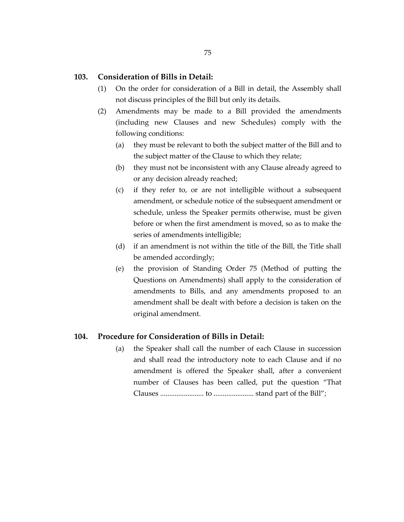## **103. Consideration of Bills in Detail:**

- (1) On the order for consideration of a Bill in detail, the Assembly shall not discuss principles of the Bill but only its details.
- (2) Amendments may be made to a Bill provided the amendments (including new Clauses and new Schedules) comply with the following conditions:
	- (a) they must be relevant to both the subject matter of the Bill and to the subject matter of the Clause to which they relate;
	- (b) they must not be inconsistent with any Clause already agreed to or any decision already reached;
	- (c) if they refer to, or are not intelligible without a subsequent amendment, or schedule notice of the subsequent amendment or schedule, unless the Speaker permits otherwise, must be given before or when the first amendment is moved, so as to make the series of amendments intelligible;
	- (d) if an amendment is not within the title of the Bill, the Title shall be amended accordingly;
	- (e) the provision of Standing Order 75 (Method of putting the Questions on Amendments) shall apply to the consideration of amendments to Bills, and any amendments proposed to an amendment shall be dealt with before a decision is taken on the original amendment.

## **104. Procedure for Consideration of Bills in Detail:**

(a) the Speaker shall call the number of each Clause in succession and shall read the introductory note to each Clause and if no amendment is offered the Speaker shall, after a convenient number of Clauses has been called, put the question "That Clauses ........................ to ...................... stand part of the Bill";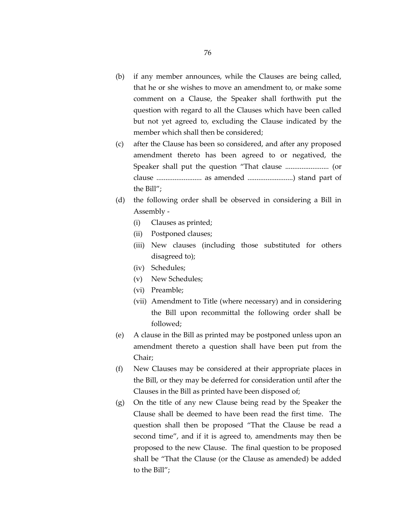- (b) if any member announces, while the Clauses are being called, that he or she wishes to move an amendment to, or make some comment on a Clause, the Speaker shall forthwith put the question with regard to all the Clauses which have been called but not yet agreed to, excluding the Clause indicated by the member which shall then be considered;
- (c) after the Clause has been so considered, and after any proposed amendment thereto has been agreed to or negatived, the Speaker shall put the question "That clause ........................ (or clause ......................... as amended .........................) stand part of the Bill";
- (d) the following order shall be observed in considering a Bill in Assembly -
	- (i) Clauses as printed;
	- (ii) Postponed clauses;
	- (iii) New clauses (including those substituted for others disagreed to);
	- (iv) Schedules;
	- (v) New Schedules;
	- (vi) Preamble;
	- (vii) Amendment to Title (where necessary) and in considering the Bill upon recommittal the following order shall be followed;
- (e) A clause in the Bill as printed may be postponed unless upon an amendment thereto a question shall have been put from the Chair;
- (f) New Clauses may be considered at their appropriate places in the Bill, or they may be deferred for consideration until after the Clauses in the Bill as printed have been disposed of;
- (g) On the title of any new Clause being read by the Speaker the Clause shall be deemed to have been read the first time. The question shall then be proposed "That the Clause be read a second time", and if it is agreed to, amendments may then be proposed to the new Clause. The final question to be proposed shall be "That the Clause (or the Clause as amended) be added to the Bill";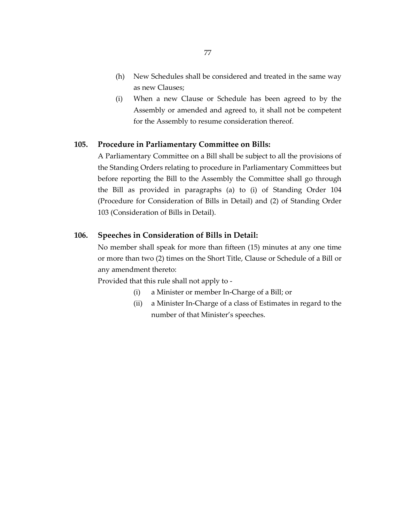- (h) New Schedules shall be considered and treated in the same way as new Clauses;
- (i) When a new Clause or Schedule has been agreed to by the Assembly or amended and agreed to, it shall not be competent for the Assembly to resume consideration thereof.

### **105. Procedure in Parliamentary Committee on Bills:**

A Parliamentary Committee on a Bill shall be subject to all the provisions of the Standing Orders relating to procedure in Parliamentary Committees but before reporting the Bill to the Assembly the Committee shall go through the Bill as provided in paragraphs (a) to (i) of Standing Order 104 (Procedure for Consideration of Bills in Detail) and (2) of Standing Order 103 (Consideration of Bills in Detail).

## **106. Speeches in Consideration of Bills in Detail:**

No member shall speak for more than fifteen (15) minutes at any one time or more than two (2) times on the Short Title, Clause or Schedule of a Bill or any amendment thereto:

Provided that this rule shall not apply to -

- (i) a Minister or member In-Charge of a Bill; or
- (ii) a Minister In-Charge of a class of Estimates in regard to the number of that Minister's speeches.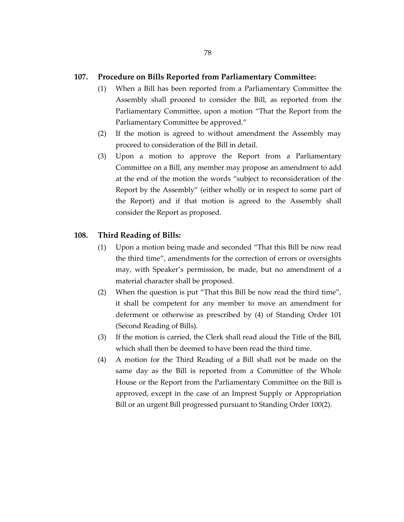### **107. Procedure on Bills Reported from Parliamentary Committee:**

- (1) When a Bill has been reported from a Parliamentary Committee the Assembly shall proceed to consider the Bill, as reported from the Parliamentary Committee, upon a motion "That the Report from the Parliamentary Committee be approved."
- (2) If the motion is agreed to without amendment the Assembly may proceed to consideration of the Bill in detail.
- (3) Upon a motion to approve the Report from a Parliamentary Committee on a Bill, any member may propose an amendment to add at the end of the motion the words "subject to reconsideration of the Report by the Assembly" (either wholly or in respect to some part of the Report) and if that motion is agreed to the Assembly shall consider the Report as proposed.

## **108. Third Reading of Bills:**

- (1) Upon a motion being made and seconded "That this Bill be now read the third time", amendments for the correction of errors or oversights may, with Speaker's permission, be made, but no amendment of a material character shall be proposed.
- (2) When the question is put "That this Bill be now read the third time", it shall be competent for any member to move an amendment for deferment or otherwise as prescribed by (4) of Standing Order 101 (Second Reading of Bills).
- (3) If the motion is carried, the Clerk shall read aloud the Title of the Bill, which shall then be deemed to have been read the third time.
- (4) A motion for the Third Reading of a Bill shall not be made on the same day as the Bill is reported from a Committee of the Whole House or the Report from the Parliamentary Committee on the Bill is approved, except in the case of an Imprest Supply or Appropriation Bill or an urgent Bill progressed pursuant to Standing Order 100(2).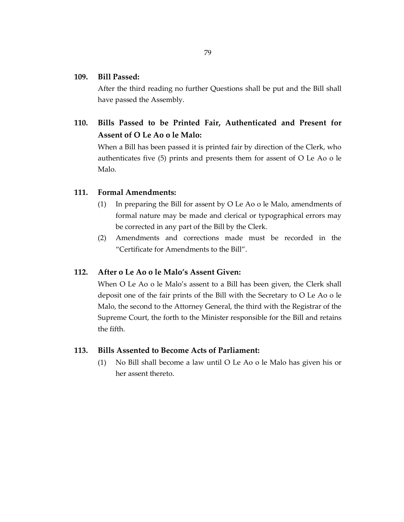## **109. Bill Passed:**

After the third reading no further Questions shall be put and the Bill shall have passed the Assembly.

**110. Bills Passed to be Printed Fair, Authenticated and Present for Assent of O Le Ao o le Malo:**

When a Bill has been passed it is printed fair by direction of the Clerk, who authenticates five (5) prints and presents them for assent of O Le Ao o le Malo.

## **111. Formal Amendments:**

- (1) In preparing the Bill for assent by O Le Ao o le Malo, amendments of formal nature may be made and clerical or typographical errors may be corrected in any part of the Bill by the Clerk.
- (2) Amendments and corrections made must be recorded in the "Certificate for Amendments to the Bill".

## **112. After o Le Ao o le Malo's Assent Given:**

When O Le Ao o le Malo's assent to a Bill has been given, the Clerk shall deposit one of the fair prints of the Bill with the Secretary to O Le Ao o le Malo, the second to the Attorney General, the third with the Registrar of the Supreme Court, the forth to the Minister responsible for the Bill and retains the fifth.

## **113. Bills Assented to Become Acts of Parliament:**

(1) No Bill shall become a law until O Le Ao o le Malo has given his or her assent thereto.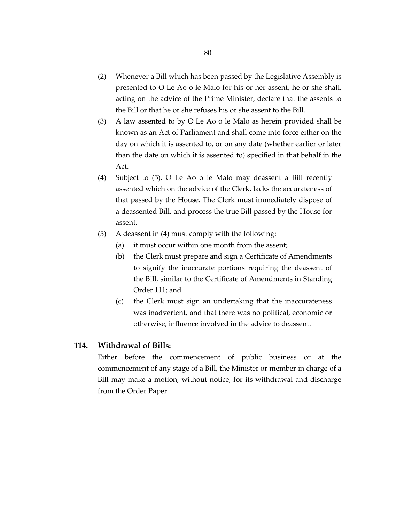- (2) Whenever a Bill which has been passed by the Legislative Assembly is presented to O Le Ao o le Malo for his or her assent, he or she shall, acting on the advice of the Prime Minister, declare that the assents to the Bill or that he or she refuses his or she assent to the Bill.
- (3) A law assented to by O Le Ao o le Malo as herein provided shall be known as an Act of Parliament and shall come into force either on the day on which it is assented to, or on any date (whether earlier or later than the date on which it is assented to) specified in that behalf in the Act.
- (4) Subject to (5), O Le Ao o le Malo may deassent a Bill recently assented which on the advice of the Clerk, lacks the accurateness of that passed by the House. The Clerk must immediately dispose of a deassented Bill, and process the true Bill passed by the House for assent.
- (5) A deassent in (4) must comply with the following:
	- (a) it must occur within one month from the assent;
	- (b) the Clerk must prepare and sign a Certificate of Amendments to signify the inaccurate portions requiring the deassent of the Bill, similar to the Certificate of Amendments in Standing Order 111; and
	- (c) the Clerk must sign an undertaking that the inaccurateness was inadvertent, and that there was no political, economic or otherwise, influence involved in the advice to deassent.

## **114. Withdrawal of Bills:**

Either before the commencement of public business or at the commencement of any stage of a Bill, the Minister or member in charge of a Bill may make a motion, without notice, for its withdrawal and discharge from the Order Paper.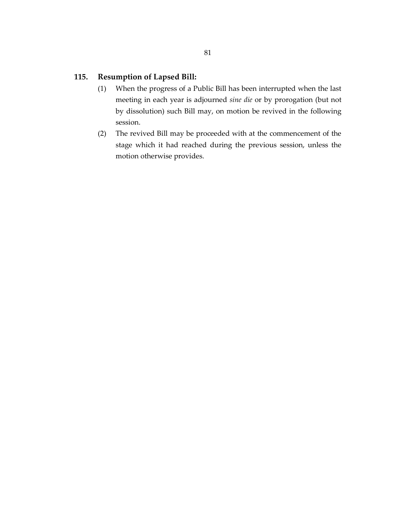## **115. Resumption of Lapsed Bill:**

- (1) When the progress of a Public Bill has been interrupted when the last meeting in each year is adjourned *sine die* or by prorogation (but not by dissolution) such Bill may, on motion be revived in the following session.
- (2) The revived Bill may be proceeded with at the commencement of the stage which it had reached during the previous session, unless the motion otherwise provides.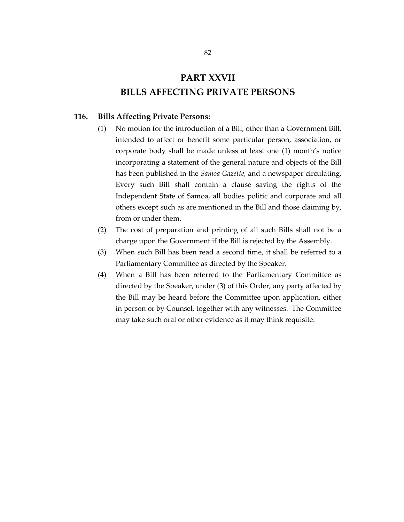## **PART XXVII BILLS AFFECTING PRIVATE PERSONS**

## **116. Bills Affecting Private Persons:**

- (1) No motion for the introduction of a Bill, other than a Government Bill, intended to affect or benefit some particular person, association, or corporate body shall be made unless at least one (1) month's notice incorporating a statement of the general nature and objects of the Bill has been published in the *Samoa Gazette,* and a newspaper circulating. Every such Bill shall contain a clause saving the rights of the Independent State of Samoa, all bodies politic and corporate and all others except such as are mentioned in the Bill and those claiming by, from or under them.
- (2) The cost of preparation and printing of all such Bills shall not be a charge upon the Government if the Bill is rejected by the Assembly.
- (3) When such Bill has been read a second time, it shall be referred to a Parliamentary Committee as directed by the Speaker.
- (4) When a Bill has been referred to the Parliamentary Committee as directed by the Speaker, under (3) of this Order, any party affected by the Bill may be heard before the Committee upon application, either in person or by Counsel, together with any witnesses. The Committee may take such oral or other evidence as it may think requisite.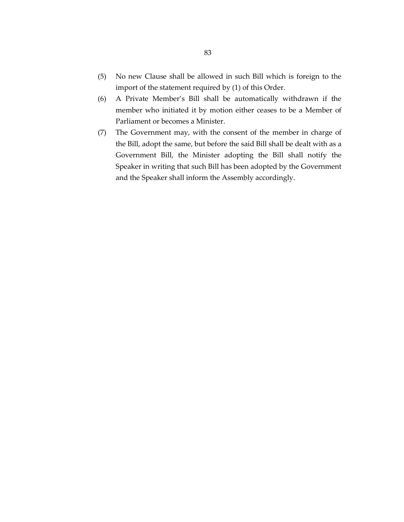- (5) No new Clause shall be allowed in such Bill which is foreign to the import of the statement required by (1) of this Order.
- (6) A Private Member's Bill shall be automatically withdrawn if the member who initiated it by motion either ceases to be a Member of Parliament or becomes a Minister.
- (7) The Government may, with the consent of the member in charge of the Bill, adopt the same, but before the said Bill shall be dealt with as a Government Bill, the Minister adopting the Bill shall notify the Speaker in writing that such Bill has been adopted by the Government and the Speaker shall inform the Assembly accordingly.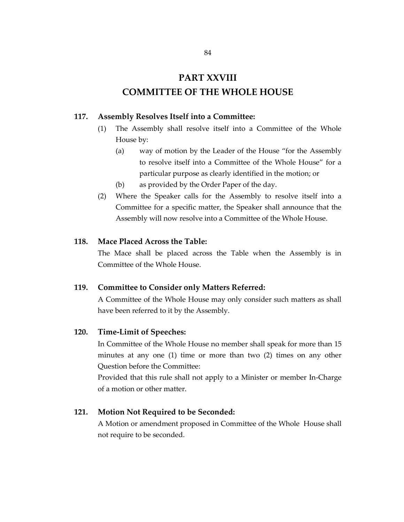# **PART XXVIII COMMITTEE OF THE WHOLE HOUSE**

## **117. Assembly Resolves Itself into a Committee:**

- (1) The Assembly shall resolve itself into a Committee of the Whole House by:
	- (a) way of motion by the Leader of the House "for the Assembly to resolve itself into a Committee of the Whole House" for a particular purpose as clearly identified in the motion; or
	- (b) as provided by the Order Paper of the day.
- (2) Where the Speaker calls for the Assembly to resolve itself into a Committee for a specific matter, the Speaker shall announce that the Assembly will now resolve into a Committee of the Whole House.

## **118. Mace Placed Across the Table:**

The Mace shall be placed across the Table when the Assembly is in Committee of the Whole House.

## **119. Committee to Consider only Matters Referred:**

A Committee of the Whole House may only consider such matters as shall have been referred to it by the Assembly.

#### **120. Time-Limit of Speeches:**

In Committee of the Whole House no member shall speak for more than 15 minutes at any one (1) time or more than two (2) times on any other Question before the Committee:

Provided that this rule shall not apply to a Minister or member In-Charge of a motion or other matter.

#### **121. Motion Not Required to be Seconded:**

A Motion or amendment proposed in Committee of the Whole House shall not require to be seconded.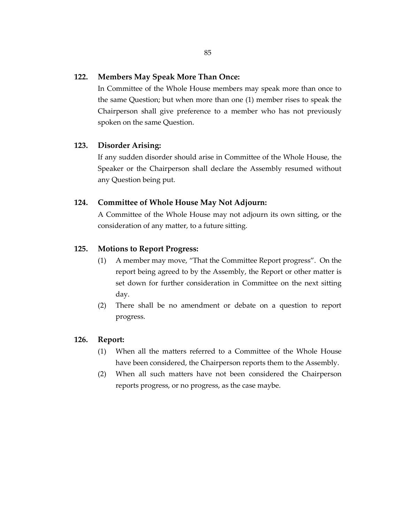## **122. Members May Speak More Than Once:**

In Committee of the Whole House members may speak more than once to the same Question; but when more than one (1) member rises to speak the Chairperson shall give preference to a member who has not previously spoken on the same Question.

## **123. Disorder Arising:**

If any sudden disorder should arise in Committee of the Whole House, the Speaker or the Chairperson shall declare the Assembly resumed without any Question being put.

## **124. Committee of Whole House May Not Adjourn:**

A Committee of the Whole House may not adjourn its own sitting, or the consideration of any matter, to a future sitting.

## **125. Motions to Report Progress:**

- (1) A member may move, "That the Committee Report progress". On the report being agreed to by the Assembly, the Report or other matter is set down for further consideration in Committee on the next sitting day.
- (2) There shall be no amendment or debate on a question to report progress.

## **126. Report:**

- (1) When all the matters referred to a Committee of the Whole House have been considered, the Chairperson reports them to the Assembly.
- (2) When all such matters have not been considered the Chairperson reports progress, or no progress, as the case maybe.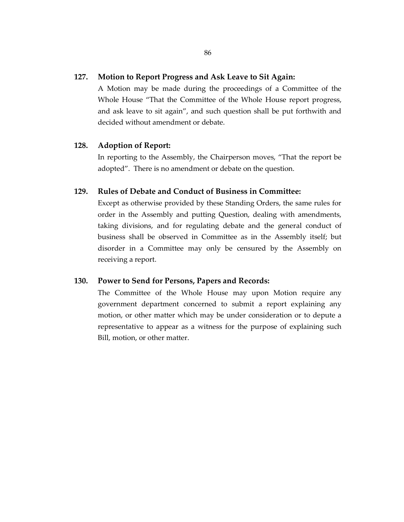## **127. Motion to Report Progress and Ask Leave to Sit Again:**

A Motion may be made during the proceedings of a Committee of the Whole House "That the Committee of the Whole House report progress, and ask leave to sit again", and such question shall be put forthwith and decided without amendment or debate.

## **128. Adoption of Report:**

In reporting to the Assembly, the Chairperson moves, "That the report be adopted". There is no amendment or debate on the question.

## **129. Rules of Debate and Conduct of Business in Committee:**

Except as otherwise provided by these Standing Orders, the same rules for order in the Assembly and putting Question, dealing with amendments, taking divisions, and for regulating debate and the general conduct of business shall be observed in Committee as in the Assembly itself; but disorder in a Committee may only be censured by the Assembly on receiving a report.

## **130. Power to Send for Persons, Papers and Records:**

The Committee of the Whole House may upon Motion require any government department concerned to submit a report explaining any motion, or other matter which may be under consideration or to depute a representative to appear as a witness for the purpose of explaining such Bill, motion, or other matter.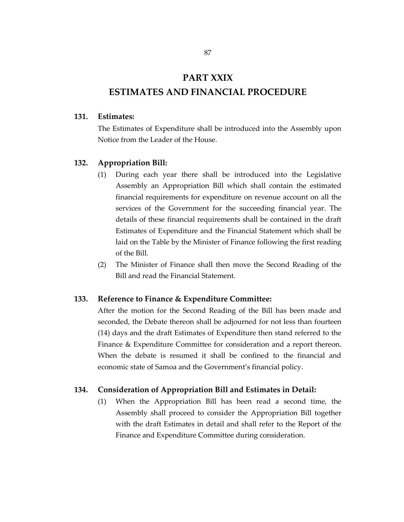## **PART XXIX ESTIMATES AND FINANCIAL PROCEDURE**

#### **131. Estimates:**

The Estimates of Expenditure shall be introduced into the Assembly upon Notice from the Leader of the House.

## **132. Appropriation Bill:**

- (1) During each year there shall be introduced into the Legislative Assembly an Appropriation Bill which shall contain the estimated financial requirements for expenditure on revenue account on all the services of the Government for the succeeding financial year. The details of these financial requirements shall be contained in the draft Estimates of Expenditure and the Financial Statement which shall be laid on the Table by the Minister of Finance following the first reading of the Bill.
- (2) The Minister of Finance shall then move the Second Reading of the Bill and read the Financial Statement.

#### **133. Reference to Finance & Expenditure Committee:**

After the motion for the Second Reading of the Bill has been made and seconded, the Debate thereon shall be adjourned for not less than fourteen (14) days and the draft Estimates of Expenditure then stand referred to the Finance & Expenditure Committee for consideration and a report thereon. When the debate is resumed it shall be confined to the financial and economic state of Samoa and the Government's financial policy.

#### **134. Consideration of Appropriation Bill and Estimates in Detail:**

(1) When the Appropriation Bill has been read a second time, the Assembly shall proceed to consider the Appropriation Bill together with the draft Estimates in detail and shall refer to the Report of the Finance and Expenditure Committee during consideration.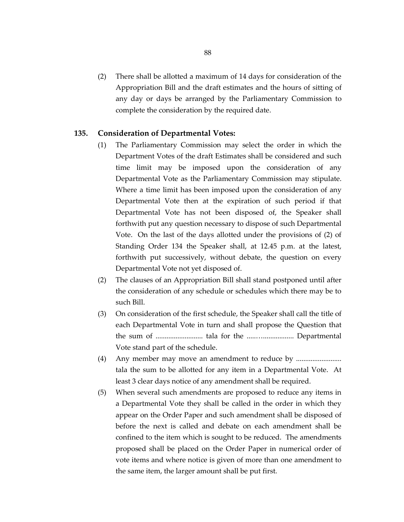(2) There shall be allotted a maximum of 14 days for consideration of the Appropriation Bill and the draft estimates and the hours of sitting of any day or days be arranged by the Parliamentary Commission to complete the consideration by the required date.

### **135. Consideration of Departmental Votes:**

- (1) The Parliamentary Commission may select the order in which the Department Votes of the draft Estimates shall be considered and such time limit may be imposed upon the consideration of any Departmental Vote as the Parliamentary Commission may stipulate. Where a time limit has been imposed upon the consideration of any Departmental Vote then at the expiration of such period if that Departmental Vote has not been disposed of, the Speaker shall forthwith put any question necessary to dispose of such Departmental Vote. On the last of the days allotted under the provisions of (2) of Standing Order 134 the Speaker shall, at 12.45 p.m. at the latest, forthwith put successively, without debate, the question on every Departmental Vote not yet disposed of.
- (2) The clauses of an Appropriation Bill shall stand postponed until after the consideration of any schedule or schedules which there may be to such Bill.
- (3) On consideration of the first schedule, the Speaker shall call the title of each Departmental Vote in turn and shall propose the Question that the sum of .......................... tala for the .....…................. Departmental Vote stand part of the schedule.
- (4) Any member may move an amendment to reduce by .............................. tala the sum to be allotted for any item in a Departmental Vote. At least 3 clear days notice of any amendment shall be required.
- (5) When several such amendments are proposed to reduce any items in a Departmental Vote they shall be called in the order in which they appear on the Order Paper and such amendment shall be disposed of before the next is called and debate on each amendment shall be confined to the item which is sought to be reduced. The amendments proposed shall be placed on the Order Paper in numerical order of vote items and where notice is given of more than one amendment to the same item, the larger amount shall be put first.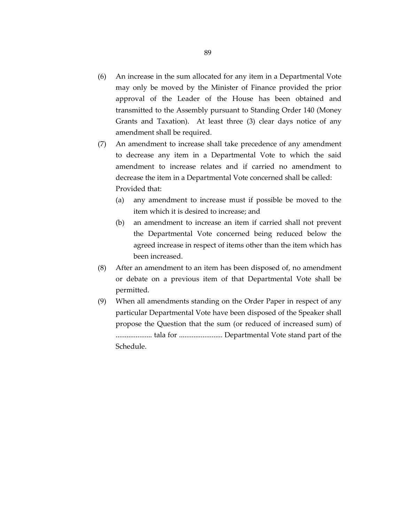- (6) An increase in the sum allocated for any item in a Departmental Vote may only be moved by the Minister of Finance provided the prior approval of the Leader of the House has been obtained and transmitted to the Assembly pursuant to Standing Order 140 (Money Grants and Taxation). At least three (3) clear days notice of any amendment shall be required.
- (7) An amendment to increase shall take precedence of any amendment to decrease any item in a Departmental Vote to which the said amendment to increase relates and if carried no amendment to decrease the item in a Departmental Vote concerned shall be called: Provided that:
	- (a) any amendment to increase must if possible be moved to the item which it is desired to increase; and
	- (b) an amendment to increase an item if carried shall not prevent the Departmental Vote concerned being reduced below the agreed increase in respect of items other than the item which has been increased.
- (8) After an amendment to an item has been disposed of, no amendment or debate on a previous item of that Departmental Vote shall be permitted.
- (9) When all amendments standing on the Order Paper in respect of any particular Departmental Vote have been disposed of the Speaker shall propose the Question that the sum (or reduced of increased sum) of .................... tala for ........................ Departmental Vote stand part of the Schedule.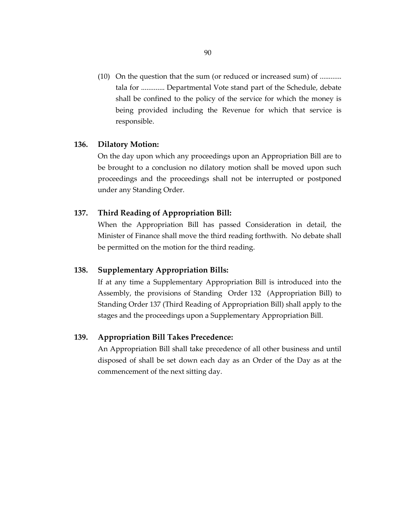(10) On the question that the sum (or reduced or increased sum) of ............ tala for ............. Departmental Vote stand part of the Schedule, debate shall be confined to the policy of the service for which the money is being provided including the Revenue for which that service is responsible.

## **136. Dilatory Motion:**

On the day upon which any proceedings upon an Appropriation Bill are to be brought to a conclusion no dilatory motion shall be moved upon such proceedings and the proceedings shall not be interrupted or postponed under any Standing Order.

### **137. Third Reading of Appropriation Bill:**

When the Appropriation Bill has passed Consideration in detail, the Minister of Finance shall move the third reading forthwith. No debate shall be permitted on the motion for the third reading.

## **138. Supplementary Appropriation Bills:**

If at any time a Supplementary Appropriation Bill is introduced into the Assembly, the provisions of Standing Order 132 (Appropriation Bill) to Standing Order 137 (Third Reading of Appropriation Bill) shall apply to the stages and the proceedings upon a Supplementary Appropriation Bill.

## **139. Appropriation Bill Takes Precedence:**

An Appropriation Bill shall take precedence of all other business and until disposed of shall be set down each day as an Order of the Day as at the commencement of the next sitting day.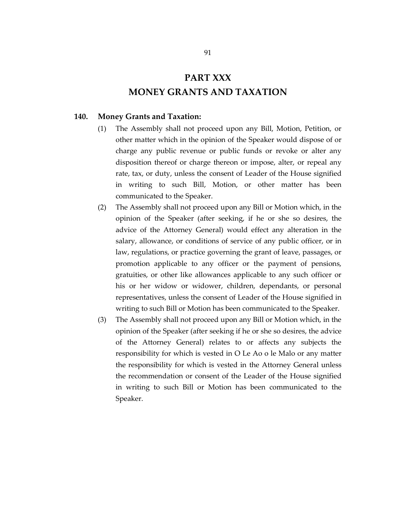# **PART XXX MONEY GRANTS AND TAXATION**

## **140. Money Grants and Taxation:**

- (1) The Assembly shall not proceed upon any Bill, Motion, Petition, or other matter which in the opinion of the Speaker would dispose of or charge any public revenue or public funds or revoke or alter any disposition thereof or charge thereon or impose, alter, or repeal any rate, tax, or duty, unless the consent of Leader of the House signified in writing to such Bill, Motion, or other matter has been communicated to the Speaker.
- (2) The Assembly shall not proceed upon any Bill or Motion which, in the opinion of the Speaker (after seeking, if he or she so desires, the advice of the Attorney General) would effect any alteration in the salary, allowance, or conditions of service of any public officer, or in law, regulations, or practice governing the grant of leave, passages, or promotion applicable to any officer or the payment of pensions, gratuities, or other like allowances applicable to any such officer or his or her widow or widower, children, dependants, or personal representatives, unless the consent of Leader of the House signified in writing to such Bill or Motion has been communicated to the Speaker.
- (3) The Assembly shall not proceed upon any Bill or Motion which, in the opinion of the Speaker (after seeking if he or she so desires, the advice of the Attorney General) relates to or affects any subjects the responsibility for which is vested in O Le Ao o le Malo or any matter the responsibility for which is vested in the Attorney General unless the recommendation or consent of the Leader of the House signified in writing to such Bill or Motion has been communicated to the Speaker.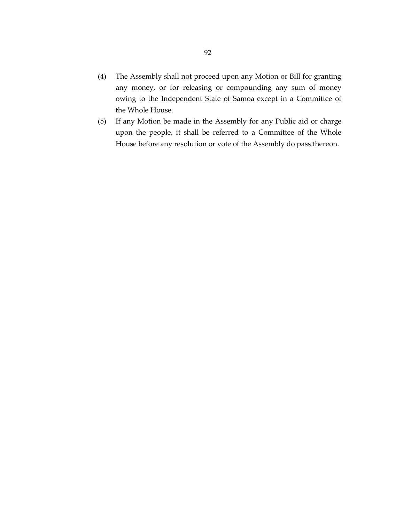- (4) The Assembly shall not proceed upon any Motion or Bill for granting any money, or for releasing or compounding any sum of money owing to the Independent State of Samoa except in a Committee of the Whole House.
- (5) If any Motion be made in the Assembly for any Public aid or charge upon the people, it shall be referred to a Committee of the Whole House before any resolution or vote of the Assembly do pass thereon.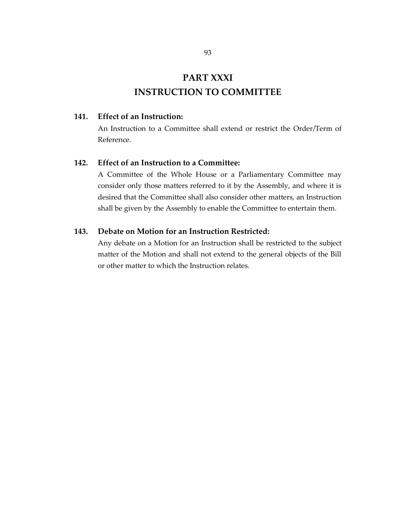# **PART XXXI INSTRUCTION TO COMMITTEE**

## **141. Effect of an Instruction:**

An Instruction to a Committee shall extend or restrict the Order/Term of Reference.

## **142. Effect of an Instruction to a Committee:**

A Committee of the Whole House or a Parliamentary Committee may consider only those matters referred to it by the Assembly, and where it is desired that the Committee shall also consider other matters, an Instruction shall be given by the Assembly to enable the Committee to entertain them.

## **143. Debate on Motion for an Instruction Restricted:**

Any debate on a Motion for an Instruction shall be restricted to the subject matter of the Motion and shall not extend to the general objects of the Bill or other matter to which the Instruction relates.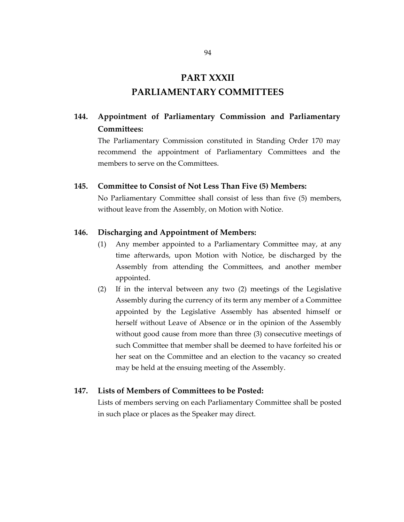## **PART XXXII**

## **PARLIAMENTARY COMMITTEES**

## **144. Appointment of Parliamentary Commission and Parliamentary Committees:**

The Parliamentary Commission constituted in Standing Order 170 may recommend the appointment of Parliamentary Committees and the members to serve on the Committees.

## **145. Committee to Consist of Not Less Than Five (5) Members:**

No Parliamentary Committee shall consist of less than five (5) members, without leave from the Assembly, on Motion with Notice.

## **146. Discharging and Appointment of Members:**

- (1) Any member appointed to a Parliamentary Committee may, at any time afterwards, upon Motion with Notice, be discharged by the Assembly from attending the Committees, and another member appointed.
- (2) If in the interval between any two (2) meetings of the Legislative Assembly during the currency of its term any member of a Committee appointed by the Legislative Assembly has absented himself or herself without Leave of Absence or in the opinion of the Assembly without good cause from more than three (3) consecutive meetings of such Committee that member shall be deemed to have forfeited his or her seat on the Committee and an election to the vacancy so created may be held at the ensuing meeting of the Assembly.

## **147. Lists of Members of Committees to be Posted:**

Lists of members serving on each Parliamentary Committee shall be posted in such place or places as the Speaker may direct.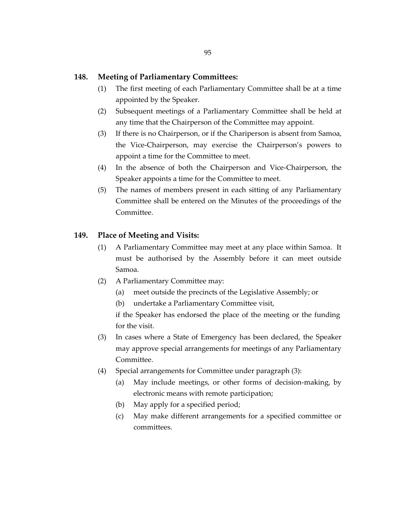### **148. Meeting of Parliamentary Committees:**

- (1) The first meeting of each Parliamentary Committee shall be at a time appointed by the Speaker.
- (2) Subsequent meetings of a Parliamentary Committee shall be held at any time that the Chairperson of the Committee may appoint.
- (3) If there is no Chairperson, or if the Chariperson is absent from Samoa, the Vice-Chairperson, may exercise the Chairperson's powers to appoint a time for the Committee to meet.
- (4) In the absence of both the Chairperson and Vice-Chairperson, the Speaker appoints a time for the Committee to meet.
- (5) The names of members present in each sitting of any Parliamentary Committee shall be entered on the Minutes of the proceedings of the Committee.

## **149. Place of Meeting and Visits:**

- (1) A Parliamentary Committee may meet at any place within Samoa. It must be authorised by the Assembly before it can meet outside Samoa.
- (2) A Parliamentary Committee may:
	- (a) meet outside the precincts of the Legislative Assembly; or
	- (b) undertake a Parliamentary Committee visit,

if the Speaker has endorsed the place of the meeting or the funding for the visit.

- (3) In cases where a State of Emergency has been declared, the Speaker may approve special arrangements for meetings of any Parliamentary Committee.
- (4) Special arrangements for Committee under paragraph (3):
	- (a) May include meetings, or other forms of decision-making, by electronic means with remote participation;
	- (b) May apply for a specified period;
	- (c) May make different arrangements for a specified committee or committees.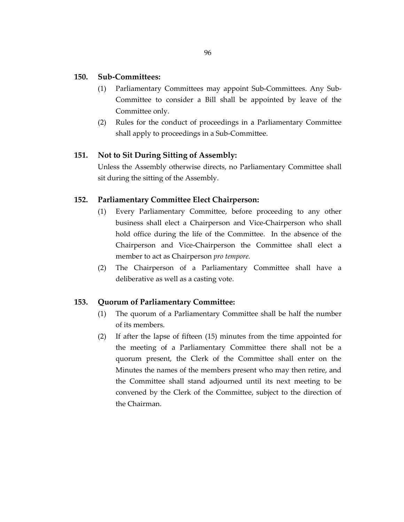## **150. Sub-Committees:**

- (1) Parliamentary Committees may appoint Sub-Committees. Any Sub-Committee to consider a Bill shall be appointed by leave of the Committee only.
- (2) Rules for the conduct of proceedings in a Parliamentary Committee shall apply to proceedings in a Sub-Committee.

## **151. Not to Sit During Sitting of Assembly:**

Unless the Assembly otherwise directs, no Parliamentary Committee shall sit during the sitting of the Assembly.

## **152. Parliamentary Committee Elect Chairperson:**

- (1) Every Parliamentary Committee, before proceeding to any other business shall elect a Chairperson and Vice-Chairperson who shall hold office during the life of the Committee. In the absence of the Chairperson and Vice-Chairperson the Committee shall elect a member to act as Chairperson *pro tempore.*
- (2) The Chairperson of a Parliamentary Committee shall have a deliberative as well as a casting vote.

## **153. Quorum of Parliamentary Committee:**

- (1) The quorum of a Parliamentary Committee shall be half the number of its members.
- (2) If after the lapse of fifteen (15) minutes from the time appointed for the meeting of a Parliamentary Committee there shall not be a quorum present, the Clerk of the Committee shall enter on the Minutes the names of the members present who may then retire, and the Committee shall stand adjourned until its next meeting to be convened by the Clerk of the Committee, subject to the direction of the Chairman.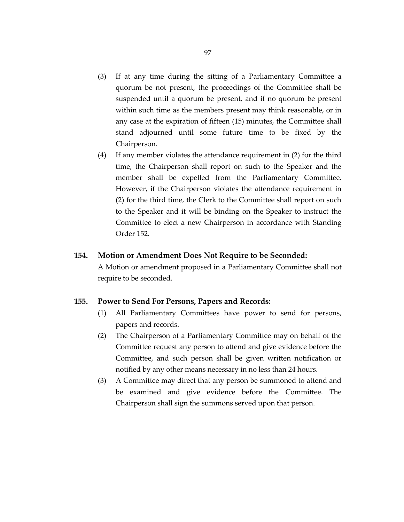- (3) If at any time during the sitting of a Parliamentary Committee a quorum be not present, the proceedings of the Committee shall be suspended until a quorum be present, and if no quorum be present within such time as the members present may think reasonable, or in any case at the expiration of fifteen (15) minutes, the Committee shall stand adjourned until some future time to be fixed by the Chairperson.
- (4) If any member violates the attendance requirement in (2) for the third time, the Chairperson shall report on such to the Speaker and the member shall be expelled from the Parliamentary Committee. However, if the Chairperson violates the attendance requirement in (2) for the third time, the Clerk to the Committee shall report on such to the Speaker and it will be binding on the Speaker to instruct the Committee to elect a new Chairperson in accordance with Standing Order 152.

### **154. Motion or Amendment Does Not Require to be Seconded:**

A Motion or amendment proposed in a Parliamentary Committee shall not require to be seconded.

#### **155. Power to Send For Persons, Papers and Records:**

- (1) All Parliamentary Committees have power to send for persons, papers and records.
- (2) The Chairperson of a Parliamentary Committee may on behalf of the Committee request any person to attend and give evidence before the Committee, and such person shall be given written notification or notified by any other means necessary in no less than 24 hours.
- (3) A Committee may direct that any person be summoned to attend and be examined and give evidence before the Committee. The Chairperson shall sign the summons served upon that person.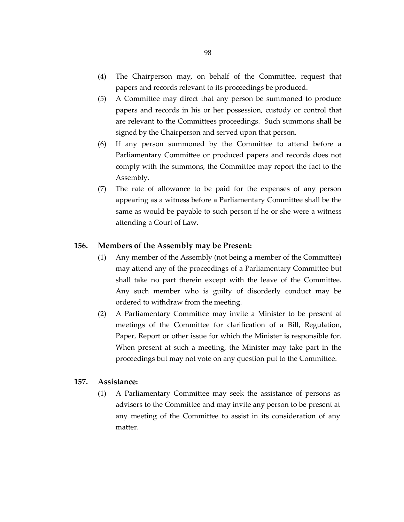- (4) The Chairperson may, on behalf of the Committee, request that papers and records relevant to its proceedings be produced.
- (5) A Committee may direct that any person be summoned to produce papers and records in his or her possession, custody or control that are relevant to the Committees proceedings. Such summons shall be signed by the Chairperson and served upon that person.
- (6) If any person summoned by the Committee to attend before a Parliamentary Committee or produced papers and records does not comply with the summons, the Committee may report the fact to the Assembly.
- (7) The rate of allowance to be paid for the expenses of any person appearing as a witness before a Parliamentary Committee shall be the same as would be payable to such person if he or she were a witness attending a Court of Law.

### **156. Members of the Assembly may be Present:**

- (1) Any member of the Assembly (not being a member of the Committee) may attend any of the proceedings of a Parliamentary Committee but shall take no part therein except with the leave of the Committee. Any such member who is guilty of disorderly conduct may be ordered to withdraw from the meeting.
- (2) A Parliamentary Committee may invite a Minister to be present at meetings of the Committee for clarification of a Bill, Regulation, Paper, Report or other issue for which the Minister is responsible for. When present at such a meeting, the Minister may take part in the proceedings but may not vote on any question put to the Committee.

## **157. Assistance:**

(1) A Parliamentary Committee may seek the assistance of persons as advisers to the Committee and may invite any person to be present at any meeting of the Committee to assist in its consideration of any matter.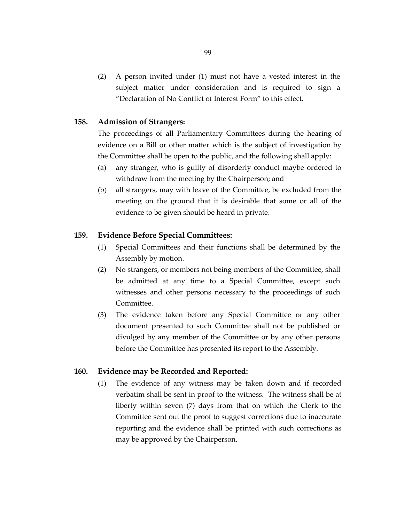(2) A person invited under (1) must not have a vested interest in the subject matter under consideration and is required to sign a "Declaration of No Conflict of Interest Form" to this effect.

## **158. Admission of Strangers:**

The proceedings of all Parliamentary Committees during the hearing of evidence on a Bill or other matter which is the subject of investigation by the Committee shall be open to the public, and the following shall apply:

- (a) any stranger, who is guilty of disorderly conduct maybe ordered to withdraw from the meeting by the Chairperson; and
- (b) all strangers, may with leave of the Committee, be excluded from the meeting on the ground that it is desirable that some or all of the evidence to be given should be heard in private.

## **159. Evidence Before Special Committees:**

- (1) Special Committees and their functions shall be determined by the Assembly by motion.
- (2) No strangers, or members not being members of the Committee, shall be admitted at any time to a Special Committee, except such witnesses and other persons necessary to the proceedings of such Committee.
- (3) The evidence taken before any Special Committee or any other document presented to such Committee shall not be published or divulged by any member of the Committee or by any other persons before the Committee has presented its report to the Assembly.

#### **160. Evidence may be Recorded and Reported:**

(1) The evidence of any witness may be taken down and if recorded verbatim shall be sent in proof to the witness. The witness shall be at liberty within seven (7) days from that on which the Clerk to the Committee sent out the proof to suggest corrections due to inaccurate reporting and the evidence shall be printed with such corrections as may be approved by the Chairperson.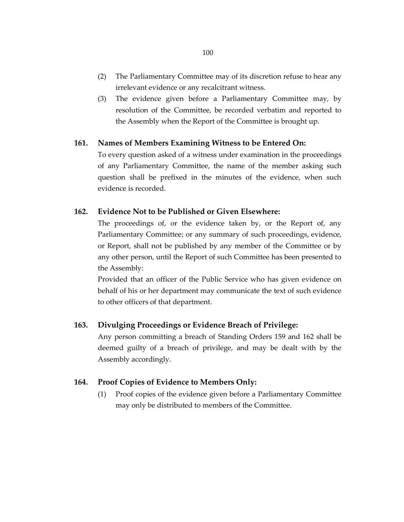- (2) The Parliamentary Committee may of its discretion refuse to hear any irrelevant evidence or any recalcitrant witness.
- (3) The evidence given before a Parliamentary Committee may, by resolution of the Committee, be recorded verbatim and reported to the Assembly when the Report of the Committee is brought up.

## **161. Names of Members Examining Witness to be Entered On:**

To every question asked of a witness under examination in the proceedings of any Parliamentary Committee, the name of the member asking such question shall be prefixed in the minutes of the evidence, when such evidence is recorded.

## **162. Evidence Not to be Published or Given Elsewhere:**

The proceedings of, or the evidence taken by, or the Report of, any Parliamentary Committee; or any summary of such proceedings, evidence, or Report, shall not be published by any member of the Committee or by any other person, until the Report of such Committee has been presented to the Assembly:

Provided that an officer of the Public Service who has given evidence on behalf of his or her department may communicate the text of such evidence to other officers of that department.

## **163. Divulging Proceedings or Evidence Breach of Privilege:**

Any person committing a breach of Standing Orders 159 and 162 shall be deemed guilty of a breach of privilege, and may be dealt with by the Assembly accordingly.

## **164. Proof Copies of Evidence to Members Only:**

(1) Proof copies of the evidence given before a Parliamentary Committee may only be distributed to members of the Committee.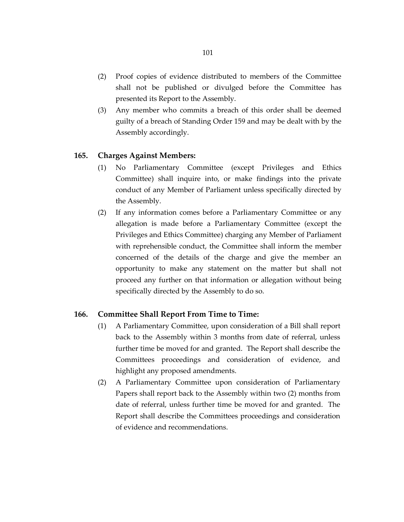- (2) Proof copies of evidence distributed to members of the Committee shall not be published or divulged before the Committee has presented its Report to the Assembly.
- (3) Any member who commits a breach of this order shall be deemed guilty of a breach of Standing Order 159 and may be dealt with by the Assembly accordingly.

## **165. Charges Against Members:**

- (1) No Parliamentary Committee (except Privileges and Ethics Committee) shall inquire into, or make findings into the private conduct of any Member of Parliament unless specifically directed by the Assembly.
- (2) If any information comes before a Parliamentary Committee or any allegation is made before a Parliamentary Committee (except the Privileges and Ethics Committee) charging any Member of Parliament with reprehensible conduct, the Committee shall inform the member concerned of the details of the charge and give the member an opportunity to make any statement on the matter but shall not proceed any further on that information or allegation without being specifically directed by the Assembly to do so.

## **166. Committee Shall Report From Time to Time:**

- (1) A Parliamentary Committee, upon consideration of a Bill shall report back to the Assembly within 3 months from date of referral, unless further time be moved for and granted. The Report shall describe the Committees proceedings and consideration of evidence, and highlight any proposed amendments.
- (2) A Parliamentary Committee upon consideration of Parliamentary Papers shall report back to the Assembly within two (2) months from date of referral, unless further time be moved for and granted. The Report shall describe the Committees proceedings and consideration of evidence and recommendations.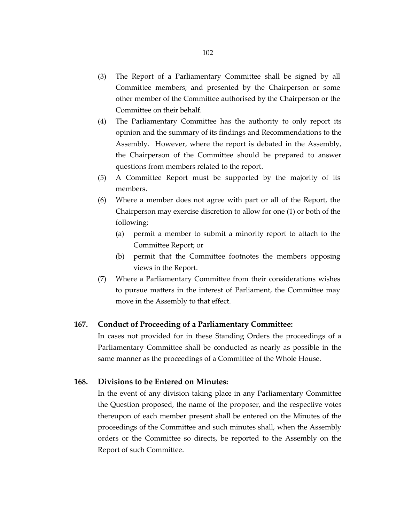- (3) The Report of a Parliamentary Committee shall be signed by all Committee members; and presented by the Chairperson or some other member of the Committee authorised by the Chairperson or the Committee on their behalf.
- (4) The Parliamentary Committee has the authority to only report its opinion and the summary of its findings and Recommendations to the Assembly. However, where the report is debated in the Assembly, the Chairperson of the Committee should be prepared to answer questions from members related to the report.
- (5) A Committee Report must be supported by the majority of its members.
- (6) Where a member does not agree with part or all of the Report, the Chairperson may exercise discretion to allow for one (1) or both of the following:
	- (a) permit a member to submit a minority report to attach to the Committee Report; or
	- (b) permit that the Committee footnotes the members opposing views in the Report.
- (7) Where a Parliamentary Committee from their considerations wishes to pursue matters in the interest of Parliament, the Committee may move in the Assembly to that effect.

## **167. Conduct of Proceeding of a Parliamentary Committee:**

In cases not provided for in these Standing Orders the proceedings of a Parliamentary Committee shall be conducted as nearly as possible in the same manner as the proceedings of a Committee of the Whole House.

## **168. Divisions to be Entered on Minutes:**

In the event of any division taking place in any Parliamentary Committee the Question proposed, the name of the proposer, and the respective votes thereupon of each member present shall be entered on the Minutes of the proceedings of the Committee and such minutes shall, when the Assembly orders or the Committee so directs, be reported to the Assembly on the Report of such Committee.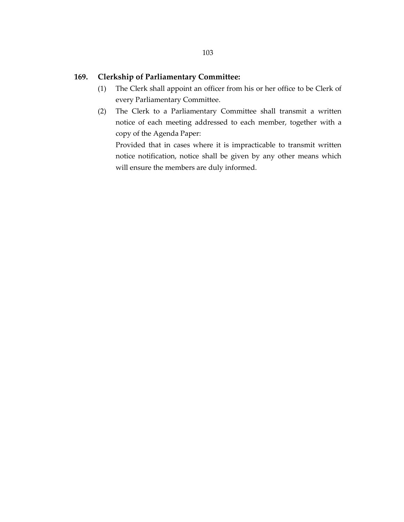## **169. Clerkship of Parliamentary Committee:**

- (1) The Clerk shall appoint an officer from his or her office to be Clerk of every Parliamentary Committee.
- (2) The Clerk to a Parliamentary Committee shall transmit a written notice of each meeting addressed to each member, together with a copy of the Agenda Paper:

Provided that in cases where it is impracticable to transmit written notice notification, notice shall be given by any other means which will ensure the members are duly informed.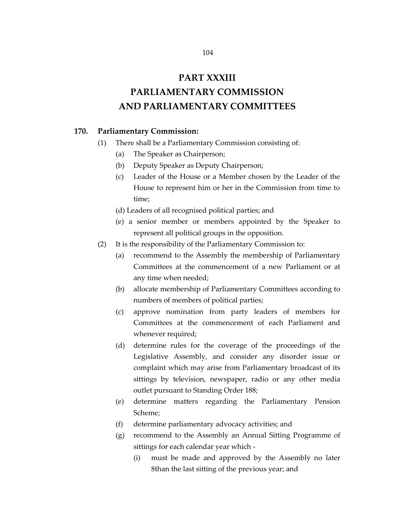## **PART XXXIII**

# **PARLIAMENTARY COMMISSION AND PARLIAMENTARY COMMITTEES**

## **170. Parliamentary Commission:**

- (1) There shall be a Parliamentary Commission consisting of:
	- (a) The Speaker as Chairperson;
	- (b) Deputy Speaker as Deputy Chairperson;
	- (c) Leader of the House or a Member chosen by the Leader of the House to represent him or her in the Commission from time to time;
	- (d) Leaders of all recognised political parties; and
	- (e) a senior member or members appointed by the Speaker to represent all political groups in the opposition.
- (2) It is the responsibility of the Parliamentary Commission to:
	- (a) recommend to the Assembly the membership of Parliamentary Committees at the commencement of a new Parliament or at any time when needed;
	- (b) allocate membership of Parliamentary Committees according to numbers of members of political parties;
	- (c) approve nomination from party leaders of members for Committees at the commencement of each Parliament and whenever required;
	- (d) determine rules for the coverage of the proceedings of the Legislative Assembly, and consider any disorder issue or complaint which may arise from Parliamentary broadcast of its sittings by television, newspaper, radio or any other media outlet pursuant to Standing Order 188;
	- (e) determine matters regarding the Parliamentary Pension Scheme;
	- (f) determine parliamentary advocacy activities; and
	- (g) recommend to the Assembly an Annual Sitting Programme of sittings for each calendar year which -
		- (i) must be made and approved by the Assembly no later 8than the last sitting of the previous year; and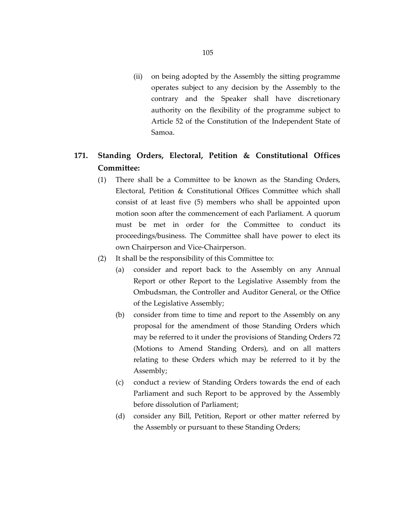(ii) on being adopted by the Assembly the sitting programme operates subject to any decision by the Assembly to the contrary and the Speaker shall have discretionary authority on the flexibility of the programme subject to Article 52 of the Constitution of the Independent State of Samoa.

## **171. Standing Orders, Electoral, Petition & Constitutional Offices Committee:**

- (1) There shall be a Committee to be known as the Standing Orders, Electoral, Petition & Constitutional Offices Committee which shall consist of at least five (5) members who shall be appointed upon motion soon after the commencement of each Parliament. A quorum must be met in order for the Committee to conduct its proceedings/business. The Committee shall have power to elect its own Chairperson and Vice-Chairperson.
- (2) It shall be the responsibility of this Committee to:
	- (a) consider and report back to the Assembly on any Annual Report or other Report to the Legislative Assembly from the Ombudsman, the Controller and Auditor General, or the Office of the Legislative Assembly;
	- (b) consider from time to time and report to the Assembly on any proposal for the amendment of those Standing Orders which may be referred to it under the provisions of Standing Orders 72 (Motions to Amend Standing Orders), and on all matters relating to these Orders which may be referred to it by the Assembly;
	- (c) conduct a review of Standing Orders towards the end of each Parliament and such Report to be approved by the Assembly before dissolution of Parliament;
	- (d) consider any Bill, Petition, Report or other matter referred by the Assembly or pursuant to these Standing Orders;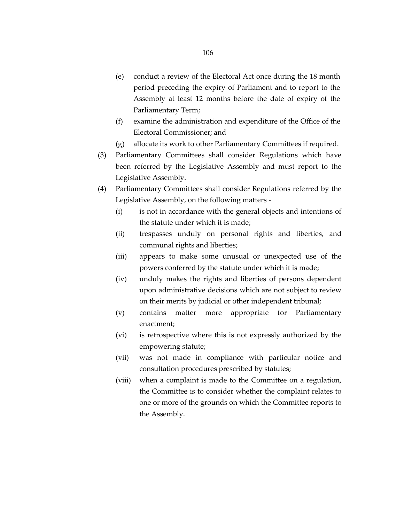- (e) conduct a review of the Electoral Act once during the 18 month period preceding the expiry of Parliament and to report to the Assembly at least 12 months before the date of expiry of the Parliamentary Term;
- (f) examine the administration and expenditure of the Office of the Electoral Commissioner; and
- (g) allocate its work to other Parliamentary Committees if required.
- (3) Parliamentary Committees shall consider Regulations which have been referred by the Legislative Assembly and must report to the Legislative Assembly.
- (4) Parliamentary Committees shall consider Regulations referred by the Legislative Assembly, on the following matters -
	- (i) is not in accordance with the general objects and intentions of the statute under which it is made;
	- (ii) trespasses unduly on personal rights and liberties, and communal rights and liberties;
	- (iii) appears to make some unusual or unexpected use of the powers conferred by the statute under which it is made;
	- (iv) unduly makes the rights and liberties of persons dependent upon administrative decisions which are not subject to review on their merits by judicial or other independent tribunal;
	- (v) contains matter more appropriate for Parliamentary enactment;
	- (vi) is retrospective where this is not expressly authorized by the empowering statute;
	- (vii) was not made in compliance with particular notice and consultation procedures prescribed by statutes;
	- (viii) when a complaint is made to the Committee on a regulation, the Committee is to consider whether the complaint relates to one or more of the grounds on which the Committee reports to the Assembly.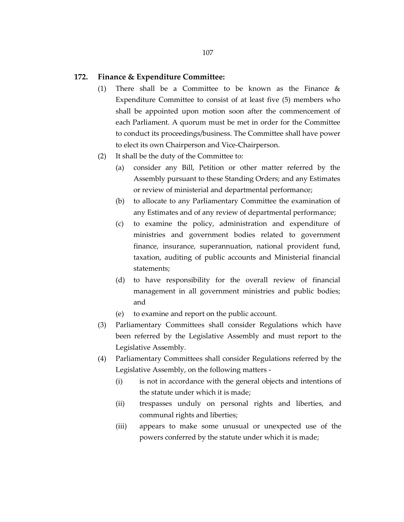### **172. Finance & Expenditure Committee:**

- (1) There shall be a Committee to be known as the Finance & Expenditure Committee to consist of at least five (5) members who shall be appointed upon motion soon after the commencement of each Parliament. A quorum must be met in order for the Committee to conduct its proceedings/business. The Committee shall have power to elect its own Chairperson and Vice-Chairperson.
- (2) It shall be the duty of the Committee to:
	- (a) consider any Bill, Petition or other matter referred by the Assembly pursuant to these Standing Orders; and any Estimates or review of ministerial and departmental performance;
	- (b) to allocate to any Parliamentary Committee the examination of any Estimates and of any review of departmental performance;
	- (c) to examine the policy, administration and expenditure of ministries and government bodies related to government finance, insurance, superannuation, national provident fund, taxation, auditing of public accounts and Ministerial financial statements;
	- (d) to have responsibility for the overall review of financial management in all government ministries and public bodies; and
	- (e) to examine and report on the public account.
- (3) Parliamentary Committees shall consider Regulations which have been referred by the Legislative Assembly and must report to the Legislative Assembly.
- (4) Parliamentary Committees shall consider Regulations referred by the Legislative Assembly, on the following matters -
	- (i) is not in accordance with the general objects and intentions of the statute under which it is made;
	- (ii) trespasses unduly on personal rights and liberties, and communal rights and liberties;
	- (iii) appears to make some unusual or unexpected use of the powers conferred by the statute under which it is made;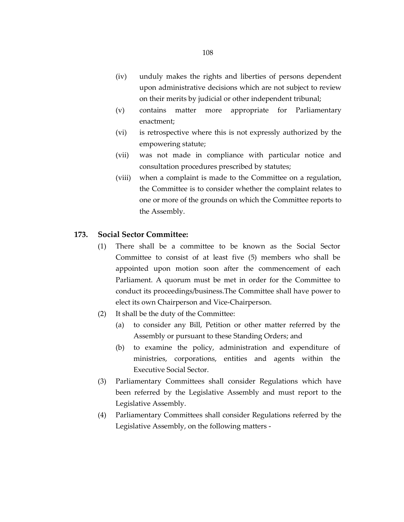- (iv) unduly makes the rights and liberties of persons dependent upon administrative decisions which are not subject to review on their merits by judicial or other independent tribunal;
- (v) contains matter more appropriate for Parliamentary enactment;
- (vi) is retrospective where this is not expressly authorized by the empowering statute;
- (vii) was not made in compliance with particular notice and consultation procedures prescribed by statutes;
- (viii) when a complaint is made to the Committee on a regulation, the Committee is to consider whether the complaint relates to one or more of the grounds on which the Committee reports to the Assembly.

## **173. Social Sector Committee:**

- (1) There shall be a committee to be known as the Social Sector Committee to consist of at least five (5) members who shall be appointed upon motion soon after the commencement of each Parliament. A quorum must be met in order for the Committee to conduct its proceedings/business.The Committee shall have power to elect its own Chairperson and Vice-Chairperson.
- (2) It shall be the duty of the Committee:
	- (a) to consider any Bill, Petition or other matter referred by the Assembly or pursuant to these Standing Orders; and
	- (b) to examine the policy, administration and expenditure of ministries, corporations, entities and agents within the Executive Social Sector.
- (3) Parliamentary Committees shall consider Regulations which have been referred by the Legislative Assembly and must report to the Legislative Assembly.
- (4) Parliamentary Committees shall consider Regulations referred by the Legislative Assembly, on the following matters -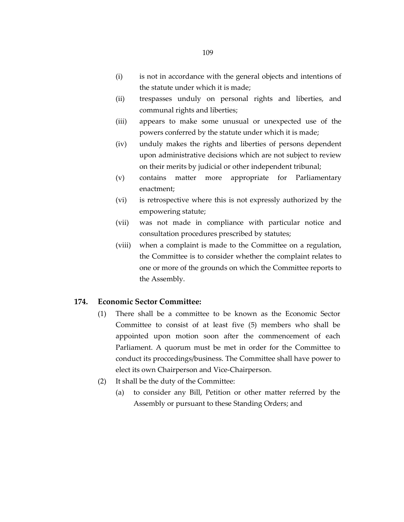- (i) is not in accordance with the general objects and intentions of the statute under which it is made;
- (ii) trespasses unduly on personal rights and liberties, and communal rights and liberties;
- (iii) appears to make some unusual or unexpected use of the powers conferred by the statute under which it is made;
- (iv) unduly makes the rights and liberties of persons dependent upon administrative decisions which are not subject to review on their merits by judicial or other independent tribunal;
- (v) contains matter more appropriate for Parliamentary enactment;
- (vi) is retrospective where this is not expressly authorized by the empowering statute;
- (vii) was not made in compliance with particular notice and consultation procedures prescribed by statutes;
- (viii) when a complaint is made to the Committee on a regulation, the Committee is to consider whether the complaint relates to one or more of the grounds on which the Committee reports to the Assembly.

#### **174. Economic Sector Committee:**

- (1) There shall be a committee to be known as the Economic Sector Committee to consist of at least five (5) members who shall be appointed upon motion soon after the commencement of each Parliament. A quorum must be met in order for the Committee to conduct its proccedings/business. The Committee shall have power to elect its own Chairperson and Vice-Chairperson.
- (2) It shall be the duty of the Committee:
	- (a) to consider any Bill, Petition or other matter referred by the Assembly or pursuant to these Standing Orders; and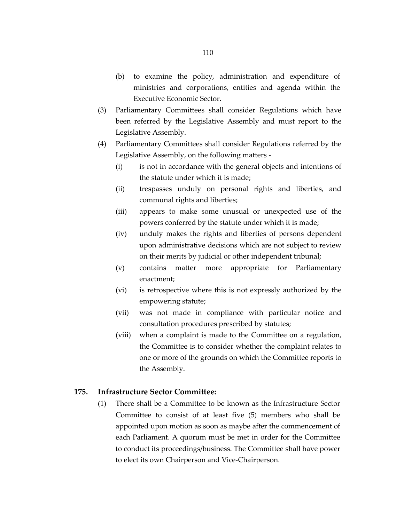- (b) to examine the policy, administration and expenditure of ministries and corporations, entities and agenda within the Executive Economic Sector.
- (3) Parliamentary Committees shall consider Regulations which have been referred by the Legislative Assembly and must report to the Legislative Assembly.
- (4) Parliamentary Committees shall consider Regulations referred by the Legislative Assembly, on the following matters -
	- (i) is not in accordance with the general objects and intentions of the statute under which it is made;
	- (ii) trespasses unduly on personal rights and liberties, and communal rights and liberties;
	- (iii) appears to make some unusual or unexpected use of the powers conferred by the statute under which it is made;
	- (iv) unduly makes the rights and liberties of persons dependent upon administrative decisions which are not subject to review on their merits by judicial or other independent tribunal;
	- (v) contains matter more appropriate for Parliamentary enactment;
	- (vi) is retrospective where this is not expressly authorized by the empowering statute;
	- (vii) was not made in compliance with particular notice and consultation procedures prescribed by statutes;
	- (viii) when a complaint is made to the Committee on a regulation, the Committee is to consider whether the complaint relates to one or more of the grounds on which the Committee reports to the Assembly.

### **175. Infrastructure Sector Committee:**

(1) There shall be a Committee to be known as the Infrastructure Sector Committee to consist of at least five (5) members who shall be appointed upon motion as soon as maybe after the commencement of each Parliament. A quorum must be met in order for the Committee to conduct its proceedings/business. The Committee shall have power to elect its own Chairperson and Vice-Chairperson.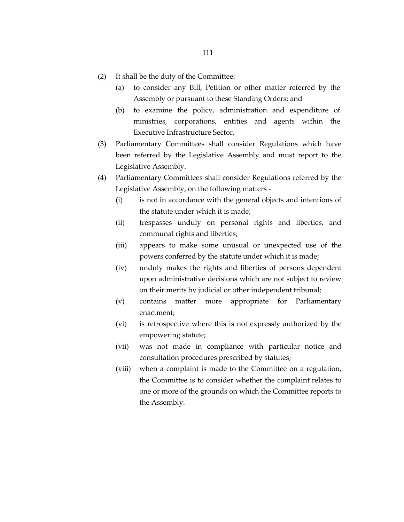- (2) It shall be the duty of the Committee:
	- (a) to consider any Bill, Petition or other matter referred by the Assembly or pursuant to these Standing Orders; and
	- (b) to examine the policy, administration and expenditure of ministries, corporations, entities and agents within the Executive Infrastructure Sector.
- (3) Parliamentary Committees shall consider Regulations which have been referred by the Legislative Assembly and must report to the Legislative Assembly.
- (4) Parliamentary Committees shall consider Regulations referred by the Legislative Assembly, on the following matters -
	- (i) is not in accordance with the general objects and intentions of the statute under which it is made;
	- (ii) trespasses unduly on personal rights and liberties, and communal rights and liberties;
	- (iii) appears to make some unusual or unexpected use of the powers conferred by the statute under which it is made;
	- (iv) unduly makes the rights and liberties of persons dependent upon administrative decisions which are not subject to review on their merits by judicial or other independent tribunal;
	- (v) contains matter more appropriate for Parliamentary enactment;
	- (vi) is retrospective where this is not expressly authorized by the empowering statute;
	- (vii) was not made in compliance with particular notice and consultation procedures prescribed by statutes;
	- (viii) when a complaint is made to the Committee on a regulation, the Committee is to consider whether the complaint relates to one or more of the grounds on which the Committee reports to the Assembly.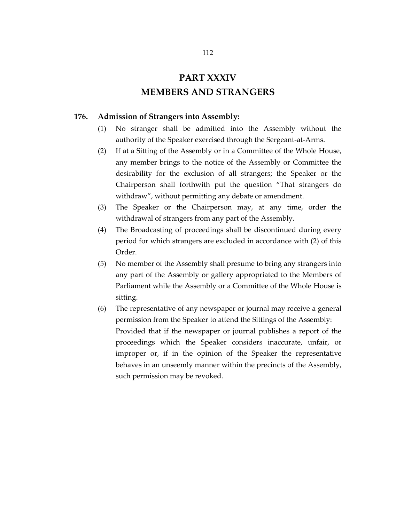# **PART XXXIV MEMBERS AND STRANGERS**

#### **176. Admission of Strangers into Assembly:**

- (1) No stranger shall be admitted into the Assembly without the authority of the Speaker exercised through the Sergeant-at-Arms.
- (2) If at a Sitting of the Assembly or in a Committee of the Whole House, any member brings to the notice of the Assembly or Committee the desirability for the exclusion of all strangers; the Speaker or the Chairperson shall forthwith put the question "That strangers do withdraw", without permitting any debate or amendment.
- (3) The Speaker or the Chairperson may, at any time, order the withdrawal of strangers from any part of the Assembly.
- (4) The Broadcasting of proceedings shall be discontinued during every period for which strangers are excluded in accordance with (2) of this Order.
- (5) No member of the Assembly shall presume to bring any strangers into any part of the Assembly or gallery appropriated to the Members of Parliament while the Assembly or a Committee of the Whole House is sitting.
- (6) The representative of any newspaper or journal may receive a general permission from the Speaker to attend the Sittings of the Assembly: Provided that if the newspaper or journal publishes a report of the proceedings which the Speaker considers inaccurate, unfair, or improper or, if in the opinion of the Speaker the representative behaves in an unseemly manner within the precincts of the Assembly, such permission may be revoked.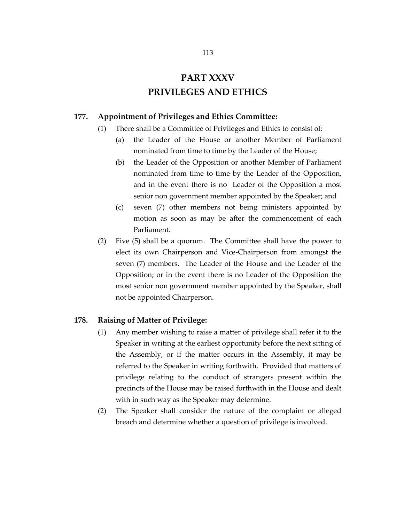# **PART XXXV PRIVILEGES AND ETHICS**

### **177. Appointment of Privileges and Ethics Committee:**

- (1) There shall be a Committee of Privileges and Ethics to consist of:
	- (a) the Leader of the House or another Member of Parliament nominated from time to time by the Leader of the House;
	- (b) the Leader of the Opposition or another Member of Parliament nominated from time to time by the Leader of the Opposition, and in the event there is no Leader of the Opposition a most senior non government member appointed by the Speaker; and
	- (c) seven (7) other members not being ministers appointed by motion as soon as may be after the commencement of each Parliament.
- (2) Five (5) shall be a quorum. The Committee shall have the power to elect its own Chairperson and Vice-Chairperson from amongst the seven (7) members. The Leader of the House and the Leader of the Opposition; or in the event there is no Leader of the Opposition the most senior non government member appointed by the Speaker, shall not be appointed Chairperson.

#### **178. Raising of Matter of Privilege:**

- (1) Any member wishing to raise a matter of privilege shall refer it to the Speaker in writing at the earliest opportunity before the next sitting of the Assembly, or if the matter occurs in the Assembly, it may be referred to the Speaker in writing forthwith. Provided that matters of privilege relating to the conduct of strangers present within the precincts of the House may be raised forthwith in the House and dealt with in such way as the Speaker may determine.
- (2) The Speaker shall consider the nature of the complaint or alleged breach and determine whether a question of privilege is involved.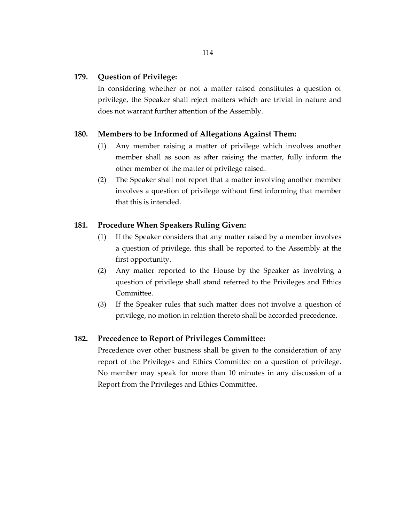#### **179. Question of Privilege:**

In considering whether or not a matter raised constitutes a question of privilege, the Speaker shall reject matters which are trivial in nature and does not warrant further attention of the Assembly.

### **180. Members to be Informed of Allegations Against Them:**

- (1) Any member raising a matter of privilege which involves another member shall as soon as after raising the matter, fully inform the other member of the matter of privilege raised.
- (2) The Speaker shall not report that a matter involving another member involves a question of privilege without first informing that member that this is intended.

#### **181. Procedure When Speakers Ruling Given:**

- (1) If the Speaker considers that any matter raised by a member involves a question of privilege, this shall be reported to the Assembly at the first opportunity.
- (2) Any matter reported to the House by the Speaker as involving a question of privilege shall stand referred to the Privileges and Ethics Committee.
- (3) If the Speaker rules that such matter does not involve a question of privilege, no motion in relation thereto shall be accorded precedence.

#### **182. Precedence to Report of Privileges Committee:**

Precedence over other business shall be given to the consideration of any report of the Privileges and Ethics Committee on a question of privilege. No member may speak for more than 10 minutes in any discussion of a Report from the Privileges and Ethics Committee.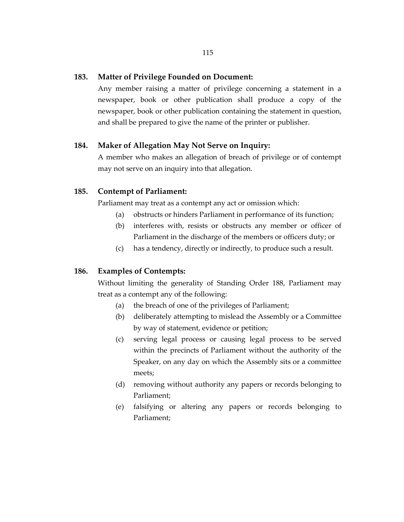#### **183. Matter of Privilege Founded on Document:**

Any member raising a matter of privilege concerning a statement in a newspaper, book or other publication shall produce a copy of the newspaper, book or other publication containing the statement in question, and shall be prepared to give the name of the printer or publisher.

### **184. Maker of Allegation May Not Serve on Inquiry:**

A member who makes an allegation of breach of privilege or of contempt may not serve on an inquiry into that allegation.

### **185. Contempt of Parliament:**

Parliament may treat as a contempt any act or omission which:

- (a) obstructs or hinders Parliament in performance of its function;
- (b) interferes with, resists or obstructs any member or officer of Parliament in the discharge of the members or officers duty; or
- (c) has a tendency, directly or indirectly, to produce such a result.

### **186. Examples of Contempts:**

Without limiting the generality of Standing Order 188, Parliament may treat as a contempt any of the following:

- (a) the breach of one of the privileges of Parliament;
- (b) deliberately attempting to mislead the Assembly or a Committee by way of statement, evidence or petition;
- (c) serving legal process or causing legal process to be served within the precincts of Parliament without the authority of the Speaker, on any day on which the Assembly sits or a committee meets;
- (d) removing without authority any papers or records belonging to Parliament;
- (e) falsifying or altering any papers or records belonging to Parliament;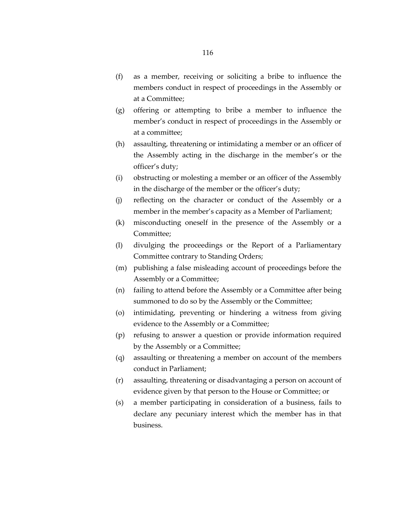- (f) as a member, receiving or soliciting a bribe to influence the members conduct in respect of proceedings in the Assembly or at a Committee;
- (g) offering or attempting to bribe a member to influence the member's conduct in respect of proceedings in the Assembly or at a committee;
- (h) assaulting, threatening or intimidating a member or an officer of the Assembly acting in the discharge in the member's or the officer's duty;
- (i) obstructing or molesting a member or an officer of the Assembly in the discharge of the member or the officer's duty;
- (j) reflecting on the character or conduct of the Assembly or a member in the member's capacity as a Member of Parliament;
- (k) misconducting oneself in the presence of the Assembly or a Committee;
- (l) divulging the proceedings or the Report of a Parliamentary Committee contrary to Standing Orders;
- (m) publishing a false misleading account of proceedings before the Assembly or a Committee;
- (n) failing to attend before the Assembly or a Committee after being summoned to do so by the Assembly or the Committee;
- (o) intimidating, preventing or hindering a witness from giving evidence to the Assembly or a Committee;
- (p) refusing to answer a question or provide information required by the Assembly or a Committee;
- (q) assaulting or threatening a member on account of the members conduct in Parliament;
- (r) assaulting, threatening or disadvantaging a person on account of evidence given by that person to the House or Committee; or
- (s) a member participating in consideration of a business, fails to declare any pecuniary interest which the member has in that business.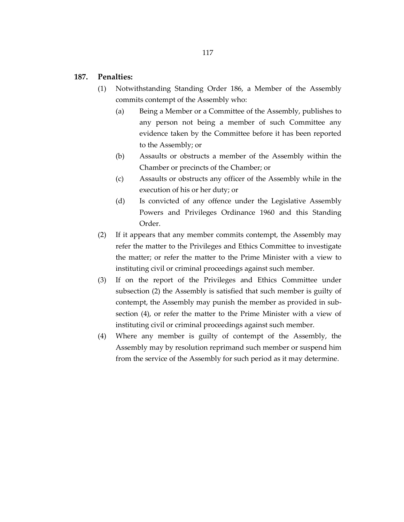#### **187. Penalties:**

- (1) Notwithstanding Standing Order 186, a Member of the Assembly commits contempt of the Assembly who:
	- (a) Being a Member or a Committee of the Assembly, publishes to any person not being a member of such Committee any evidence taken by the Committee before it has been reported to the Assembly; or
	- (b) Assaults or obstructs a member of the Assembly within the Chamber or precincts of the Chamber; or
	- (c) Assaults or obstructs any officer of the Assembly while in the execution of his or her duty; or
	- (d) Is convicted of any offence under the Legislative Assembly Powers and Privileges Ordinance 1960 and this Standing Order.
- (2) If it appears that any member commits contempt, the Assembly may refer the matter to the Privileges and Ethics Committee to investigate the matter; or refer the matter to the Prime Minister with a view to instituting civil or criminal proceedings against such member.
- (3) If on the report of the Privileges and Ethics Committee under subsection (2) the Assembly is satisfied that such member is guilty of contempt, the Assembly may punish the member as provided in subsection (4), or refer the matter to the Prime Minister with a view of instituting civil or criminal proceedings against such member.
- (4) Where any member is guilty of contempt of the Assembly, the Assembly may by resolution reprimand such member or suspend him from the service of the Assembly for such period as it may determine.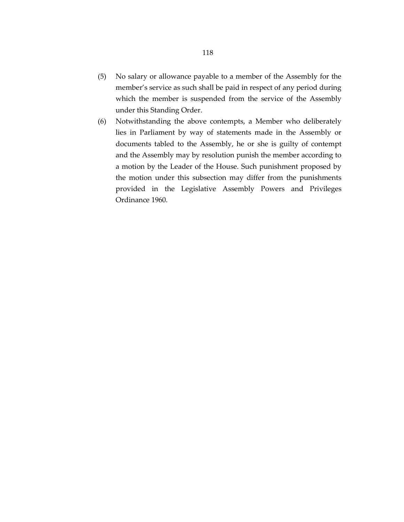- (5) No salary or allowance payable to a member of the Assembly for the member's service as such shall be paid in respect of any period during which the member is suspended from the service of the Assembly under this Standing Order.
- (6) Notwithstanding the above contempts, a Member who deliberately lies in Parliament by way of statements made in the Assembly or documents tabled to the Assembly, he or she is guilty of contempt and the Assembly may by resolution punish the member according to a motion by the Leader of the House. Such punishment proposed by the motion under this subsection may differ from the punishments provided in the Legislative Assembly Powers and Privileges Ordinance 1960.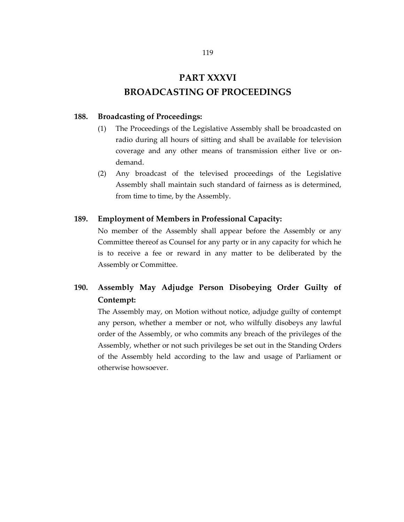# **PART XXXVI BROADCASTING OF PROCEEDINGS**

#### **188. Broadcasting of Proceedings:**

- (1) The Proceedings of the Legislative Assembly shall be broadcasted on radio during all hours of sitting and shall be available for television coverage and any other means of transmission either live or ondemand.
- (2) Any broadcast of the televised proceedings of the Legislative Assembly shall maintain such standard of fairness as is determined, from time to time, by the Assembly.

#### **189. Employment of Members in Professional Capacity:**

No member of the Assembly shall appear before the Assembly or any Committee thereof as Counsel for any party or in any capacity for which he is to receive a fee or reward in any matter to be deliberated by the Assembly or Committee.

# **190. Assembly May Adjudge Person Disobeying Order Guilty of Contempt:**

The Assembly may, on Motion without notice, adjudge guilty of contempt any person, whether a member or not, who wilfully disobeys any lawful order of the Assembly, or who commits any breach of the privileges of the Assembly, whether or not such privileges be set out in the Standing Orders of the Assembly held according to the law and usage of Parliament or otherwise howsoever.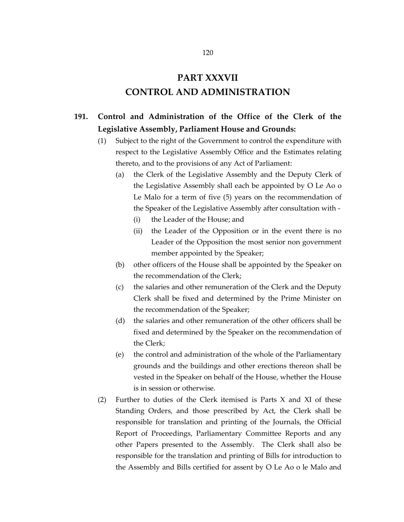# **PART XXXVII CONTROL AND ADMINISTRATION**

# **191. Control and Administration of the Office of the Clerk of the Legislative Assembly, Parliament House and Grounds:**

- (1) Subject to the right of the Government to control the expenditure with respect to the Legislative Assembly Office and the Estimates relating thereto, and to the provisions of any Act of Parliament:
	- (a) the Clerk of the Legislative Assembly and the Deputy Clerk of the Legislative Assembly shall each be appointed by O Le Ao o Le Malo for a term of five (5) years on the recommendation of the Speaker of the Legislative Assembly after consultation with -
		- (i) the Leader of the House; and
		- (ii) the Leader of the Opposition or in the event there is no Leader of the Opposition the most senior non government member appointed by the Speaker;
	- (b) other officers of the House shall be appointed by the Speaker on the recommendation of the Clerk;
	- (c) the salaries and other remuneration of the Clerk and the Deputy Clerk shall be fixed and determined by the Prime Minister on the recommendation of the Speaker;
	- (d) the salaries and other remuneration of the other officers shall be fixed and determined by the Speaker on the recommendation of the Clerk;
	- (e) the control and administration of the whole of the Parliamentary grounds and the buildings and other erections thereon shall be vested in the Speaker on behalf of the House, whether the House is in session or otherwise.
- (2) Further to duties of the Clerk itemised is Parts X and XI of these Standing Orders, and those prescribed by Act, the Clerk shall be responsible for translation and printing of the Journals, the Official Report of Proceedings, Parliamentary Committee Reports and any other Papers presented to the Assembly. The Clerk shall also be responsible for the translation and printing of Bills for introduction to the Assembly and Bills certified for assent by O Le Ao o le Malo and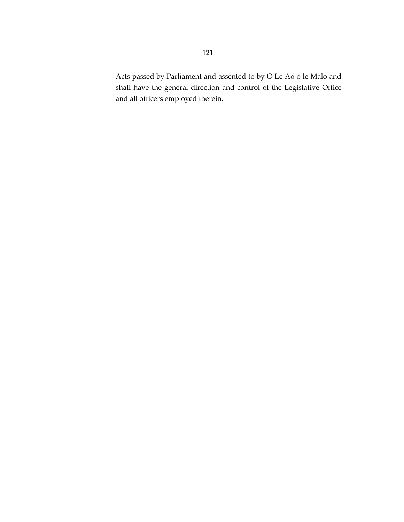Acts passed by Parliament and assented to by O Le Ao o le Malo and shall have the general direction and control of the Legislative Office and all officers employed therein.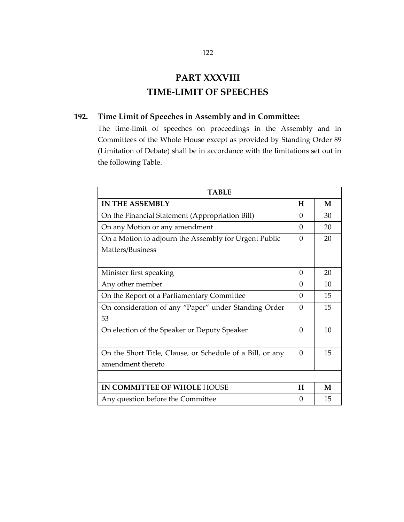# **PART XXXVIII TIME-LIMIT OF SPEECHES**

## **192. Time Limit of Speeches in Assembly and in Committee:**

The time-limit of speeches on proceedings in the Assembly and in Committees of the Whole House except as provided by Standing Order 89 (Limitation of Debate) shall be in accordance with the limitations set out in the following Table.

| <b>TABLE</b>                                              |          |    |
|-----------------------------------------------------------|----------|----|
| <b>IN THE ASSEMBLY</b>                                    | H        | M  |
| On the Financial Statement (Appropriation Bill)           | $\Omega$ | 30 |
| On any Motion or any amendment                            | 0        | 20 |
| On a Motion to adjourn the Assembly for Urgent Public     | 0        | 20 |
| Matters/Business                                          |          |    |
|                                                           |          |    |
| Minister first speaking                                   | $\Omega$ | 20 |
| Any other member                                          | 0        | 10 |
| On the Report of a Parliamentary Committee                | $\Omega$ | 15 |
| On consideration of any "Paper" under Standing Order      | $\Omega$ | 15 |
| 53                                                        |          |    |
| On election of the Speaker or Deputy Speaker              | $\Omega$ | 10 |
|                                                           |          |    |
| On the Short Title, Clause, or Schedule of a Bill, or any | $\Omega$ | 15 |
| amendment thereto                                         |          |    |
|                                                           |          |    |
| IN COMMITTEE OF WHOLE HOUSE                               | H        | M  |
| Any question before the Committee                         | $\Omega$ | 15 |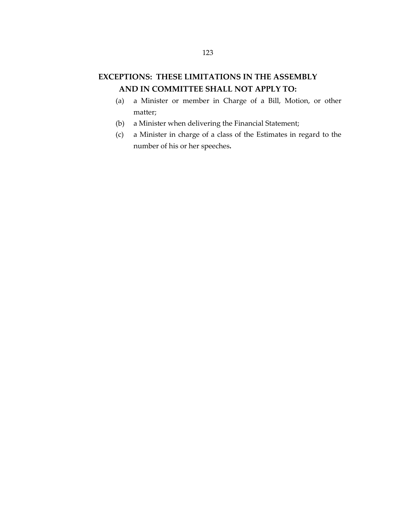# **EXCEPTIONS: THESE LIMITATIONS IN THE ASSEMBLY AND IN COMMITTEE SHALL NOT APPLY TO:**

- (a) a Minister or member in Charge of a Bill, Motion, or other matter;
- (b) a Minister when delivering the Financial Statement;
- (c) a Minister in charge of a class of the Estimates in regard to the number of his or her speeches**.**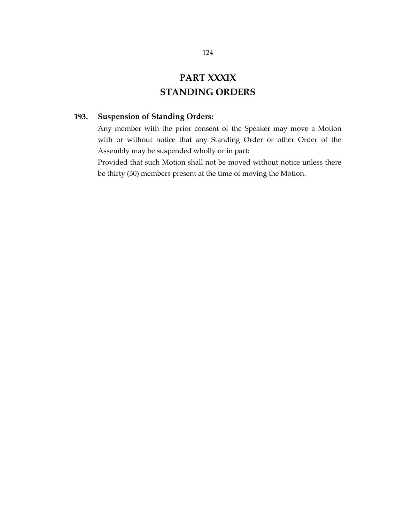# **PART XXXIX STANDING ORDERS**

## **193. Suspension of Standing Orders:**

Any member with the prior consent of the Speaker may move a Motion with or without notice that any Standing Order or other Order of the Assembly may be suspended wholly or in part:

Provided that such Motion shall not be moved without notice unless there be thirty (30) members present at the time of moving the Motion.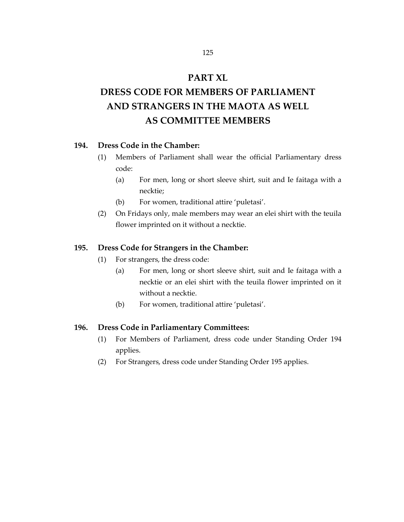## **PART XL**

# **DRESS CODE FOR MEMBERS OF PARLIAMENT AND STRANGERS IN THE MAOTA AS WELL AS COMMITTEE MEMBERS**

### **194. Dress Code in the Chamber:**

- (1) Members of Parliament shall wear the official Parliamentary dress code:
	- (a) For men, long or short sleeve shirt, suit and Ie faitaga with a necktie;
	- (b) For women, traditional attire 'puletasi'.
- (2) On Fridays only, male members may wear an elei shirt with the teuila flower imprinted on it without a necktie.

#### **195. Dress Code for Strangers in the Chamber:**

- (1) For strangers, the dress code:
	- (a) For men, long or short sleeve shirt, suit and Ie faitaga with a necktie or an elei shirt with the teuila flower imprinted on it without a necktie.
	- (b) For women, traditional attire 'puletasi'.

#### **196. Dress Code in Parliamentary Committees:**

- (1) For Members of Parliament, dress code under Standing Order 194 applies.
- (2) For Strangers, dress code under Standing Order 195 applies.